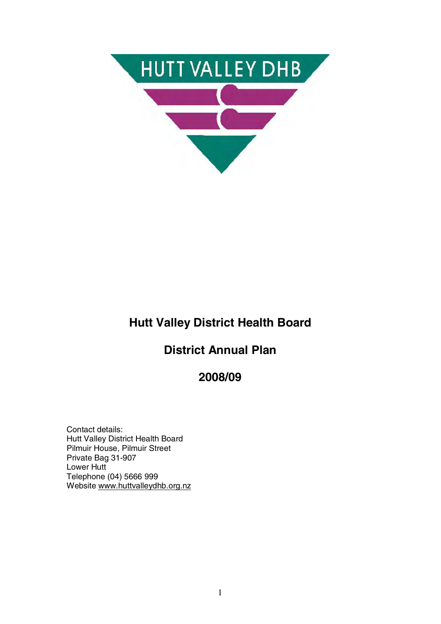

# **Hutt Valley District Health Board**

# **District Annual Plan**

**2008/09** 

Contact details: Hutt Valley District Health Board Pilmuir House, Pilmuir Street Private Bag 31-907 Lower Hutt Telephone (04) 5666 999 Website www.huttvalleydhb.org.nz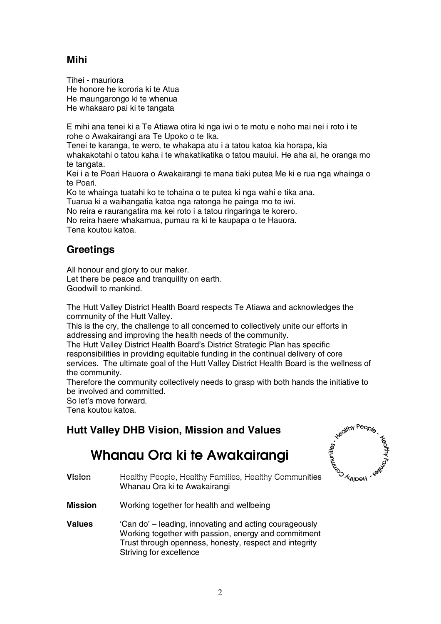## **Mihi**

Tihei - mauriora He honore he kororia ki te Atua He maungarongo ki te whenua He whakaaro pai ki te tangata

E mihi ana tenei ki a Te Atiawa otira ki nga iwi o te motu e noho mai nei i roto i te rohe o Awakairangi ara Te Upoko o te Ika.

Tenei te karanga, te wero, te whakapa atu i a tatou katoa kia horapa, kia

whakakotahi o tatou kaha i te whakatikatika o tatou mauiui. He aha ai, he oranga mo te tangata.

Kei i a te Poari Hauora o Awakairangi te mana tiaki putea Me ki e rua nga whainga o te Poari.

Ko te whainga tuatahi ko te tohaina o te putea ki nga wahi e tika ana.

Tuarua ki a waihangatia katoa nga ratonga he painga mo te iwi.

No reira e raurangatira ma kei roto i a tatou ringaringa te korero.

No reira haere whakamua, pumau ra ki te kaupapa o te Hauora. Tena koutou katoa.

### **Greetings**

All honour and glory to our maker. Let there be peace and tranquility on earth. Goodwill to mankind.

The Hutt Valley District Health Board respects Te Atiawa and acknowledges the community of the Hutt Valley.

This is the cry, the challenge to all concerned to collectively unite our efforts in addressing and improving the health needs of the community.

The Hutt Valley District Health Board's District Strategic Plan has specific responsibilities in providing equitable funding in the continual delivery of core services. The ultimate goal of the Hutt Valley District Health Board is the wellness of

the community.

Therefore the community collectively needs to grasp with both hands the initiative to be involved and committed.

So let's move forward.

Tena koutou katoa.

## **Hutt Valley DHB Vision, Mission and Values**

# **Whanau Ora ki te Awakairangi**



- **Vision** Healthy People, Healthy Families, Healthy Communities Whanau Ora ki te Awakairangi
- **Mission** Working together for health and wellbeing
- **Values** 'Can do' leading, innovating and acting courageously Working together with passion, energy and commitment Trust through openness, honesty, respect and integrity Striving for excellence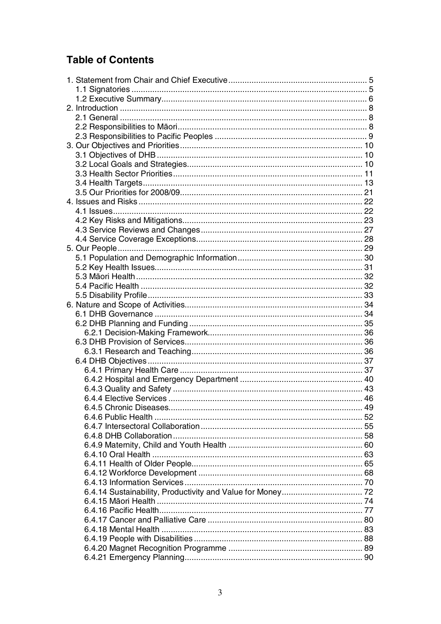# **Table of Contents**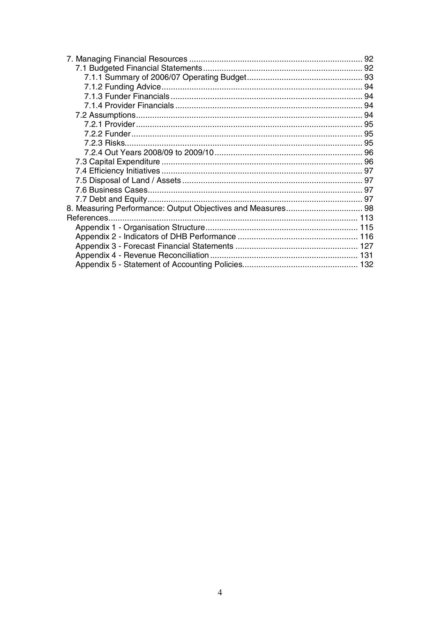| 7.2.2 Funder…………………………………………………………………………………… 95 |  |
|-------------------------------------------------|--|
|                                                 |  |
|                                                 |  |
|                                                 |  |
|                                                 |  |
|                                                 |  |
|                                                 |  |
|                                                 |  |
|                                                 |  |
|                                                 |  |
|                                                 |  |
|                                                 |  |
|                                                 |  |
|                                                 |  |
|                                                 |  |
|                                                 |  |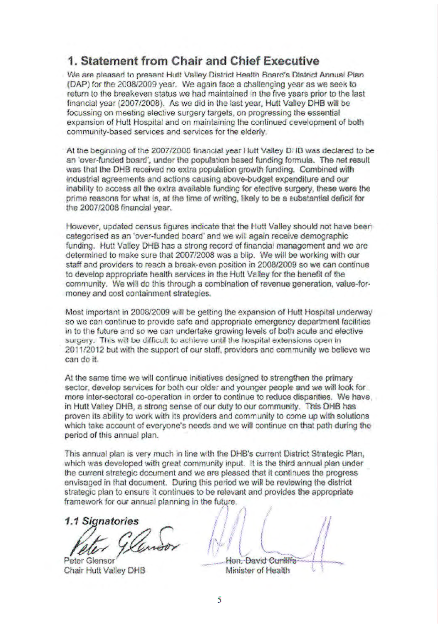# **1. Statement from Chair and Chief Executive**

We are pleased to present Hutt Valley District Health Board's District Annual Plan (DAP) for the 2008/2009 year. We again face a challenging year as we seek to return to the breakeven status we had maintained in the five years prior to the last financial year (2007/2008). As we did in the last year, Hutt Valley DHB will be focussing on meeting elective surgery targets, on progressing the essential expansion of Hutt Hospital and on maintaining the continued cevelopment of both community-based services and services for the elderly.

At the beginning of the 2007/2008 financial year Hutt Valley DHB was declared to be an 'over-funded board', under the population based funding formula. The net result was that the DHB received no extra population growth funding. Combined with industrial agreements and actions causing above-budget expenditure and our inability to access all the extra available funding for elective surgery, these were the prime reasons for what is, at the time of writing, likely to be a substantial deficit for the 2007/2008 financial year.

However, updated census figures indicate that the Hutt Valley should not have been categorised as an 'over-funded board' and we will again receive demographic funding. Hutt Valley DHB has a strong record of financial management and we are determined to make sure that 2007/2008 was a blip. We will be working with our staff and providers to reach a break-even position in 2008/2009 so we can continue to develop appropriate health services in the Hutt Valley for the benefit of the community. We will do this through a combination of revenue generation, value-formoney and cost containment strategies.

Most important in 2008/2009 will be getting the expansion of Hutt Hospital underway so we can continue to provide safe and appropriate emergency department facilities in to the future and so we can undertake growing levels of both acute and elective surgery. This will be difficult to achieve until the hospital extensions open in 2011/2012 but with the support of our staff, providers and community we believe we can do it.

At the same time we will continue initiatives designed to strengthen the primary sector, develop services for both our older and younger people and we will look for more inter-sectoral co-operation in order to continue to reduce disparities. We have, in Hutt Valley DHB, a strong sense of our duty to our community. This DHB has proven its ability to work with its providers and community to come up with solutions which take account of everyone's needs and we will continue on that path during the period of this annual plan.

This annual plan is very much in line with the DHB's current District Strategic Plan, which was developed with great community input. It is the third annual plan under the current strategic document and we are pleased that it continues the progress envisaged in that document. During this period we will be reviewing the district strategic plan to ensure it continues to be relevant and provides the appropriate framework for our annual planning in the future.

*1.1 Signatories* 

Peter Glensor Hon. David Cunliffe

Chair Hutter Discovery David During Minister of Health Discovery Discovery Discovery Discovery Discovery Discovery Discovery Discovery Discovery Discovery Discovery Discovery Discovery Discovery Discovery Discovery Discove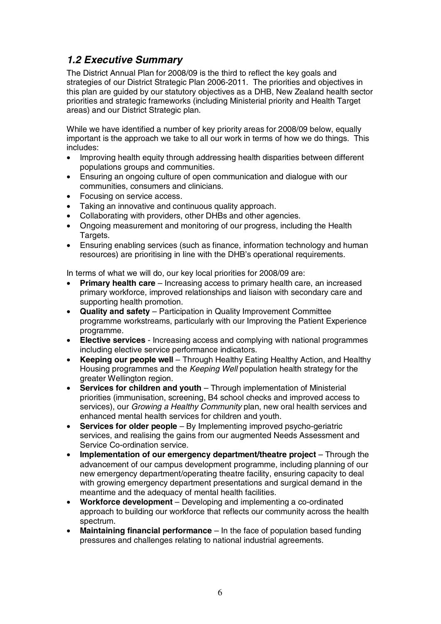# *1.2 Executive Summary*

The District Annual Plan for 2008/09 is the third to reflect the key goals and strategies of our District Strategic Plan 2006-2011. The priorities and objectives in this plan are guided by our statutory objectives as a DHB, New Zealand health sector priorities and strategic frameworks (including Ministerial priority and Health Target areas) and our District Strategic plan.

While we have identified a number of key priority areas for 2008/09 below, equally important is the approach we take to all our work in terms of how we do things. This includes:

- Improving health equity through addressing health disparities between different populations groups and communities.
- Ensuring an ongoing culture of open communication and dialogue with our communities, consumers and clinicians.
- Focusing on service access.
- Taking an innovative and continuous quality approach.
- Collaborating with providers, other DHBs and other agencies.
- Ongoing measurement and monitoring of our progress, including the Health Targets.
- Ensuring enabling services (such as finance, information technology and human resources) are prioritising in line with the DHB's operational requirements.

In terms of what we will do, our key local priorities for 2008/09 are:

- **Primary health care** Increasing access to primary health care, an increased primary workforce, improved relationships and liaison with secondary care and supporting health promotion.
- **Quality and safety** Participation in Quality Improvement Committee programme workstreams, particularly with our Improving the Patient Experience programme.
- **Elective services** Increasing access and complying with national programmes including elective service performance indicators.
- **Keeping our people well** Through Healthy Eating Healthy Action, and Healthy Housing programmes and the Keeping Well population health strategy for the greater Wellington region.
- **Services for children and youth** Through implementation of Ministerial priorities (immunisation, screening, B4 school checks and improved access to services), our *Growing a Healthy Community* plan, new oral health services and enhanced mental health services for children and youth.
- **Services for older people** By Implementing improved psycho-geriatric services, and realising the gains from our augmented Needs Assessment and Service Co-ordination service.
- **Implementation of our emergency department/theatre project** Through the advancement of our campus development programme, including planning of our new emergency department/operating theatre facility, ensuring capacity to deal with growing emergency department presentations and surgical demand in the meantime and the adequacy of mental health facilities.
- **Workforce development** Developing and implementing a co-ordinated approach to building our workforce that reflects our community across the health spectrum.
- **Maintaining financial performance** In the face of population based funding pressures and challenges relating to national industrial agreements.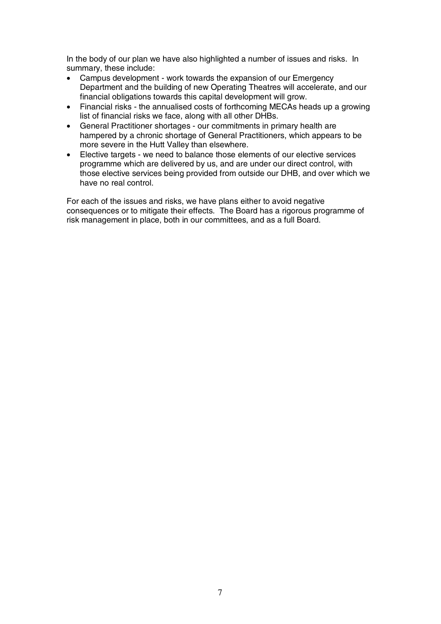In the body of our plan we have also highlighted a number of issues and risks. In summary, these include:

- Campus development work towards the expansion of our Emergency Department and the building of new Operating Theatres will accelerate, and our financial obligations towards this capital development will grow.
- Financial risks the annualised costs of forthcoming MECAs heads up a growing list of financial risks we face, along with all other DHBs.
- General Practitioner shortages our commitments in primary health are hampered by a chronic shortage of General Practitioners, which appears to be more severe in the Hutt Valley than elsewhere.
- Elective targets we need to balance those elements of our elective services programme which are delivered by us, and are under our direct control, with those elective services being provided from outside our DHB, and over which we have no real control.

For each of the issues and risks, we have plans either to avoid negative consequences or to mitigate their effects. The Board has a rigorous programme of risk management in place, both in our committees, and as a full Board.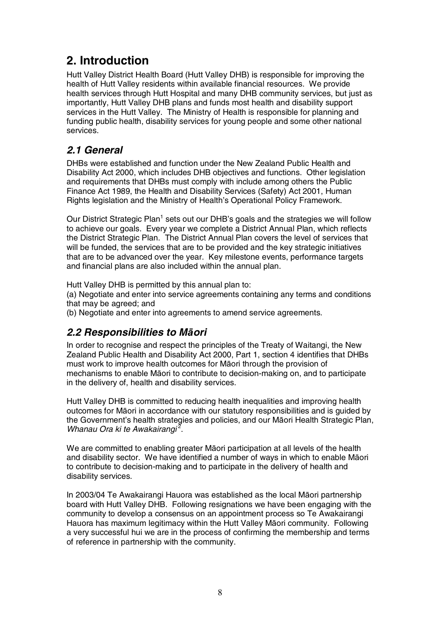# **2. Introduction**

Hutt Valley District Health Board (Hutt Valley DHB) is responsible for improving the health of Hutt Valley residents within available financial resources. We provide health services through Hutt Hospital and many DHB community services, but just as importantly, Hutt Valley DHB plans and funds most health and disability support services in the Hutt Valley. The Ministry of Health is responsible for planning and funding public health, disability services for young people and some other national services.

## *2.1 General*

DHBs were established and function under the New Zealand Public Health and Disability Act 2000, which includes DHB objectives and functions. Other legislation and requirements that DHBs must comply with include among others the Public Finance Act 1989, the Health and Disability Services (Safety) Act 2001, Human Rights legislation and the Ministry of Health's Operational Policy Framework.

Our District Strategic Plan<sup>1</sup> sets out our DHB's goals and the strategies we will follow to achieve our goals. Every year we complete a District Annual Plan, which reflects the District Strategic Plan. The District Annual Plan covers the level of services that will be funded, the services that are to be provided and the key strategic initiatives that are to be advanced over the year. Key milestone events, performance targets and financial plans are also included within the annual plan.

Hutt Valley DHB is permitted by this annual plan to:

(a) Negotiate and enter into service agreements containing any terms and conditions that may be agreed; and

(b) Negotiate and enter into agreements to amend service agreements.

## *2.2 Responsibilities to MƗori*

In order to recognise and respect the principles of the Treaty of Waitangi, the New Zealand Public Health and Disability Act 2000, Part 1, section 4 identifies that DHBs must work to improve health outcomes for Maori through the provision of mechanisms to enable Māori to contribute to decision-making on, and to participate in the delivery of, health and disability services.

Hutt Valley DHB is committed to reducing health inequalities and improving health outcomes for MƗori in accordance with our statutory responsibilities and is guided by the Government's health strategies and policies, and our Māori Health Strategic Plan. Whanau Ora ki te Awakairangi<sup>2</sup>.

We are committed to enabling greater Māori participation at all levels of the health and disability sector. We have identified a number of ways in which to enable Māori to contribute to decision-making and to participate in the delivery of health and disability services.

In 2003/04 Te Awakairangi Hauora was established as the local Māori partnership board with Hutt Valley DHB. Following resignations we have been engaging with the community to develop a consensus on an appointment process so Te Awakairangi Hauora has maximum legitimacy within the Hutt Valley Māori community. Following a very successful hui we are in the process of confirming the membership and terms of reference in partnership with the community.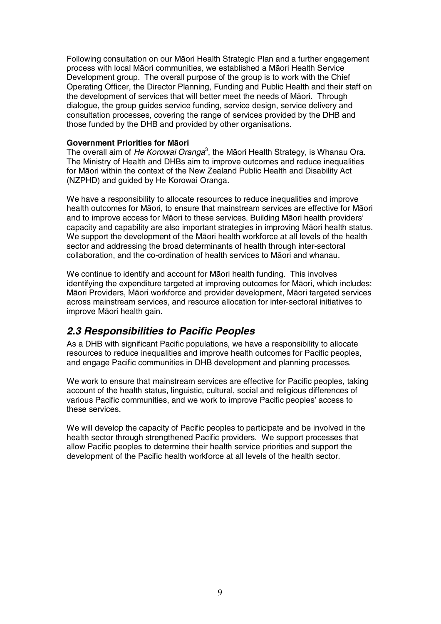Following consultation on our Māori Health Strategic Plan and a further engagement process with local Māori communities, we established a Māori Health Service Development group. The overall purpose of the group is to work with the Chief Operating Officer, the Director Planning, Funding and Public Health and their staff on the development of services that will better meet the needs of Māori. Through dialogue, the group guides service funding, service design, service delivery and consultation processes, covering the range of services provided by the DHB and those funded by the DHB and provided by other organisations.

#### **Government Priorities for MƗori**

The overall aim of He Korowai Oranga<sup>3</sup>, the Māori Health Strategy, is Whanau Ora. The Ministry of Health and DHBs aim to improve outcomes and reduce inequalities for Māori within the context of the New Zealand Public Health and Disability Act (NZPHD) and guided by He Korowai Oranga.

We have a responsibility to allocate resources to reduce inequalities and improve health outcomes for Māori, to ensure that mainstream services are effective for Māori and to improve access for Māori to these services. Building Māori health providers' capacity and capability are also important strategies in improving Māori health status. We support the development of the Māori health workforce at all levels of the health sector and addressing the broad determinants of health through inter-sectoral collaboration, and the co-ordination of health services to Māori and whanau.

We continue to identify and account for Māori health funding. This involves identifying the expenditure targeted at improving outcomes for Māori, which includes: Māori Providers, Māori workforce and provider development, Māori targeted services across mainstream services, and resource allocation for inter-sectoral initiatives to improve Māori health gain.

#### *2.3 Responsibilities to Pacific Peoples*

As a DHB with significant Pacific populations, we have a responsibility to allocate resources to reduce inequalities and improve health outcomes for Pacific peoples, and engage Pacific communities in DHB development and planning processes.

We work to ensure that mainstream services are effective for Pacific peoples, taking account of the health status, linguistic, cultural, social and religious differences of various Pacific communities, and we work to improve Pacific peoples' access to these services.

We will develop the capacity of Pacific peoples to participate and be involved in the health sector through strengthened Pacific providers. We support processes that allow Pacific peoples to determine their health service priorities and support the development of the Pacific health workforce at all levels of the health sector.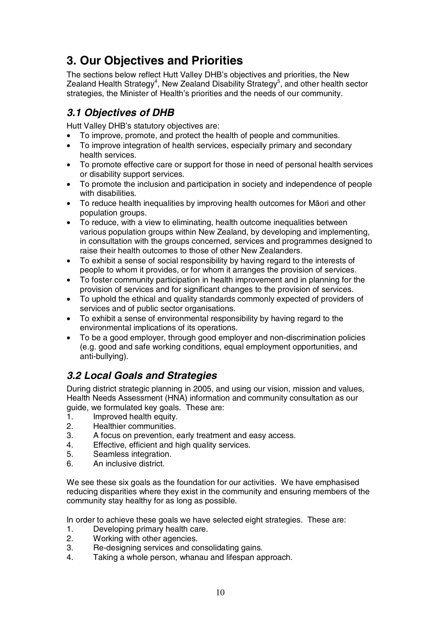# **3. Our Objectives and Priorities**

The sections below reflect Hutt Valley DHB's objectives and priorities, the New Zealand Health Strategy<sup>4</sup>, New Zealand Disability Strategy<sup>5</sup>, and other health sector strategies, the Minister of Health's priorities and the needs of our community.

# *3.1 Objectives of DHB*

Hutt Valley DHB's statutory objectives are:

- To improve, promote, and protect the health of people and communities.
- To improve integration of health services, especially primary and secondary health services.
- To promote effective care or support for those in need of personal health services or disability support services.
- To promote the inclusion and participation in society and independence of people with disabilities.
- To reduce health inequalities by improving health outcomes for Māori and other population groups.
- To reduce, with a view to eliminating, health outcome inequalities between various population groups within New Zealand, by developing and implementing, in consultation with the groups concerned, services and programmes designed to raise their health outcomes to those of other New Zealanders.
- To exhibit a sense of social responsibility by having regard to the interests of people to whom it provides, or for whom it arranges the provision of services.
- To foster community participation in health improvement and in planning for the provision of services and for significant changes to the provision of services.
- To uphold the ethical and quality standards commonly expected of providers of services and of public sector organisations.
- To exhibit a sense of environmental responsibility by having regard to the environmental implications of its operations.
- To be a good employer, through good employer and non-discrimination policies (e.g. good and safe working conditions, equal employment opportunities, and anti-bullying).

# *3.2 Local Goals and Strategies*

During district strategic planning in 2005, and using our vision, mission and values, Health Needs Assessment (HNA) information and community consultation as our guide, we formulated key goals. These are:

- 1. Improved health equity.<br>2. Healthier communities.
- Healthier communities.
- 3. A focus on prevention, early treatment and easy access.
- 4. Effective, efficient and high quality services.
- 5. Seamless integration.
- 6. An inclusive district.

We see these six goals as the foundation for our activities. We have emphasised reducing disparities where they exist in the community and ensuring members of the community stay healthy for as long as possible.

In order to achieve these goals we have selected eight strategies. These are:

- 1. Developing primary health care.
- 2. Working with other agencies.
- 3. Re-designing services and consolidating gains.
- 4. Taking a whole person, whanau and lifespan approach.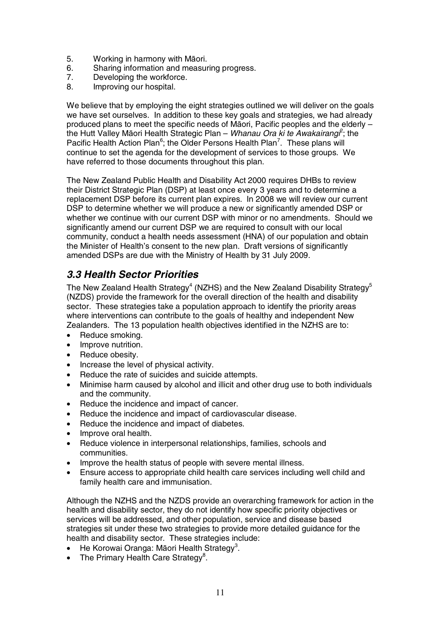- 5. Working in harmony with Māori.
- 6. Sharing information and measuring progress.<br>7. Developing the workforce
- Developing the workforce.
- 8. Improving our hospital.

We believe that by employing the eight strategies outlined we will deliver on the goals we have set ourselves. In addition to these key goals and strategies, we had already produced plans to meet the specific needs of Maori, Pacific peoples and the elderly – the Hutt Valley Māori Health Strategic Plan – Whanau Ora ki te Awakairangi<sup>2</sup>; the Pacific Health Action Plan<sup>6</sup>; the Older Persons Health Plan<sup>7</sup>. These plans will continue to set the agenda for the development of services to those groups. We have referred to those documents throughout this plan.

The New Zealand Public Health and Disability Act 2000 requires DHBs to review their District Strategic Plan (DSP) at least once every 3 years and to determine a replacement DSP before its current plan expires. In 2008 we will review our current DSP to determine whether we will produce a new or significantly amended DSP or whether we continue with our current DSP with minor or no amendments. Should we significantly amend our current DSP we are required to consult with our local community, conduct a health needs assessment (HNA) of our population and obtain the Minister of Health's consent to the new plan. Draft versions of significantly amended DSPs are due with the Ministry of Health by 31 July 2009.

## *3.3 Health Sector Priorities*

The New Zealand Health Strategy $^4$  (NZHS) and the New Zealand Disability Strategy $^5$ (NZDS) provide the framework for the overall direction of the health and disability sector. These strategies take a population approach to identify the priority areas where interventions can contribute to the goals of healthy and independent New Zealanders. The 13 population health objectives identified in the NZHS are to:

- Reduce smoking.
- Improve nutrition.
- Reduce obesity.
- Increase the level of physical activity.
- Reduce the rate of suicides and suicide attempts.
- Minimise harm caused by alcohol and illicit and other drug use to both individuals and the community.
- Reduce the incidence and impact of cancer.
- Reduce the incidence and impact of cardiovascular disease.
- Reduce the incidence and impact of diabetes.
- Improve oral health.
- Reduce violence in interpersonal relationships, families, schools and communities.
- Improve the health status of people with severe mental illness.
- Ensure access to appropriate child health care services including well child and family health care and immunisation.

Although the NZHS and the NZDS provide an overarching framework for action in the health and disability sector, they do not identify how specific priority objectives or services will be addressed, and other population, service and disease based strategies sit under these two strategies to provide more detailed guidance for the health and disability sector. These strategies include:

- $\bullet$  He Korowai Oranga: Māori Health Strategy<sup>3</sup>.
- The Primary Health Care Strategy<sup>8</sup>.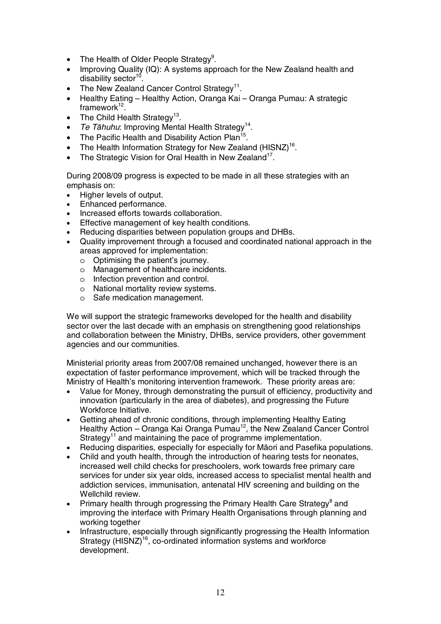- The Health of Older People Strategy<sup>9</sup>.
- Improving Quality (IQ): A systems approach for the New Zealand health and disability sector<sup>10</sup>
- The New Zealand Cancer Control Strategy<sup>11</sup>.
- Healthy Eating Healthy Action, Oranga Kai Oranga Pumau: A strategic framework $12$ .
- The Child Health Strategy<sup>13</sup>.
- Te Tāhuhu: Improving Mental Health Strategy<sup>14</sup>.
- The Pacific Health and Disability Action Plan<sup>15</sup>.
- The Health Information Strategy for New Zealand  $(HISNZ)^{16}$ .
- The Strategic Vision for Oral Health in New Zealand<sup>17</sup>.

During 2008/09 progress is expected to be made in all these strategies with an emphasis on:

- Higher levels of output.
- Enhanced performance.
- Increased efforts towards collaboration.
- Effective management of key health conditions.
- Reducing disparities between population groups and DHBs.
- Quality improvement through a focused and coordinated national approach in the areas approved for implementation:
	- o Optimising the patient's journey.
	- o Management of healthcare incidents.
	- o Infection prevention and control.
	- o National mortality review systems.
	- o Safe medication management.

We will support the strategic frameworks developed for the health and disability sector over the last decade with an emphasis on strengthening good relationships and collaboration between the Ministry, DHBs, service providers, other government agencies and our communities.

Ministerial priority areas from 2007/08 remained unchanged, however there is an expectation of faster performance improvement, which will be tracked through the Ministry of Health's monitoring intervention framework. These priority areas are:

- Value for Money, through demonstrating the pursuit of efficiency, productivity and innovation (particularly in the area of diabetes), and progressing the Future Workforce Initiative.
- Getting ahead of chronic conditions, through implementing Healthy Eating Healthy Action – Oranga Kai Oranga Pumau<sup>12</sup>, the New Zealand Cancer Control Strategy<sup>11</sup> and maintaining the pace of programme implementation.
- Reducing disparities, especially for especially for Māori and Pasefika populations.
- Child and youth health, through the introduction of hearing tests for neonates, increased well child checks for preschoolers, work towards free primary care services for under six year olds, increased access to specialist mental health and addiction services, immunisation, antenatal HIV screening and building on the Wellchild review.
- Primary health through progressing the Primary Health Care Strategy<sup>8</sup> and improving the interface with Primary Health Organisations through planning and working together
- Infrastructure, especially through significantly progressing the Health Information Strategy (HISNZ)<sup>16</sup>, co-ordinated information systems and workforce development.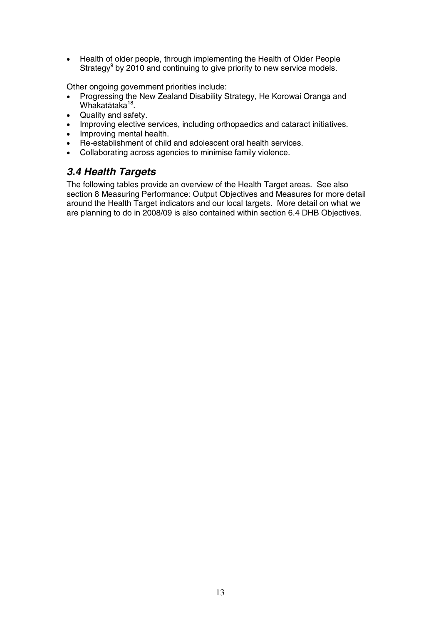• Health of older people, through implementing the Health of Older People Strategy<sup>9</sup> by 2010 and continuing to give priority to new service models.

Other ongoing government priorities include:

- Progressing the New Zealand Disability Strategy, He Korowai Oranga and Whakatātaka<sup>18</sup>.
- Quality and safety.
- Improving elective services, including orthopaedics and cataract initiatives.
- Improving mental health.
- Re-establishment of child and adolescent oral health services.
- Collaborating across agencies to minimise family violence.

## *3.4 Health Targets*

The following tables provide an overview of the Health Target areas. See also section 8 Measuring Performance: Output Objectives and Measures for more detail around the Health Target indicators and our local targets. More detail on what we are planning to do in 2008/09 is also contained within section 6.4 DHB Objectives.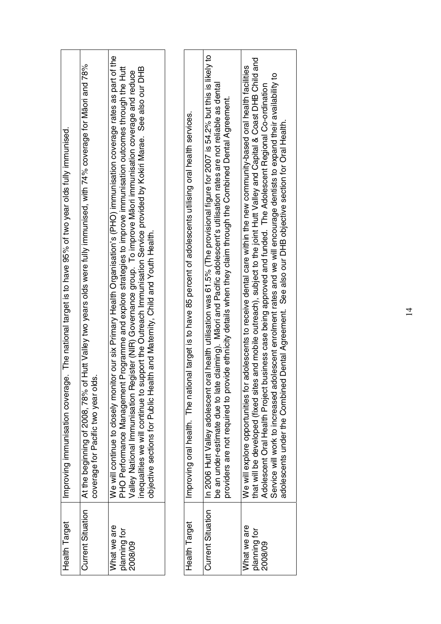| In 2006 Hutt Valley adolescent oral health utilisation was 61.5% (The provisional figure for 2007 is 54.2% but this is likely to<br>We will continue to closely monitor our six Primary Health Organisation's (PHO) immunisation coverage rates as part of the<br>At the beginning of 2008, 78% of Hutt Valley two years olds were fully immunised, with 74% coverage for Maori and 78%<br>adolescents to receive dental care within the new community-based oral health facilities<br>PHO Performance Management Programme and explore strategies to improve immunisation outcomes through the Hutt<br>inequalities we will continue to support the Outreach Immunisation Service provided by Kokiri Marae. See also our DHB<br>Valley National Immunisation Register (NIR) Governance group. To improve Māori immunisation coverage and reduce<br>be an under-estimate due to late claiming). Māori and Pacific adolescent's utilisation rates are not reliable as denta<br>vide ethnicity details when they claim through the Combined Dental Agreement.<br>nal target is to have 85 percent of adolescents utilising oral health services.<br>Improving immunisation coverage. The national target is to have 95% of two year olds fully immunised.<br>objective sections for Public Health and Maternity, Child and Youth Health.<br>coverage for Pacific two year olds.<br>Improving oral health. The natio<br>providers are not required to pro<br>We will explore opportunities for<br><b>Current Situation</b><br><b>Current Situation</b><br>Health Target<br>Health Target<br>What we are<br>What we are<br>planning for |
|-------------------------------------------------------------------------------------------------------------------------------------------------------------------------------------------------------------------------------------------------------------------------------------------------------------------------------------------------------------------------------------------------------------------------------------------------------------------------------------------------------------------------------------------------------------------------------------------------------------------------------------------------------------------------------------------------------------------------------------------------------------------------------------------------------------------------------------------------------------------------------------------------------------------------------------------------------------------------------------------------------------------------------------------------------------------------------------------------------------------------------------------------------------------------------------------------------------------------------------------------------------------------------------------------------------------------------------------------------------------------------------------------------------------------------------------------------------------------------------------------------------------------------------------------------------------------------------------------------------------------------------|
| that will be developed (fixed sites and mobile outreach), subject to the joint Hutt Valley and Capital & Coast DHB Child and<br>planning for                                                                                                                                                                                                                                                                                                                                                                                                                                                                                                                                                                                                                                                                                                                                                                                                                                                                                                                                                                                                                                                                                                                                                                                                                                                                                                                                                                                                                                                                                        |
| Service will work to increased adolescent enrolment rates and we will encourage dentists to expand their availability to<br>ousiness case being approved and funded. The Adolescent Regional Co-ordination<br>Adolescent Oral Health Project b                                                                                                                                                                                                                                                                                                                                                                                                                                                                                                                                                                                                                                                                                                                                                                                                                                                                                                                                                                                                                                                                                                                                                                                                                                                                                                                                                                                      |
|                                                                                                                                                                                                                                                                                                                                                                                                                                                                                                                                                                                                                                                                                                                                                                                                                                                                                                                                                                                                                                                                                                                                                                                                                                                                                                                                                                                                                                                                                                                                                                                                                                     |
|                                                                                                                                                                                                                                                                                                                                                                                                                                                                                                                                                                                                                                                                                                                                                                                                                                                                                                                                                                                                                                                                                                                                                                                                                                                                                                                                                                                                                                                                                                                                                                                                                                     |
|                                                                                                                                                                                                                                                                                                                                                                                                                                                                                                                                                                                                                                                                                                                                                                                                                                                                                                                                                                                                                                                                                                                                                                                                                                                                                                                                                                                                                                                                                                                                                                                                                                     |
|                                                                                                                                                                                                                                                                                                                                                                                                                                                                                                                                                                                                                                                                                                                                                                                                                                                                                                                                                                                                                                                                                                                                                                                                                                                                                                                                                                                                                                                                                                                                                                                                                                     |
|                                                                                                                                                                                                                                                                                                                                                                                                                                                                                                                                                                                                                                                                                                                                                                                                                                                                                                                                                                                                                                                                                                                                                                                                                                                                                                                                                                                                                                                                                                                                                                                                                                     |
|                                                                                                                                                                                                                                                                                                                                                                                                                                                                                                                                                                                                                                                                                                                                                                                                                                                                                                                                                                                                                                                                                                                                                                                                                                                                                                                                                                                                                                                                                                                                                                                                                                     |
|                                                                                                                                                                                                                                                                                                                                                                                                                                                                                                                                                                                                                                                                                                                                                                                                                                                                                                                                                                                                                                                                                                                                                                                                                                                                                                                                                                                                                                                                                                                                                                                                                                     |
|                                                                                                                                                                                                                                                                                                                                                                                                                                                                                                                                                                                                                                                                                                                                                                                                                                                                                                                                                                                                                                                                                                                                                                                                                                                                                                                                                                                                                                                                                                                                                                                                                                     |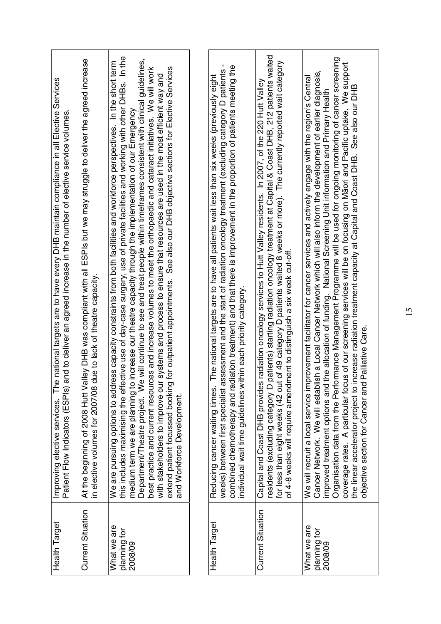| Health Target                          | Improving elective services. The national targets are to have every DHB maintain compliance in all Elective Services<br>Patient Flow Indicators (ESPIs) and to deliver an agreed increase in the number of elective service volum                                                                                                                                                                                                                                                                                                                                                                                                                                                                                                                                                                                                                                                                                        |
|----------------------------------------|--------------------------------------------------------------------------------------------------------------------------------------------------------------------------------------------------------------------------------------------------------------------------------------------------------------------------------------------------------------------------------------------------------------------------------------------------------------------------------------------------------------------------------------------------------------------------------------------------------------------------------------------------------------------------------------------------------------------------------------------------------------------------------------------------------------------------------------------------------------------------------------------------------------------------|
| <b>Current Situation</b>               | At the beginning of 2008 Hutt Valley DHB was compliant with all ESPIs but we may struggle to deliver the agreed increase<br>due to lack of theatre capacity.<br>in elective volumes for 2007/08                                                                                                                                                                                                                                                                                                                                                                                                                                                                                                                                                                                                                                                                                                                          |
| What we are<br>planning for<br>2008/09 | this includes maximising the effective use of day-case surgery, use of private facilities and working with other DHBs. In the<br>Department/Theatre project. We will continue to see and treat people within timeframes consistent with clinical guidelines,<br>ess capacity constraints from both facilities and workforce perspectives. In the short term<br>best practice and current resources and increase volumes to meet the orthopaedic and cataract initiatives. We will work<br>for outpatient appointments. See also our DHB objective sections for Elective Services<br>with stakeholders to improve our systems and process to ensure that resources are used in the most efficient way and<br>medium term we are planning to increase our theatre capacity through the implementation of our Emergency<br>We are pursuing options to addr<br>extend patient focussed booking<br>and Workforce Development. |
|                                        |                                                                                                                                                                                                                                                                                                                                                                                                                                                                                                                                                                                                                                                                                                                                                                                                                                                                                                                          |
| Health Target                          | ٠<br>combined chemotherapy and radiation treatment) and that there is improvement in the proportion of patients meeting the<br>ssessment and the start of radiation oncology treatment (excluding category D patients<br>The national targets are to have all patients wait less than six weeks (previously eight<br>individual wait time guidelines within each priority category<br>weeks) between first specialist a<br>Reducing cancer waiting times.                                                                                                                                                                                                                                                                                                                                                                                                                                                                |
| <b>Current Situation</b>               | residents (excluding category D patients) starting radiation oncology treatment at Capital & Coast DHB, 212 patients waited<br>for less than eight weeks (42 out of 49 category D patients waited 8 weeks or more). The currently reported wait category<br>Capital and Coast DHB provides radiation oncology services to Hutt Valley residents. In 2007, of the 220 Hutt Valley<br>of 4-8 weeks will require amendment to distinguish a six week cut-off.                                                                                                                                                                                                                                                                                                                                                                                                                                                               |
| What we are<br>planning for<br>2008/09 | Organisation data from the Performance Management Programme will be used for ongoing monitoring of cancer screening<br>coverage rates. A particular focus of our screening services will be on focusing on Māori and Pacific uptake. We support<br>the linear accelerator project to increase radiation treatment capacity at Capital and Coast DHB. See<br>ish a Local Cancer Network which will also inform the development of earlier diagnosis,<br>We will recruit a local service improvement facilitator for cancer services and actively engage with the region's Central<br>the allocation of funding. National Screening Unit information and Primary Health<br>Palliative Care<br>Cancer Network. We will establi<br>objective section for Cancer and<br>improved treatment options and                                                                                                                        |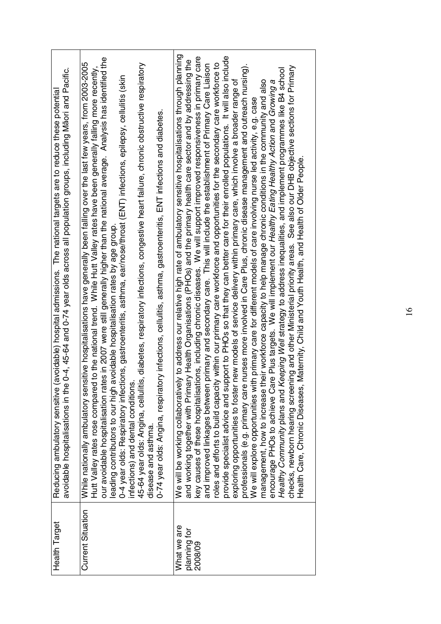| <b>Current Situation</b><br>Health Target<br>What we are<br>planning for<br>2008/09 |
|-------------------------------------------------------------------------------------|
|-------------------------------------------------------------------------------------|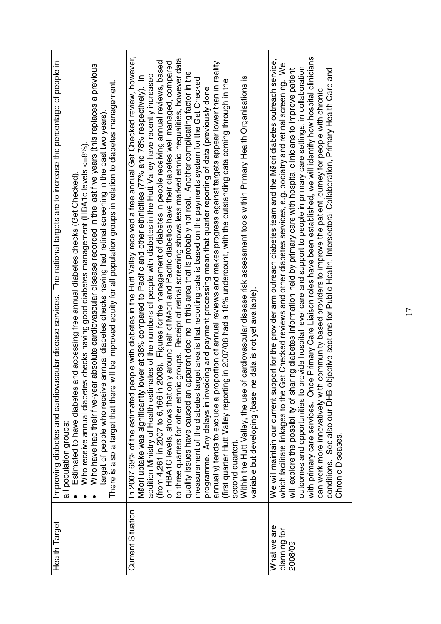| The national targets are to increase the percentage of people in<br>tr absolute cardiovascular disease recorded in the last five years (this replaces a previous<br>will be improved equity for all population groups in relation to diabetes management.<br>target of people who receive annual diabetes checks having had retinal screening in the past two years).<br>Who receive annual diabetes checks having good diabetes management (HBA1c levels <=8%).<br>and accessing free annual diabetes checks (Get Checked).<br>Improving diabetes and cardiovascular disease services.<br>Estimated to have diabetes<br>Who have had their five-yea<br>There is also a target that there<br>all population groups | In 2007 69% of the estimated people with diabetes in the Hutt Valley received a free annual Get Checked review, however,<br>to three quarters for other ethnic groups. Receipt of retinal screening shows less marked ethnic inequalities, however data<br>(from 4,261 in 2007 to 6,166 in 2008). Figures for the management of diabetes in people receiving annual reviews, based<br>annually) tends to exclude a proportion of annual reviews and makes progress against targets appear lower than in reality<br>nly around half of Māori and Pacific diabetics have their diabetes well managed, compared<br>quality issues have caused an apparent decline in this area that is probably not real. Another complicating factor in the<br>addition Ministry of Health estimates of the numbers of people with diabetes in the Hutt Valley have recently increased<br>Māori uptake was significantly lower at 38% compared to Pacific and other ethnicities (77% and 78% respectively). In<br>Within the Hutt Valley, the use of cardiovascular disease risk assessment tools within Primary Health Organisations is<br>rget area is that reporting data is based on the payments system for the Get Checked<br>in 2007/08 had a 18% undercount, with the outstanding data coming through in the<br>programme. Any delays in invoicing and payment processing mean that quarter reporting of data (previously done<br>e data is not yet available)<br>measurement of the diabetes ta<br>(first quarter Hutt Valley reportin<br>variable but developing (baselin<br>on HBA1C levels, shows that or<br>second quarter) | with primary care services. Once Primary Care Liaison roles have been established, we will identify how hospital clinicians<br>We will maintain our current support for the provider arm outreach diabetes team and the Māori diabetes outreach service,<br>which facilitate linkages to the Get Checked reviews and other diabetes services, e.g. podiatry and retinal screening. We<br>outcomes and opportunities to provide hospital level care and support to people in primary care settings, in collaboration<br>bjective sections for Public Health, Intersectoral Collaboration, Primary Health Care and<br>will explore the possibility of sharing diabetes information held by primary care with hospital clinicians to improve patient<br>community based providers to improve the patient journey for people with chronic<br>can work more innovatively with<br>conditions. See also our DHB o<br>Chronic Diseases |
|--------------------------------------------------------------------------------------------------------------------------------------------------------------------------------------------------------------------------------------------------------------------------------------------------------------------------------------------------------------------------------------------------------------------------------------------------------------------------------------------------------------------------------------------------------------------------------------------------------------------------------------------------------------------------------------------------------------------|------------------------------------------------------------------------------------------------------------------------------------------------------------------------------------------------------------------------------------------------------------------------------------------------------------------------------------------------------------------------------------------------------------------------------------------------------------------------------------------------------------------------------------------------------------------------------------------------------------------------------------------------------------------------------------------------------------------------------------------------------------------------------------------------------------------------------------------------------------------------------------------------------------------------------------------------------------------------------------------------------------------------------------------------------------------------------------------------------------------------------------------------------------------------------------------------------------------------------------------------------------------------------------------------------------------------------------------------------------------------------------------------------------------------------------------------------------------------------------------------------------------------------------------------------------------------------------------------------------------------|--------------------------------------------------------------------------------------------------------------------------------------------------------------------------------------------------------------------------------------------------------------------------------------------------------------------------------------------------------------------------------------------------------------------------------------------------------------------------------------------------------------------------------------------------------------------------------------------------------------------------------------------------------------------------------------------------------------------------------------------------------------------------------------------------------------------------------------------------------------------------------------------------------------------------------|
| Health Target                                                                                                                                                                                                                                                                                                                                                                                                                                                                                                                                                                                                                                                                                                      | <b>Current Situation</b>                                                                                                                                                                                                                                                                                                                                                                                                                                                                                                                                                                                                                                                                                                                                                                                                                                                                                                                                                                                                                                                                                                                                                                                                                                                                                                                                                                                                                                                                                                                                                                                               | What we are<br>planning for<br>2008/09                                                                                                                                                                                                                                                                                                                                                                                                                                                                                                                                                                                                                                                                                                                                                                                                                                                                                         |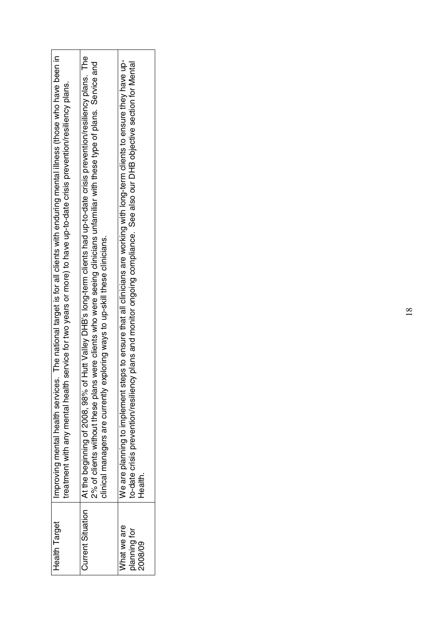| <b>Health Target</b>                   | Improving mental health services. The national target is for all clients with enduring mental illness (those who have been in<br>treatment with any mental health service for two years or more) to have up-to-date crisis prevention/resiliency plans.                                                                                   |
|----------------------------------------|-------------------------------------------------------------------------------------------------------------------------------------------------------------------------------------------------------------------------------------------------------------------------------------------------------------------------------------------|
| <b>Current Situation</b>               | At the beginning of 2008, 98% of Hutt Valley DHB's long-term clients had up-to-date crisis prevention/resiliency plans. The<br>2% of clients without these plans were clients who were seeing clinicians unfamiliar with these type of plans. Service and<br>clinical managers are currently exploring ways to up-skill these clinicians. |
| What we are<br>planning for<br>2008/09 | We are planning to implement steps to ensure that all clinicians are working with long-term clients to ensure they have up-<br>to-date crisis prevention/resiliency plans and monitor ongoing compliance. See also our DHB objective section for Mental<br>Health                                                                         |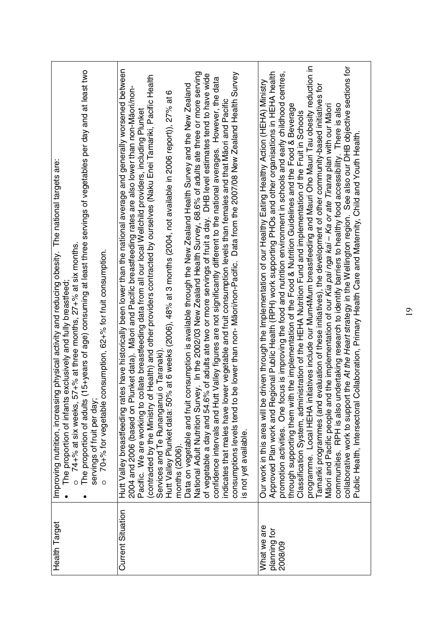| (15+years of age) consuming at least three servings of vegetables per day and at least two<br>g physical activity and reducing obesity. The national targets are:<br>$\sigma$ 74+% at six weeks, 57+% at three months, 27+% at six months.<br>70+% for vegetable consumption, 62+% for fruit consumption.<br>exclusively and fully breastfeed<br>Improving nutrition, increasin<br>The proportion of infants<br>servings of fruit per day;<br>The proportion of adults<br>$\circ$<br>٠ | Hutt Valley breastfeeding rates have historically been lower than the national average and generally worsened between<br>National Adult Nutrition Survey. In the 2002/03 New Zealand Health Survey, 68.6% of adults ate three or more serving<br>be lower than non- Māori/non-Pacific. Data from the 2007/08 New Zealand Health Survey<br>of vegetable a day and 54.6% of adults ate two or more servings of fruit a day. DHB level estimates tend to have wide<br>Health) and other providers contracted by ourselves (Naku Enei Tamariki, Pacific Health<br>data<br>Data on vegetable and fruit consumption is available through the New Zealand Health Survey and the New Zealand<br>2004 and 2006 (based on Plunket data). Māori and Pacific breastfeeding rates are also lower than non-Māori/non-<br>ဖ<br>confidence intervals and Hutt Valley figures are not significantly different to the national averages. However, the<br>(2006), 48% at 3 months (2004, not available in 2006 report)), 27% at<br>indicates that males have lower vegetable and fruit consumption levels than females and that Māori and Pacific<br>Pacific. We are working to collate breastfeeding data from all our local Wellchild providers, including Plunket<br>% at 6 weeks<br>Services and Te Runanganui o Taranaki<br>contracted by the Ministry of<br>Hutt Valley Plunket data: 50°<br>consumptions levels tend to<br>is not yet available.<br>months (2006) | programme. Local HEHA initiatives include our Mum4Mum breastfeeding and Mauri Oho Mauri Tau obesity reduction in<br>the At the Heart strategy in the Wellington region. See also our DHB objective sections for<br>promotion activities. One focus is improving the food and nutrition environment in schools and early childhood centres,<br>Approved Plan work and Regional Public Health (RPH) work supporting PHOs and other organisations in HEHA health<br>driven through the Implementation of our Healthy Eating Healthy Action (HEHA) Ministry<br><u>5</u><br>Tamariki programmes (and evaluation of these initiatives), the development of other community-based initiatives<br>Māori and Pacific people and the implementation of our Kia pai nga kai - Ka or ate Tinana plan with our Māori<br>through supporting them with the implementation of the Food & Nutrition Guidelines and the Food & Beverage<br>communities. RPH is also undertaking research to identify barriers to healthy food accessibility. There is also<br>Classification System, administration of the HEHA Nutrition Fund and implementation of the Fruit in Schools<br>ollaboration, Primary Health Care and Maternity, Child and Youth Health<br>collaborative work to support<br>Public Health, Intersectoral C<br>Our work in this area will be |
|----------------------------------------------------------------------------------------------------------------------------------------------------------------------------------------------------------------------------------------------------------------------------------------------------------------------------------------------------------------------------------------------------------------------------------------------------------------------------------------|-------------------------------------------------------------------------------------------------------------------------------------------------------------------------------------------------------------------------------------------------------------------------------------------------------------------------------------------------------------------------------------------------------------------------------------------------------------------------------------------------------------------------------------------------------------------------------------------------------------------------------------------------------------------------------------------------------------------------------------------------------------------------------------------------------------------------------------------------------------------------------------------------------------------------------------------------------------------------------------------------------------------------------------------------------------------------------------------------------------------------------------------------------------------------------------------------------------------------------------------------------------------------------------------------------------------------------------------------------------------------------------------------------------------------------------------------------|----------------------------------------------------------------------------------------------------------------------------------------------------------------------------------------------------------------------------------------------------------------------------------------------------------------------------------------------------------------------------------------------------------------------------------------------------------------------------------------------------------------------------------------------------------------------------------------------------------------------------------------------------------------------------------------------------------------------------------------------------------------------------------------------------------------------------------------------------------------------------------------------------------------------------------------------------------------------------------------------------------------------------------------------------------------------------------------------------------------------------------------------------------------------------------------------------------------------------------------------------------------------------------------------------------------------------------------|
| Health Target                                                                                                                                                                                                                                                                                                                                                                                                                                                                          | <b>Current Situation</b>                                                                                                                                                                                                                                                                                                                                                                                                                                                                                                                                                                                                                                                                                                                                                                                                                                                                                                                                                                                                                                                                                                                                                                                                                                                                                                                                                                                                                              | What we are<br>planning for<br>2008/09                                                                                                                                                                                                                                                                                                                                                                                                                                                                                                                                                                                                                                                                                                                                                                                                                                                                                                                                                                                                                                                                                                                                                                                                                                                                                                 |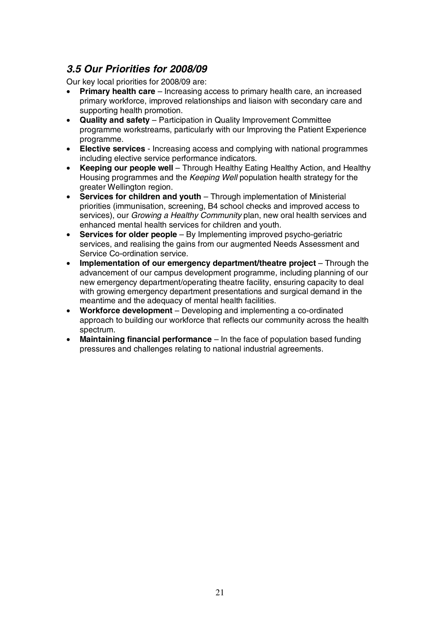## *3.5 Our Priorities for 2008/09*

Our key local priorities for 2008/09 are:

- **Primary health care** Increasing access to primary health care, an increased primary workforce, improved relationships and liaison with secondary care and supporting health promotion.
- **Quality and safety** Participation in Quality Improvement Committee programme workstreams, particularly with our Improving the Patient Experience programme.
- **Elective services** Increasing access and complying with national programmes including elective service performance indicators.
- **Keeping our people well** Through Healthy Eating Healthy Action, and Healthy Housing programmes and the *Keeping Well* population health strategy for the greater Wellington region.
- **Services for children and youth** Through implementation of Ministerial priorities (immunisation, screening, B4 school checks and improved access to services), our *Growing a Healthy Community* plan, new oral health services and enhanced mental health services for children and youth.
- **Services for older people** By Implementing improved psycho-geriatric services, and realising the gains from our augmented Needs Assessment and Service Co-ordination service.
- **Implementation of our emergency department/theatre project** Through the advancement of our campus development programme, including planning of our new emergency department/operating theatre facility, ensuring capacity to deal with growing emergency department presentations and surgical demand in the meantime and the adequacy of mental health facilities.
- **Workforce development** Developing and implementing a co-ordinated approach to building our workforce that reflects our community across the health spectrum.
- **Maintaining financial performance** In the face of population based funding pressures and challenges relating to national industrial agreements.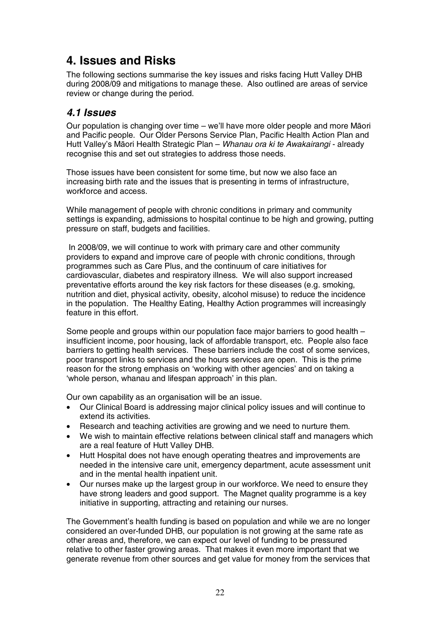# **4. Issues and Risks**

The following sections summarise the key issues and risks facing Hutt Valley DHB during 2008/09 and mitigations to manage these. Also outlined are areas of service review or change during the period.

### *4.1 Issues*

Our population is changing over time – we'll have more older people and more Māori and Pacific people. Our Older Persons Service Plan, Pacific Health Action Plan and Hutt Valley's Māori Health Strategic Plan - Whanau ora ki te Awakairangi - already recognise this and set out strategies to address those needs.

Those issues have been consistent for some time, but now we also face an increasing birth rate and the issues that is presenting in terms of infrastructure, workforce and access.

While management of people with chronic conditions in primary and community settings is expanding, admissions to hospital continue to be high and growing, putting pressure on staff, budgets and facilities.

 In 2008/09, we will continue to work with primary care and other community providers to expand and improve care of people with chronic conditions, through programmes such as Care Plus, and the continuum of care initiatives for cardiovascular, diabetes and respiratory illness. We will also support increased preventative efforts around the key risk factors for these diseases (e.g. smoking, nutrition and diet, physical activity, obesity, alcohol misuse) to reduce the incidence in the population. The Healthy Eating, Healthy Action programmes will increasingly feature in this effort.

Some people and groups within our population face major barriers to good health – insufficient income, poor housing, lack of affordable transport, etc. People also face barriers to getting health services. These barriers include the cost of some services, poor transport links to services and the hours services are open. This is the prime reason for the strong emphasis on 'working with other agencies' and on taking a 'whole person, whanau and lifespan approach' in this plan.

Our own capability as an organisation will be an issue.

- Our Clinical Board is addressing major clinical policy issues and will continue to extend its activities.
- Research and teaching activities are growing and we need to nurture them.
- We wish to maintain effective relations between clinical staff and managers which are a real feature of Hutt Valley DHB.
- Hutt Hospital does not have enough operating theatres and improvements are needed in the intensive care unit, emergency department, acute assessment unit and in the mental health inpatient unit.
- Our nurses make up the largest group in our workforce. We need to ensure they have strong leaders and good support. The Magnet quality programme is a key initiative in supporting, attracting and retaining our nurses.

The Government's health funding is based on population and while we are no longer considered an over-funded DHB, our population is not growing at the same rate as other areas and, therefore, we can expect our level of funding to be pressured relative to other faster growing areas. That makes it even more important that we generate revenue from other sources and get value for money from the services that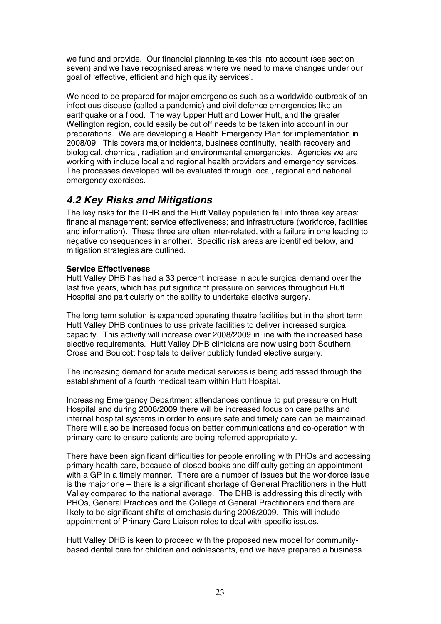we fund and provide. Our financial planning takes this into account (see section seven) and we have recognised areas where we need to make changes under our goal of 'effective, efficient and high quality services'.

We need to be prepared for major emergencies such as a worldwide outbreak of an infectious disease (called a pandemic) and civil defence emergencies like an earthquake or a flood. The way Upper Hutt and Lower Hutt, and the greater Wellington region, could easily be cut off needs to be taken into account in our preparations. We are developing a Health Emergency Plan for implementation in 2008/09. This covers major incidents, business continuity, health recovery and biological, chemical, radiation and environmental emergencies. Agencies we are working with include local and regional health providers and emergency services. The processes developed will be evaluated through local, regional and national emergency exercises.

### *4.2 Key Risks and Mitigations*

The key risks for the DHB and the Hutt Valley population fall into three key areas: financial management; service effectiveness; and infrastructure (workforce, facilities and information). These three are often inter-related, with a failure in one leading to negative consequences in another. Specific risk areas are identified below, and mitigation strategies are outlined.

#### **Service Effectiveness**

Hutt Valley DHB has had a 33 percent increase in acute surgical demand over the last five years, which has put significant pressure on services throughout Hutt Hospital and particularly on the ability to undertake elective surgery.

The long term solution is expanded operating theatre facilities but in the short term Hutt Valley DHB continues to use private facilities to deliver increased surgical capacity. This activity will increase over 2008/2009 in line with the increased base elective requirements. Hutt Valley DHB clinicians are now using both Southern Cross and Boulcott hospitals to deliver publicly funded elective surgery.

The increasing demand for acute medical services is being addressed through the establishment of a fourth medical team within Hutt Hospital.

Increasing Emergency Department attendances continue to put pressure on Hutt Hospital and during 2008/2009 there will be increased focus on care paths and internal hospital systems in order to ensure safe and timely care can be maintained. There will also be increased focus on better communications and co-operation with primary care to ensure patients are being referred appropriately.

There have been significant difficulties for people enrolling with PHOs and accessing primary health care, because of closed books and difficulty getting an appointment with a GP in a timely manner. There are a number of issues but the workforce issue is the major one – there is a significant shortage of General Practitioners in the Hutt Valley compared to the national average. The DHB is addressing this directly with PHOs, General Practices and the College of General Practitioners and there are likely to be significant shifts of emphasis during 2008/2009. This will include appointment of Primary Care Liaison roles to deal with specific issues.

Hutt Valley DHB is keen to proceed with the proposed new model for communitybased dental care for children and adolescents, and we have prepared a business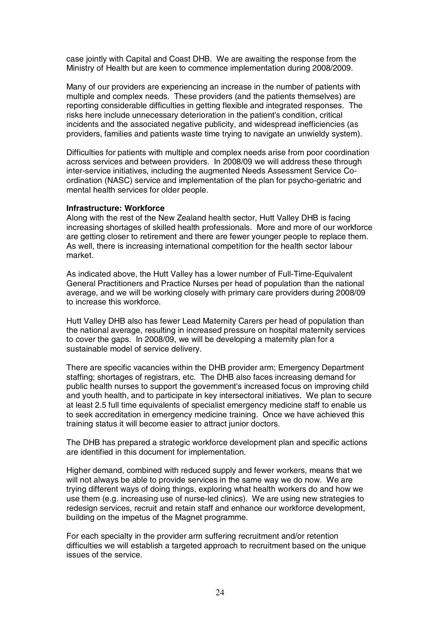case jointly with Capital and Coast DHB. We are awaiting the response from the Ministry of Health but are keen to commence implementation during 2008/2009.

Many of our providers are experiencing an increase in the number of patients with multiple and complex needs. These providers (and the patients themselves) are reporting considerable difficulties in getting flexible and integrated responses. The risks here include unnecessary deterioration in the patient's condition, critical incidents and the associated negative publicity, and widespread inefficiencies (as providers, families and patients waste time trying to navigate an unwieldy system).

Difficulties for patients with multiple and complex needs arise from poor coordination across services and between providers. In 2008/09 we will address these through inter-service initiatives, including the augmented Needs Assessment Service Coordination (NASC) service and implementation of the plan for psycho-geriatric and mental health services for older people.

#### **Infrastructure: Workforce**

Along with the rest of the New Zealand health sector, Hutt Valley DHB is facing increasing shortages of skilled health professionals. More and more of our workforce are getting closer to retirement and there are fewer younger people to replace them. As well, there is increasing international competition for the health sector labour market.

As indicated above, the Hutt Valley has a lower number of Full-Time-Equivalent General Practitioners and Practice Nurses per head of population than the national average, and we will be working closely with primary care providers during 2008/09 to increase this workforce.

Hutt Valley DHB also has fewer Lead Maternity Carers per head of population than the national average, resulting in increased pressure on hospital maternity services to cover the gaps. In 2008/09, we will be developing a maternity plan for a sustainable model of service delivery.

There are specific vacancies within the DHB provider arm; Emergency Department staffing; shortages of registrars, etc. The DHB also faces increasing demand for public health nurses to support the government's increased focus on improving child and youth health, and to participate in key intersectoral initiatives. We plan to secure at least 2.5 full time equivalents of specialist emergency medicine staff to enable us to seek accreditation in emergency medicine training. Once we have achieved this training status it will become easier to attract junior doctors.

The DHB has prepared a strategic workforce development plan and specific actions are identified in this document for implementation.

Higher demand, combined with reduced supply and fewer workers, means that we will not always be able to provide services in the same way we do now. We are trying different ways of doing things, exploring what health workers do and how we use them (e.g. increasing use of nurse-led clinics). We are using new strategies to redesign services, recruit and retain staff and enhance our workforce development, building on the impetus of the Magnet programme.

For each specialty in the provider arm suffering recruitment and/or retention difficulties we will establish a targeted approach to recruitment based on the unique issues of the service.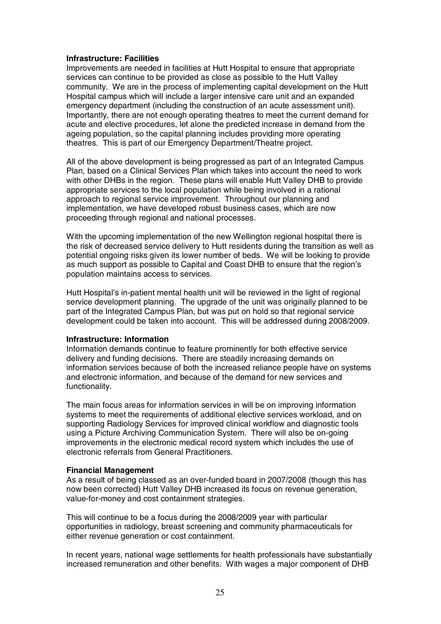#### **Infrastructure: Facilities**

Improvements are needed in facilities at Hutt Hospital to ensure that appropriate services can continue to be provided as close as possible to the Hutt Valley community. We are in the process of implementing capital development on the Hutt Hospital campus which will include a larger intensive care unit and an expanded emergency department (including the construction of an acute assessment unit). Importantly, there are not enough operating theatres to meet the current demand for acute and elective procedures, let alone the predicted increase in demand from the ageing population, so the capital planning includes providing more operating theatres. This is part of our Emergency Department/Theatre project.

All of the above development is being progressed as part of an Integrated Campus Plan, based on a Clinical Services Plan which takes into account the need to work with other DHBs in the region. These plans will enable Hutt Valley DHB to provide appropriate services to the local population while being involved in a rational approach to regional service improvement. Throughout our planning and implementation, we have developed robust business cases, which are now proceeding through regional and national processes.

With the upcoming implementation of the new Wellington regional hospital there is the risk of decreased service delivery to Hutt residents during the transition as well as potential ongoing risks given its lower number of beds. We will be looking to provide as much support as possible to Capital and Coast DHB to ensure that the region's population maintains access to services.

Hutt Hospital's in-patient mental health unit will be reviewed in the light of regional service development planning. The upgrade of the unit was originally planned to be part of the Integrated Campus Plan, but was put on hold so that regional service development could be taken into account. This will be addressed during 2008/2009.

#### **Infrastructure: Information**

Information demands continue to feature prominently for both effective service delivery and funding decisions. There are steadily increasing demands on information services because of both the increased reliance people have on systems and electronic information, and because of the demand for new services and functionality.

The main focus areas for information services in will be on improving information systems to meet the requirements of additional elective services workload, and on supporting Radiology Services for improved clinical workflow and diagnostic tools using a Picture Archiving Communication System. There will also be on-going improvements in the electronic medical record system which includes the use of electronic referrals from General Practitioners.

#### **Financial Management**

As a result of being classed as an over-funded board in 2007/2008 (though this has now been corrected) Hutt Valley DHB increased its focus on revenue generation, value-for-money and cost containment strategies.

This will continue to be a focus during the 2008/2009 year with particular opportunities in radiology, breast screening and community pharmaceuticals for either revenue generation or cost containment.

In recent years, national wage settlements for health professionals have substantially increased remuneration and other benefits. With wages a major component of DHB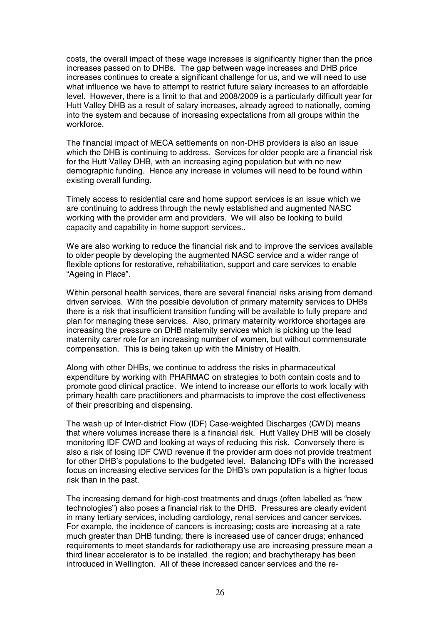costs, the overall impact of these wage increases is significantly higher than the price increases passed on to DHBs. The gap between wage increases and DHB price increases continues to create a significant challenge for us, and we will need to use what influence we have to attempt to restrict future salary increases to an affordable level. However, there is a limit to that and 2008/2009 is a particularly difficult year for Hutt Valley DHB as a result of salary increases, already agreed to nationally, coming into the system and because of increasing expectations from all groups within the workforce.

The financial impact of MECA settlements on non-DHB providers is also an issue which the DHB is continuing to address. Services for older people are a financial risk for the Hutt Valley DHB, with an increasing aging population but with no new demographic funding. Hence any increase in volumes will need to be found within existing overall funding.

Timely access to residential care and home support services is an issue which we are continuing to address through the newly established and augmented NASC working with the provider arm and providers. We will also be looking to build capacity and capability in home support services..

We are also working to reduce the financial risk and to improve the services available to older people by developing the augmented NASC service and a wider range of flexible options for restorative, rehabilitation, support and care services to enable "Ageing in Place".

Within personal health services, there are several financial risks arising from demand driven services. With the possible devolution of primary maternity services to DHBs there is a risk that insufficient transition funding will be available to fully prepare and plan for managing these services. Also, primary maternity workforce shortages are increasing the pressure on DHB maternity services which is picking up the lead maternity carer role for an increasing number of women, but without commensurate compensation. This is being taken up with the Ministry of Health.

Along with other DHBs, we continue to address the risks in pharmaceutical expenditure by working with PHARMAC on strategies to both contain costs and to promote good clinical practice. We intend to increase our efforts to work locally with primary health care practitioners and pharmacists to improve the cost effectiveness of their prescribing and dispensing.

The wash up of Inter-district Flow (IDF) Case-weighted Discharges (CWD) means that where volumes increase there is a financial risk. Hutt Valley DHB will be closely monitoring IDF CWD and looking at ways of reducing this risk. Conversely there is also a risk of losing IDF CWD revenue if the provider arm does not provide treatment for other DHB's populations to the budgeted level. Balancing IDFs with the increased focus on increasing elective services for the DHB's own population is a higher focus risk than in the past.

The increasing demand for high-cost treatments and drugs (often labelled as "new technologies") also poses a financial risk to the DHB. Pressures are clearly evident in many tertiary services, including cardiology, renal services and cancer services. For example, the incidence of cancers is increasing; costs are increasing at a rate much greater than DHB funding; there is increased use of cancer drugs; enhanced requirements to meet standards for radiotherapy use are increasing pressure mean a third linear accelerator is to be installed the region; and brachytherapy has been introduced in Wellington. All of these increased cancer services and the re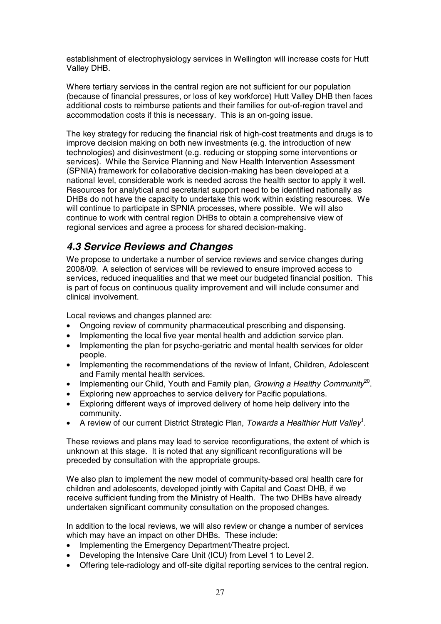establishment of electrophysiology services in Wellington will increase costs for Hutt Valley DHB.

Where tertiary services in the central region are not sufficient for our population (because of financial pressures, or loss of key workforce) Hutt Valley DHB then faces additional costs to reimburse patients and their families for out-of-region travel and accommodation costs if this is necessary. This is an on-going issue.

The key strategy for reducing the financial risk of high-cost treatments and drugs is to improve decision making on both new investments (e.g. the introduction of new technologies) and disinvestment (e.g. reducing or stopping some interventions or services). While the Service Planning and New Health Intervention Assessment (SPNIA) framework for collaborative decision-making has been developed at a national level, considerable work is needed across the health sector to apply it well. Resources for analytical and secretariat support need to be identified nationally as DHBs do not have the capacity to undertake this work within existing resources. We will continue to participate in SPNIA processes, where possible. We will also continue to work with central region DHBs to obtain a comprehensive view of regional services and agree a process for shared decision-making.

### *4.3 Service Reviews and Changes*

We propose to undertake a number of service reviews and service changes during 2008/09. A selection of services will be reviewed to ensure improved access to services, reduced inequalities and that we meet our budgeted financial position. This is part of focus on continuous quality improvement and will include consumer and clinical involvement.

Local reviews and changes planned are:

- Ongoing review of community pharmaceutical prescribing and dispensing.
- Implementing the local five year mental health and addiction service plan.
- Implementing the plan for psycho-geriatric and mental health services for older people.
- Implementing the recommendations of the review of Infant, Children, Adolescent and Family mental health services.
- Implementing our Child, Youth and Family plan, Growing a Healthy Community<sup>20</sup>.
- Exploring new approaches to service delivery for Pacific populations.
- Exploring different ways of improved delivery of home help delivery into the community.
- A review of our current District Strategic Plan, Towards a Healthier Hutt Valley<sup>1</sup>.

These reviews and plans may lead to service reconfigurations, the extent of which is unknown at this stage. It is noted that any significant reconfigurations will be preceded by consultation with the appropriate groups.

We also plan to implement the new model of community-based oral health care for children and adolescents, developed jointly with Capital and Coast DHB, if we receive sufficient funding from the Ministry of Health. The two DHBs have already undertaken significant community consultation on the proposed changes.

In addition to the local reviews, we will also review or change a number of services which may have an impact on other DHBs. These include:

- Implementing the Emergency Department/Theatre project.
- Developing the Intensive Care Unit (ICU) from Level 1 to Level 2.
- Offering tele-radiology and off-site digital reporting services to the central region.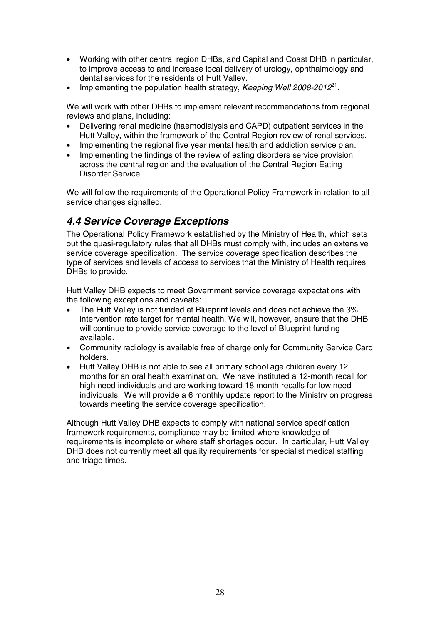- Working with other central region DHBs, and Capital and Coast DHB in particular, to improve access to and increase local delivery of urology, ophthalmology and dental services for the residents of Hutt Valley.
- Implementing the population health strategy, Keeping Well 2008-2012<sup>21</sup>.

We will work with other DHBs to implement relevant recommendations from regional reviews and plans, including:

- Delivering renal medicine (haemodialysis and CAPD) outpatient services in the Hutt Valley, within the framework of the Central Region review of renal services.
- Implementing the regional five year mental health and addiction service plan.
- Implementing the findings of the review of eating disorders service provision across the central region and the evaluation of the Central Region Eating Disorder Service.

We will follow the requirements of the Operational Policy Framework in relation to all service changes signalled.

### *4.4 Service Coverage Exceptions*

The Operational Policy Framework established by the Ministry of Health, which sets out the quasi-regulatory rules that all DHBs must comply with, includes an extensive service coverage specification. The service coverage specification describes the type of services and levels of access to services that the Ministry of Health requires DHBs to provide.

Hutt Valley DHB expects to meet Government service coverage expectations with the following exceptions and caveats:

- The Hutt Valley is not funded at Blueprint levels and does not achieve the 3% intervention rate target for mental health. We will, however, ensure that the DHB will continue to provide service coverage to the level of Blueprint funding available.
- Community radiology is available free of charge only for Community Service Card holders.
- Hutt Valley DHB is not able to see all primary school age children every 12 months for an oral health examination. We have instituted a 12-month recall for high need individuals and are working toward 18 month recalls for low need individuals. We will provide a 6 monthly update report to the Ministry on progress towards meeting the service coverage specification.

Although Hutt Valley DHB expects to comply with national service specification framework requirements, compliance may be limited where knowledge of requirements is incomplete or where staff shortages occur. In particular, Hutt Valley DHB does not currently meet all quality requirements for specialist medical staffing and triage times.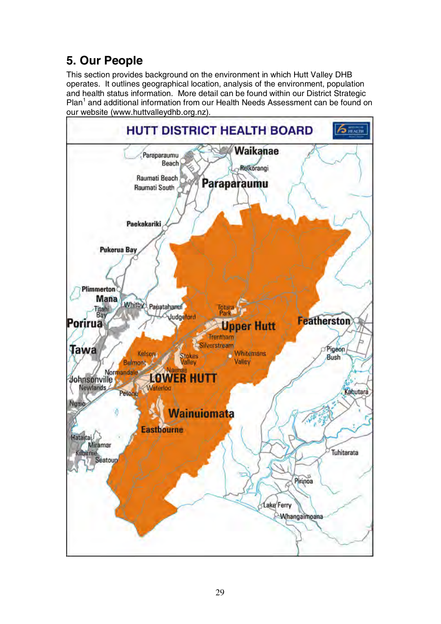# **5. Our People**

This section provides background on the environment in which Hutt Valley DHB operates. It outlines geographical location, analysis of the environment, population and health status information. More detail can be found within our District Strategic Plan<sup>1</sup> and additional information from our Health Needs Assessment can be found on our website (www.huttvalleydhb.org.nz).

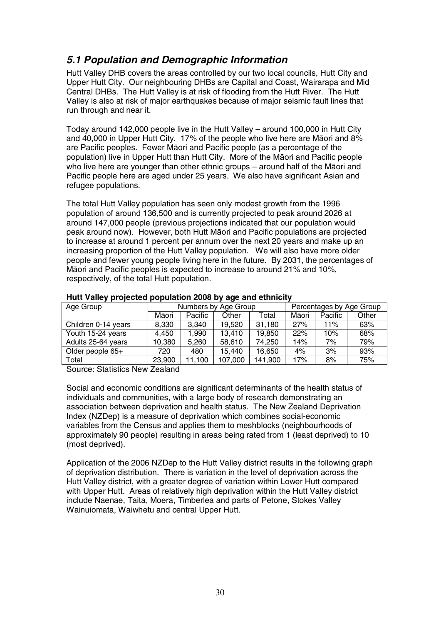## *5.1 Population and Demographic Information*

Hutt Valley DHB covers the areas controlled by our two local councils, Hutt City and Upper Hutt City. Our neighbouring DHBs are Capital and Coast, Wairarapa and Mid Central DHBs. The Hutt Valley is at risk of flooding from the Hutt River. The Hutt Valley is also at risk of major earthquakes because of major seismic fault lines that run through and near it.

Today around 142,000 people live in the Hutt Valley – around 100,000 in Hutt City and 40,000 in Upper Hutt City. 17% of the people who live here are Māori and 8% are Pacific peoples. Fewer Māori and Pacific people (as a percentage of the population) live in Upper Hutt than Hutt City. More of the Māori and Pacific people who live here are vounger than other ethnic groups – around half of the Māori and Pacific people here are aged under 25 years. We also have significant Asian and refugee populations.

The total Hutt Valley population has seen only modest growth from the 1996 population of around 136,500 and is currently projected to peak around 2026 at around 147,000 people (previous projections indicated that our population would peak around now). However, both Hutt Maori and Pacific populations are projected to increase at around 1 percent per annum over the next 20 years and make up an increasing proportion of the Hutt Valley population. We will also have more older people and fewer young people living here in the future. By 2031, the percentages of Māori and Pacific peoples is expected to increase to around 21% and 10%, respectively, of the total Hutt population.

| Age Group           | Numbers by Age Group |         |         | Percentages by Age Group |       |         |       |
|---------------------|----------------------|---------|---------|--------------------------|-------|---------|-------|
|                     | Māori                | Pacific | Other   | Total                    | Māori | Pacific | Other |
| Children 0-14 years | 8,330                | 3,340   | 19,520  | 31,180                   | 27%   | 11%     | 63%   |
| Youth 15-24 years   | 4.450                | 1.990   | 13,410  | 19,850                   | 22%   | 10%     | 68%   |
| Adults 25-64 years  | 10,380               | 5,260   | 58,610  | 74,250                   | 14%   | 7%      | 79%   |
| Older people 65+    | 720                  | 480     | 15,440  | 16,650                   | 4%    | 3%      | 93%   |
| Total               | 23,900               | 11.100  | 107,000 | 141,900                  | 17%   | 8%      | 75%   |
|                     |                      |         |         |                          |       |         |       |

#### **Hutt Valley projected population 2008 by age and ethnicity**

Source: Statistics New Zealand

Social and economic conditions are significant determinants of the health status of individuals and communities, with a large body of research demonstrating an association between deprivation and health status. The New Zealand Deprivation Index (NZDep) is a measure of deprivation which combines social-economic variables from the Census and applies them to meshblocks (neighbourhoods of approximately 90 people) resulting in areas being rated from 1 (least deprived) to 10 (most deprived).

Application of the 2006 NZDep to the Hutt Valley district results in the following graph of deprivation distribution. There is variation in the level of deprivation across the Hutt Valley district, with a greater degree of variation within Lower Hutt compared with Upper Hutt. Areas of relatively high deprivation within the Hutt Valley district include Naenae, Taita, Moera, Timberlea and parts of Petone, Stokes Valley Wainuiomata, Waiwhetu and central Upper Hutt.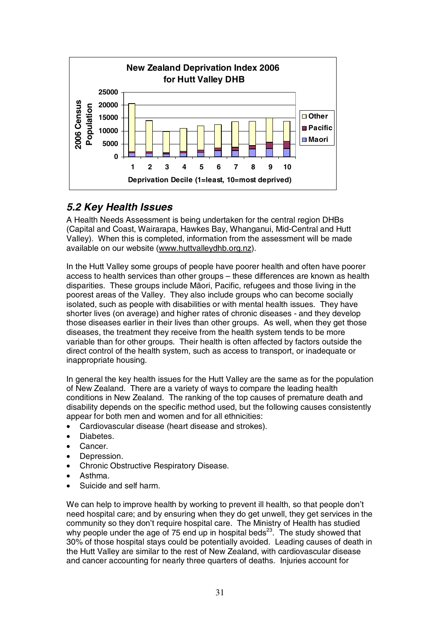

## *5.2 Key Health Issues*

A Health Needs Assessment is being undertaken for the central region DHBs (Capital and Coast, Wairarapa, Hawkes Bay, Whanganui, Mid-Central and Hutt Valley). When this is completed, information from the assessment will be made available on our website (www.huttvalleydhb.org.nz).

In the Hutt Valley some groups of people have poorer health and often have poorer access to health services than other groups – these differences are known as health disparities. These groups include Māori, Pacific, refugees and those living in the poorest areas of the Valley. They also include groups who can become socially isolated, such as people with disabilities or with mental health issues. They have shorter lives (on average) and higher rates of chronic diseases - and they develop those diseases earlier in their lives than other groups. As well, when they get those diseases, the treatment they receive from the health system tends to be more variable than for other groups. Their health is often affected by factors outside the direct control of the health system, such as access to transport, or inadequate or inappropriate housing.

In general the key health issues for the Hutt Valley are the same as for the population of New Zealand. There are a variety of ways to compare the leading health conditions in New Zealand. The ranking of the top causes of premature death and disability depends on the specific method used, but the following causes consistently appear for both men and women and for all ethnicities:

- Cardiovascular disease (heart disease and strokes).
- Diabetes.
- Cancer.
- Depression.
- Chronic Obstructive Respiratory Disease.
- Asthma.
- Suicide and self harm.

We can help to improve health by working to prevent ill health, so that people don't need hospital care; and by ensuring when they do get unwell, they get services in the community so they don't require hospital care. The Ministry of Health has studied why people under the age of 75 end up in hospital beds<sup>23</sup>. The study showed that 30% of those hospital stays could be potentially avoided. Leading causes of death in the Hutt Valley are similar to the rest of New Zealand, with cardiovascular disease and cancer accounting for nearly three quarters of deaths. Injuries account for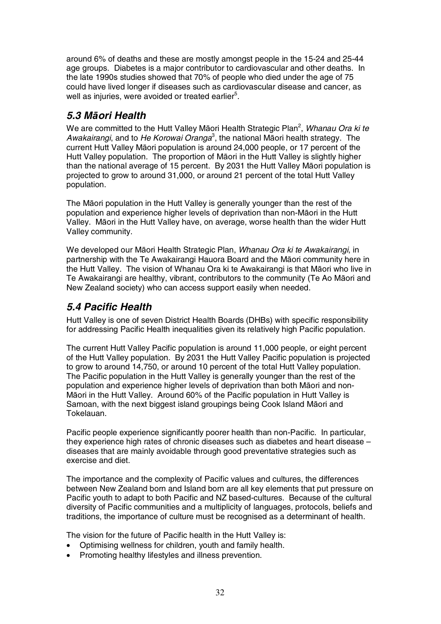around 6% of deaths and these are mostly amongst people in the 15-24 and 25-44 age groups. Diabetes is a major contributor to cardiovascular and other deaths. In the late 1990s studies showed that 70% of people who died under the age of 75 could have lived longer if diseases such as cardiovascular disease and cancer, as well as injuries, were avoided or treated earlier $5$ .

### *5.3 MƗori Health*

We are committed to the Hutt Valley Māori Health Strategic Plan<sup>2</sup>, *Whanau Ora ki te* Awakairangi, and to He Korowai Oranga<sup>3</sup>, the national Māori health strategy. The current Hutt Valley Māori population is around 24,000 people, or 17 percent of the Hutt Valley population. The proportion of Māori in the Hutt Valley is slightly higher than the national average of 15 percent. By 2031 the Hutt Valley Māori population is projected to grow to around 31,000, or around 21 percent of the total Hutt Valley population.

The Māori population in the Hutt Valley is generally younger than the rest of the population and experience higher levels of deprivation than non-Māori in the Hutt Valley. MƗori in the Hutt Valley have, on average, worse health than the wider Hutt Valley community.

We developed our Māori Health Strategic Plan, Whanau Ora ki te Awakairangi, in partnership with the Te Awakairangi Hauora Board and the Māori community here in the Hutt Valley. The vision of Whanau Ora ki te Awakairangi is that Māori who live in Te Awakairangi are healthy, vibrant, contributors to the community (Te Ao MƗori and New Zealand society) who can access support easily when needed.

### *5.4 Pacific Health*

Hutt Valley is one of seven District Health Boards (DHBs) with specific responsibility for addressing Pacific Health inequalities given its relatively high Pacific population.

The current Hutt Valley Pacific population is around 11,000 people, or eight percent of the Hutt Valley population. By 2031 the Hutt Valley Pacific population is projected to grow to around 14,750, or around 10 percent of the total Hutt Valley population. The Pacific population in the Hutt Valley is generally younger than the rest of the population and experience higher levels of deprivation than both Māori and non-Māori in the Hutt Valley. Around 60% of the Pacific population in Hutt Valley is Samoan, with the next biggest island groupings being Cook Island Māori and Tokelauan.

Pacific people experience significantly poorer health than non-Pacific. In particular, they experience high rates of chronic diseases such as diabetes and heart disease – diseases that are mainly avoidable through good preventative strategies such as exercise and diet.

The importance and the complexity of Pacific values and cultures, the differences between New Zealand born and Island born are all key elements that put pressure on Pacific youth to adapt to both Pacific and NZ based-cultures. Because of the cultural diversity of Pacific communities and a multiplicity of languages, protocols, beliefs and traditions, the importance of culture must be recognised as a determinant of health.

The vision for the future of Pacific health in the Hutt Valley is:

- Optimising wellness for children, youth and family health.
- Promoting healthy lifestyles and illness prevention.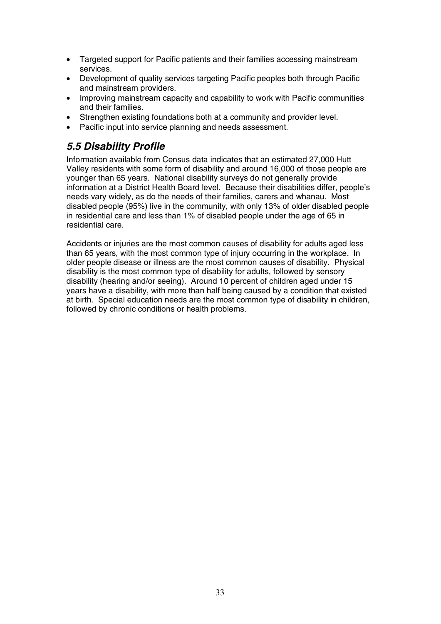- Targeted support for Pacific patients and their families accessing mainstream services.
- Development of quality services targeting Pacific peoples both through Pacific and mainstream providers.
- Improving mainstream capacity and capability to work with Pacific communities and their families.
- Strengthen existing foundations both at a community and provider level.
- Pacific input into service planning and needs assessment.

## *5.5 Disability Profile*

Information available from Census data indicates that an estimated 27,000 Hutt Valley residents with some form of disability and around 16,000 of those people are younger than 65 years. National disability surveys do not generally provide information at a District Health Board level. Because their disabilities differ, people's needs vary widely, as do the needs of their families, carers and whanau. Most disabled people (95%) live in the community, with only 13% of older disabled people in residential care and less than 1% of disabled people under the age of 65 in residential care.

Accidents or injuries are the most common causes of disability for adults aged less than 65 years, with the most common type of injury occurring in the workplace. In older people disease or illness are the most common causes of disability. Physical disability is the most common type of disability for adults, followed by sensory disability (hearing and/or seeing). Around 10 percent of children aged under 15 years have a disability, with more than half being caused by a condition that existed at birth. Special education needs are the most common type of disability in children, followed by chronic conditions or health problems.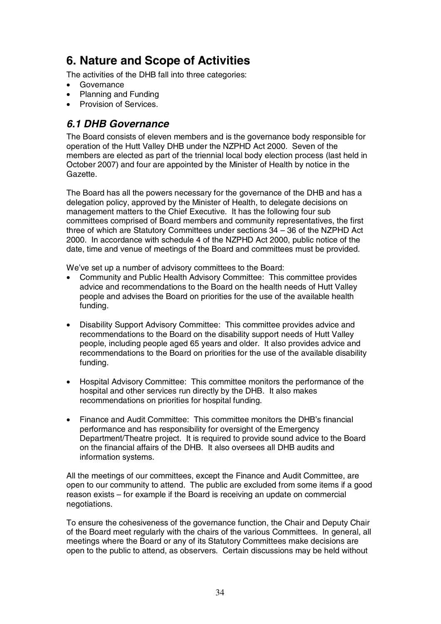# **6. Nature and Scope of Activities**

The activities of the DHB fall into three categories:

- Governance
- Planning and Funding
- Provision of Services.

### *6.1 DHB Governance*

The Board consists of eleven members and is the governance body responsible for operation of the Hutt Valley DHB under the NZPHD Act 2000. Seven of the members are elected as part of the triennial local body election process (last held in October 2007) and four are appointed by the Minister of Health by notice in the Gazette.

The Board has all the powers necessary for the governance of the DHB and has a delegation policy, approved by the Minister of Health, to delegate decisions on management matters to the Chief Executive. It has the following four sub committees comprised of Board members and community representatives, the first three of which are Statutory Committees under sections 34 – 36 of the NZPHD Act 2000. In accordance with schedule 4 of the NZPHD Act 2000, public notice of the date, time and venue of meetings of the Board and committees must be provided.

We've set up a number of advisory committees to the Board:

- Community and Public Health Advisory Committee: This committee provides advice and recommendations to the Board on the health needs of Hutt Valley people and advises the Board on priorities for the use of the available health funding.
- Disability Support Advisory Committee: This committee provides advice and recommendations to the Board on the disability support needs of Hutt Valley people, including people aged 65 years and older. It also provides advice and recommendations to the Board on priorities for the use of the available disability funding.
- Hospital Advisory Committee: This committee monitors the performance of the hospital and other services run directly by the DHB. It also makes recommendations on priorities for hospital funding.
- Finance and Audit Committee: This committee monitors the DHB's financial performance and has responsibility for oversight of the Emergency Department/Theatre project. It is required to provide sound advice to the Board on the financial affairs of the DHB. It also oversees all DHB audits and information systems.

All the meetings of our committees, except the Finance and Audit Committee, are open to our community to attend. The public are excluded from some items if a good reason exists – for example if the Board is receiving an update on commercial negotiations.

To ensure the cohesiveness of the governance function, the Chair and Deputy Chair of the Board meet regularly with the chairs of the various Committees. In general, all meetings where the Board or any of its Statutory Committees make decisions are open to the public to attend, as observers. Certain discussions may be held without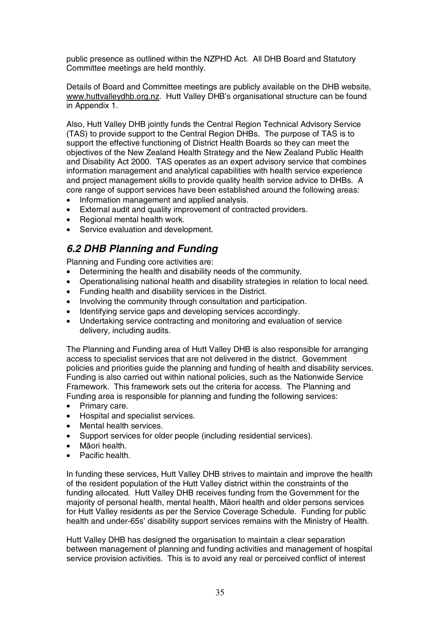public presence as outlined within the NZPHD Act. All DHB Board and Statutory Committee meetings are held monthly.

Details of Board and Committee meetings are publicly available on the DHB website, www.huttvalleydhb.org.nz. Hutt Valley DHB's organisational structure can be found in Appendix 1.

Also, Hutt Valley DHB jointly funds the Central Region Technical Advisory Service (TAS) to provide support to the Central Region DHBs. The purpose of TAS is to support the effective functioning of District Health Boards so they can meet the objectives of the New Zealand Health Strategy and the New Zealand Public Health and Disability Act 2000. TAS operates as an expert advisory service that combines information management and analytical capabilities with health service experience and project management skills to provide quality health service advice to DHBs. A core range of support services have been established around the following areas:

- Information management and applied analysis.
- External audit and quality improvement of contracted providers.
- Regional mental health work.
- Service evaluation and development.

### *6.2 DHB Planning and Funding*

Planning and Funding core activities are:

- Determining the health and disability needs of the community.
- Operationalising national health and disability strategies in relation to local need.
- Funding health and disability services in the District.
- Involving the community through consultation and participation.
- Identifying service gaps and developing services accordingly.
- Undertaking service contracting and monitoring and evaluation of service delivery, including audits.

The Planning and Funding area of Hutt Valley DHB is also responsible for arranging access to specialist services that are not delivered in the district. Government policies and priorities guide the planning and funding of health and disability services. Funding is also carried out within national policies, such as the Nationwide Service Framework. This framework sets out the criteria for access. The Planning and Funding area is responsible for planning and funding the following services:

- Primary care.
- Hospital and specialist services.
- Mental health services.
- Support services for older people (including residential services).
- Māori health.
- Pacific health.

In funding these services, Hutt Valley DHB strives to maintain and improve the health of the resident population of the Hutt Valley district within the constraints of the funding allocated. Hutt Valley DHB receives funding from the Government for the majority of personal health, mental health, Māori health and older persons services for Hutt Valley residents as per the Service Coverage Schedule. Funding for public health and under-65s' disability support services remains with the Ministry of Health.

Hutt Valley DHB has designed the organisation to maintain a clear separation between management of planning and funding activities and management of hospital service provision activities. This is to avoid any real or perceived conflict of interest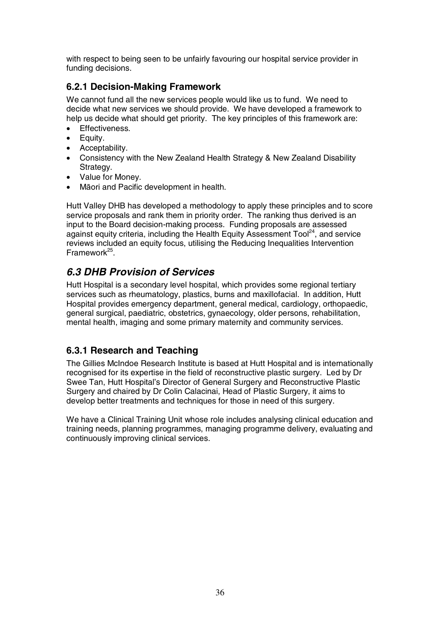with respect to being seen to be unfairly favouring our hospital service provider in funding decisions.

### **6.2.1 Decision-Making Framework**

We cannot fund all the new services people would like us to fund. We need to decide what new services we should provide. We have developed a framework to help us decide what should get priority. The key principles of this framework are:

- Effectiveness.
- Equity.
- Acceptability.
- Consistency with the New Zealand Health Strategy & New Zealand Disability Strategy.
- Value for Money.
- Māori and Pacific development in health.

Hutt Valley DHB has developed a methodology to apply these principles and to score service proposals and rank them in priority order. The ranking thus derived is an input to the Board decision-making process. Funding proposals are assessed against equity criteria, including the Health Equity Assessment Tool<sup>24</sup>, and service reviews included an equity focus, utilising the Reducing Inequalities Intervention  $Framework<sup>25</sup>$ .

## *6.3 DHB Provision of Services*

Hutt Hospital is a secondary level hospital, which provides some regional tertiary services such as rheumatology, plastics, burns and maxillofacial. In addition, Hutt Hospital provides emergency department, general medical, cardiology, orthopaedic, general surgical, paediatric, obstetrics, gynaecology, older persons, rehabilitation, mental health, imaging and some primary maternity and community services.

### **6.3.1 Research and Teaching**

The Gillies McIndoe Research Institute is based at Hutt Hospital and is internationally recognised for its expertise in the field of reconstructive plastic surgery. Led by Dr Swee Tan, Hutt Hospital's Director of General Surgery and Reconstructive Plastic Surgery and chaired by Dr Colin Calacinai, Head of Plastic Surgery, it aims to develop better treatments and techniques for those in need of this surgery.

We have a Clinical Training Unit whose role includes analysing clinical education and training needs, planning programmes, managing programme delivery, evaluating and continuously improving clinical services.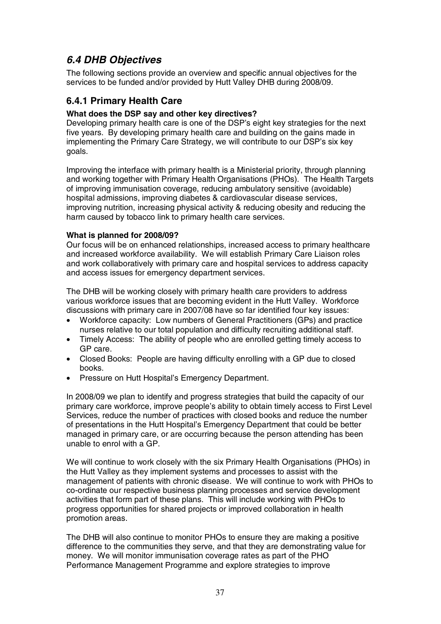# *6.4 DHB Objectives*

The following sections provide an overview and specific annual objectives for the services to be funded and/or provided by Hutt Valley DHB during 2008/09.

# **6.4.1 Primary Health Care**

## **What does the DSP say and other key directives?**

Developing primary health care is one of the DSP's eight key strategies for the next five years. By developing primary health care and building on the gains made in implementing the Primary Care Strategy, we will contribute to our DSP's six key goals.

Improving the interface with primary health is a Ministerial priority, through planning and working together with Primary Health Organisations (PHOs). The Health Targets of improving immunisation coverage, reducing ambulatory sensitive (avoidable) hospital admissions, improving diabetes & cardiovascular disease services, improving nutrition, increasing physical activity & reducing obesity and reducing the harm caused by tobacco link to primary health care services.

## **What is planned for 2008/09?**

Our focus will be on enhanced relationships, increased access to primary healthcare and increased workforce availability. We will establish Primary Care Liaison roles and work collaboratively with primary care and hospital services to address capacity and access issues for emergency department services.

The DHB will be working closely with primary health care providers to address various workforce issues that are becoming evident in the Hutt Valley. Workforce discussions with primary care in 2007/08 have so far identified four key issues:

- Workforce capacity: Low numbers of General Practitioners (GPs) and practice nurses relative to our total population and difficulty recruiting additional staff.
- Timely Access: The ability of people who are enrolled getting timely access to GP care.
- Closed Books: People are having difficulty enrolling with a GP due to closed books.
- Pressure on Hutt Hospital's Emergency Department.

In 2008/09 we plan to identify and progress strategies that build the capacity of our primary care workforce, improve people's ability to obtain timely access to First Level Services, reduce the number of practices with closed books and reduce the number of presentations in the Hutt Hospital's Emergency Department that could be better managed in primary care, or are occurring because the person attending has been unable to enrol with a GP.

We will continue to work closely with the six Primary Health Organisations (PHOs) in the Hutt Valley as they implement systems and processes to assist with the management of patients with chronic disease. We will continue to work with PHOs to co-ordinate our respective business planning processes and service development activities that form part of these plans. This will include working with PHOs to progress opportunities for shared projects or improved collaboration in health promotion areas.

The DHB will also continue to monitor PHOs to ensure they are making a positive difference to the communities they serve, and that they are demonstrating value for money. We will monitor immunisation coverage rates as part of the PHO Performance Management Programme and explore strategies to improve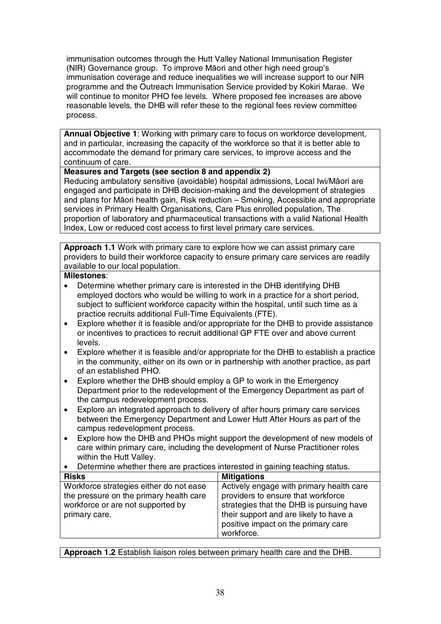immunisation outcomes through the Hutt Valley National Immunisation Register (NIR) Governance group. To improve Māori and other high need group's immunisation coverage and reduce inequalities we will increase support to our NIR programme and the Outreach Immunisation Service provided by Kokiri Marae. We will continue to monitor PHO fee levels. Where proposed fee increases are above reasonable levels, the DHB will refer these to the regional fees review committee process.

**Annual Objective 1**: Working with primary care to focus on workforce development, and in particular, increasing the capacity of the workforce so that it is better able to accommodate the demand for primary care services, to improve access and the continuum of care.

## **Measures and Targets (see section 8 and appendix 2)**

Reducing ambulatory sensitive (avoidable) hospital admissions, Local Iwi/Māori are engaged and participate in DHB decision-making and the development of strategies and plans for Māori health gain, Risk reduction – Smoking, Accessible and appropriate services in Primary Health Organisations, Care Plus enrolled population, The proportion of laboratory and pharmaceutical transactions with a valid National Health Index, Low or reduced cost access to first level primary care services.

**Approach 1.1** Work with primary care to explore how we can assist primary care providers to build their workforce capacity to ensure primary care services are readily available to our local population.

#### **Milestones**:

- Determine whether primary care is interested in the DHB identifying DHB employed doctors who would be willing to work in a practice for a short period, subject to sufficient workforce capacity within the hospital, until such time as a practice recruits additional Full-Time Equivalents (FTE).
- Explore whether it is feasible and/or appropriate for the DHB to provide assistance or incentives to practices to recruit additional GP FTE over and above current levels.
- Explore whether it is feasible and/or appropriate for the DHB to establish a practice in the community, either on its own or in partnership with another practice, as part of an established PHO.
- Explore whether the DHB should employ a GP to work in the Emergency Department prior to the redevelopment of the Emergency Department as part of the campus redevelopment process.
- Explore an integrated approach to delivery of after hours primary care services between the Emergency Department and Lower Hutt After Hours as part of the campus redevelopment process.
- Explore how the DHB and PHOs might support the development of new models of care within primary care, including the development of Nurse Practitioner roles within the Hutt Valley.
- Determine whether there are practices interested in gaining teaching status.

| <b>Risks</b>                                                                       | <b>Mitigations</b>                                                                                                                      |
|------------------------------------------------------------------------------------|-----------------------------------------------------------------------------------------------------------------------------------------|
| Workforce strategies either do not ease<br>the pressure on the primary health care | Actively engage with primary health care<br>providers to ensure that workforce                                                          |
| workforce or are not supported by<br>primary care.                                 | strategies that the DHB is pursuing have<br>their support and are likely to have a<br>positive impact on the primary care<br>workforce. |

**Approach 1.2** Establish liaison roles between primary health care and the DHB.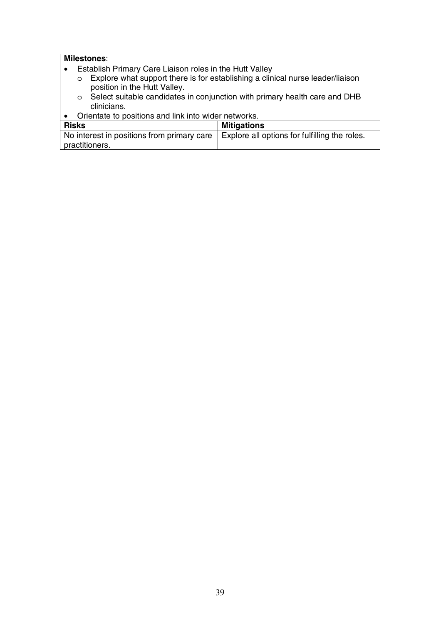- Establish Primary Care Liaison roles in the Hutt Valley
	- o Explore what support there is for establishing a clinical nurse leader/liaison position in the Hutt Valley.
	- o Select suitable candidates in conjunction with primary health care and DHB clinicians.
- Orientate to positions and link into wider networks.

| Risks                                      | <b>Mitigations</b>                            |
|--------------------------------------------|-----------------------------------------------|
| No interest in positions from primary care | Explore all options for fulfilling the roles. |
| practitioners.                             |                                               |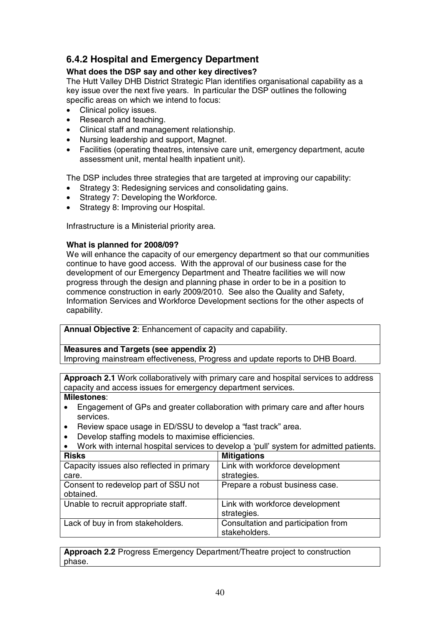# **6.4.2 Hospital and Emergency Department**

# **What does the DSP say and other key directives?**

The Hutt Valley DHB District Strategic Plan identifies organisational capability as a key issue over the next five years. In particular the DSP outlines the following specific areas on which we intend to focus:

- Clinical policy issues.
- Research and teaching.
- Clinical staff and management relationship.
- Nursing leadership and support, Magnet.
- Facilities (operating theatres, intensive care unit, emergency department, acute assessment unit, mental health inpatient unit).

The DSP includes three strategies that are targeted at improving our capability:

- Strategy 3: Redesigning services and consolidating gains.
- Strategy 7: Developing the Workforce.
- Strategy 8: Improving our Hospital.

Infrastructure is a Ministerial priority area.

## **What is planned for 2008/09?**

We will enhance the capacity of our emergency department so that our communities continue to have good access. With the approval of our business case for the development of our Emergency Department and Theatre facilities we will now progress through the design and planning phase in order to be in a position to commence construction in early 2009/2010. See also the Quality and Safety, Information Services and Workforce Development sections for the other aspects of capability.

**Annual Objective 2**: Enhancement of capacity and capability.

**Measures and Targets (see appendix 2)** 

Improving mainstream effectiveness, Progress and update reports to DHB Board.

**Approach 2.1** Work collaboratively with primary care and hospital services to address capacity and access issues for emergency department services.

**Milestones**:

- Engagement of GPs and greater collaboration with primary care and after hours services.
- Review space usage in ED/SSU to develop a "fast track" area.
- Develop staffing models to maximise efficiencies.

| Work with internal hospital services to develop a 'pull' system for admitted patients. |                                     |  |  |  |
|----------------------------------------------------------------------------------------|-------------------------------------|--|--|--|
| <b>Risks</b>                                                                           | <b>Mitigations</b>                  |  |  |  |
| Capacity issues also reflected in primary                                              | Link with workforce development     |  |  |  |
| care.                                                                                  | strategies.                         |  |  |  |
| Consent to redevelop part of SSU not                                                   | Prepare a robust business case.     |  |  |  |
| obtained.                                                                              |                                     |  |  |  |
| Unable to recruit appropriate staff.                                                   | Link with workforce development     |  |  |  |
|                                                                                        | strategies.                         |  |  |  |
| Lack of buy in from stakeholders.                                                      | Consultation and participation from |  |  |  |
|                                                                                        | stakeholders.                       |  |  |  |

**Approach 2.2** Progress Emergency Department/Theatre project to construction phase.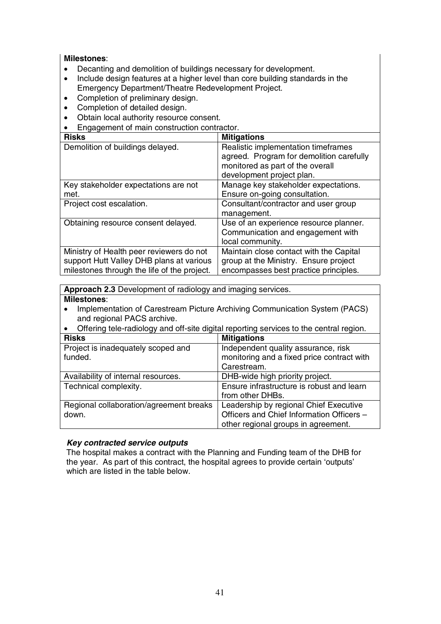**Milestones**:

- Decanting and demolition of buildings necessary for development.
- Include design features at a higher level than core building standards in the Emergency Department/Theatre Redevelopment Project.
- Completion of preliminary design.
- Completion of detailed design.
- Obtain local authority resource consent.
- Engagement of main construction contractor.

| <b>Risks</b>                                | <b>Mitigations</b>                       |
|---------------------------------------------|------------------------------------------|
| Demolition of buildings delayed.            | Realistic implementation timeframes      |
|                                             | agreed. Program for demolition carefully |
|                                             | monitored as part of the overall         |
|                                             | development project plan.                |
| Key stakeholder expectations are not        | Manage key stakeholder expectations.     |
| met.                                        | Ensure on-going consultation.            |
| Project cost escalation.                    | Consultant/contractor and user group     |
|                                             | management.                              |
| Obtaining resource consent delayed.         | Use of an experience resource planner.   |
|                                             | Communication and engagement with        |
|                                             | local community.                         |
| Ministry of Health peer reviewers do not    | Maintain close contact with the Capital  |
| support Hutt Valley DHB plans at various    | group at the Ministry. Ensure project    |
| milestones through the life of the project. | encompasses best practice principles.    |

**Approach 2.3** Development of radiology and imaging services. **Milestones**:

- Implementation of Carestream Picture Archiving Communication System (PACS) and regional PACS archive.
- Offering tele-radiology and off-site digital reporting services to the central region.

| <b>Risks</b>                            | <b>Mitigations</b>                         |
|-----------------------------------------|--------------------------------------------|
| Project is inadequately scoped and      | Independent quality assurance, risk        |
| funded.                                 | monitoring and a fixed price contract with |
|                                         | Carestream.                                |
| Availability of internal resources.     | DHB-wide high priority project.            |
| Technical complexity.                   | Ensure infrastructure is robust and learn  |
|                                         | from other DHBs.                           |
| Regional collaboration/agreement breaks | Leadership by regional Chief Executive     |
| down.                                   | Officers and Chief Information Officers -  |
|                                         | other regional groups in agreement.        |

#### *Key contracted service outputs*

The hospital makes a contract with the Planning and Funding team of the DHB for the year. As part of this contract, the hospital agrees to provide certain 'outputs' which are listed in the table below.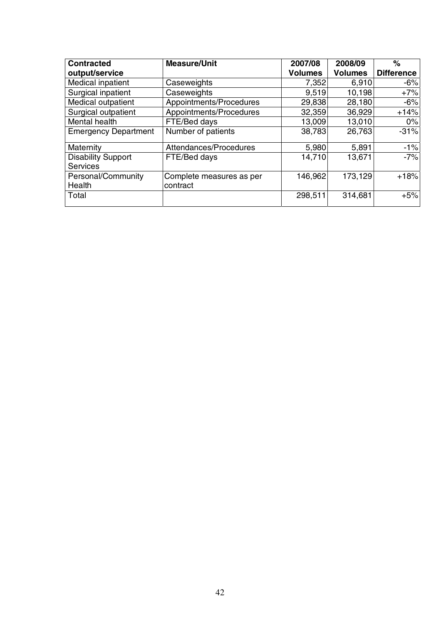| <b>Contracted</b>                            | <b>Measure/Unit</b>                  | 2007/08        | 2008/09        | $\%$              |
|----------------------------------------------|--------------------------------------|----------------|----------------|-------------------|
| output/service                               |                                      | <b>Volumes</b> | <b>Volumes</b> | <b>Difference</b> |
| Medical inpatient                            | Caseweights                          | 7,352          | 6,910          | $-6%$             |
| Surgical inpatient                           | Caseweights                          | 9,519          | 10,198         | $+7%$             |
| Medical outpatient                           | Appointments/Procedures              | 29,838         | 28,180         | $-6%$             |
| Surgical outpatient                          | Appointments/Procedures              | 32,359         | 36,929         | $+14%$            |
| Mental health                                | FTE/Bed days                         | 13,009         | 13,010         | 0%                |
| <b>Emergency Department</b>                  | Number of patients                   | 38,783         | 26,763         | $-31%$            |
| Maternity                                    | Attendances/Procedures               | 5,980          | 5,891          | $-1%$             |
| <b>Disability Support</b><br><b>Services</b> | FTE/Bed days                         | 14,710         | 13,671         | $-7%$             |
| Personal/Community<br>Health                 | Complete measures as per<br>contract | 146,962        | 173,129        | $+18%$            |
| Total                                        |                                      | 298,511        | 314,681        | $+5%$             |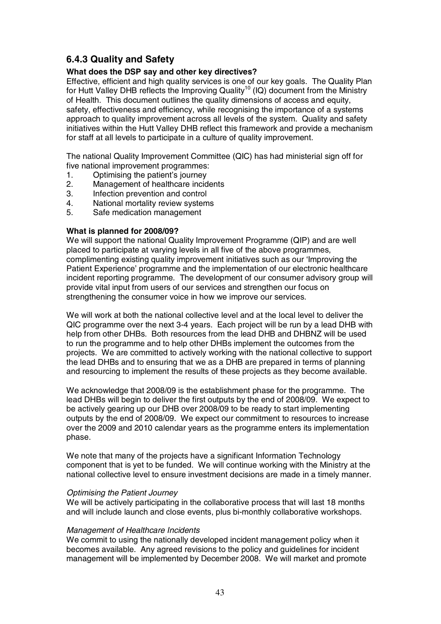# **6.4.3 Quality and Safety**

#### **What does the DSP say and other key directives?**

Effective, efficient and high quality services is one of our key goals. The Quality Plan for Hutt Valley DHB reflects the Improving Quality<sup>10</sup> (IQ) document from the Ministry of Health. This document outlines the quality dimensions of access and equity, safety, effectiveness and efficiency, while recognising the importance of a systems approach to quality improvement across all levels of the system. Quality and safety initiatives within the Hutt Valley DHB reflect this framework and provide a mechanism for staff at all levels to participate in a culture of quality improvement.

The national Quality Improvement Committee (QIC) has had ministerial sign off for five national improvement programmes:

- 1. Optimising the patient's journey
- 2. Management of healthcare incidents
- 3. Infection prevention and control
- 4. National mortality review systems
- 5. Safe medication management

#### **What is planned for 2008/09?**

We will support the national Quality Improvement Programme (QIP) and are well placed to participate at varying levels in all five of the above programmes, complimenting existing quality improvement initiatives such as our 'Improving the Patient Experience' programme and the implementation of our electronic healthcare incident reporting programme. The development of our consumer advisory group will provide vital input from users of our services and strengthen our focus on strengthening the consumer voice in how we improve our services.

We will work at both the national collective level and at the local level to deliver the QIC programme over the next 3-4 years. Each project will be run by a lead DHB with help from other DHBs. Both resources from the lead DHB and DHBNZ will be used to run the programme and to help other DHBs implement the outcomes from the projects. We are committed to actively working with the national collective to support the lead DHBs and to ensuring that we as a DHB are prepared in terms of planning and resourcing to implement the results of these projects as they become available.

We acknowledge that 2008/09 is the establishment phase for the programme. The lead DHBs will begin to deliver the first outputs by the end of 2008/09. We expect to be actively gearing up our DHB over 2008/09 to be ready to start implementing outputs by the end of 2008/09. We expect our commitment to resources to increase over the 2009 and 2010 calendar years as the programme enters its implementation phase.

We note that many of the projects have a significant Information Technology component that is yet to be funded. We will continue working with the Ministry at the national collective level to ensure investment decisions are made in a timely manner.

#### Optimising the Patient Journey

We will be actively participating in the collaborative process that will last 18 months and will include launch and close events, plus bi-monthly collaborative workshops.

#### Management of Healthcare Incidents

We commit to using the nationally developed incident management policy when it becomes available. Any agreed revisions to the policy and guidelines for incident management will be implemented by December 2008. We will market and promote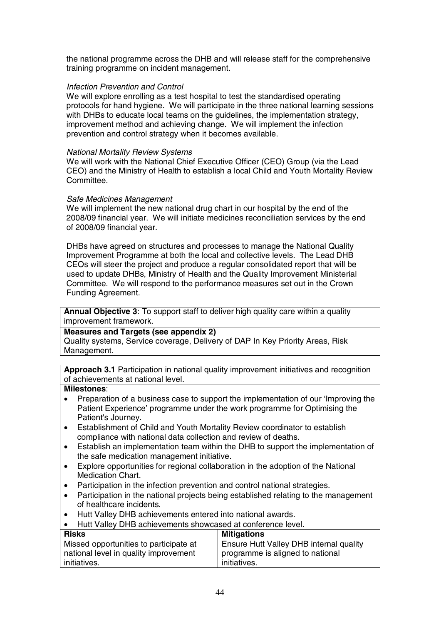the national programme across the DHB and will release staff for the comprehensive training programme on incident management.

#### Infection Prevention and Control

We will explore enrolling as a test hospital to test the standardised operating protocols for hand hygiene. We will participate in the three national learning sessions with DHBs to educate local teams on the guidelines, the implementation strategy, improvement method and achieving change. We will implement the infection prevention and control strategy when it becomes available.

#### National Mortality Review Systems

We will work with the National Chief Executive Officer (CEO) Group (via the Lead CEO) and the Ministry of Health to establish a local Child and Youth Mortality Review Committee.

#### Safe Medicines Management

We will implement the new national drug chart in our hospital by the end of the 2008/09 financial year. We will initiate medicines reconciliation services by the end of 2008/09 financial year.

DHBs have agreed on structures and processes to manage the National Quality Improvement Programme at both the local and collective levels. The Lead DHB CEOs will steer the project and produce a regular consolidated report that will be used to update DHBs, Ministry of Health and the Quality Improvement Ministerial Committee. We will respond to the performance measures set out in the Crown Funding Agreement.

**Annual Objective 3**: To support staff to deliver high quality care within a quality improvement framework.

#### **Measures and Targets (see appendix 2)**

Quality systems, Service coverage, Delivery of DAP In Key Priority Areas, Risk Management.

**Approach 3.1** Participation in national quality improvement initiatives and recognition of achievements at national level.

- Preparation of a business case to support the implementation of our 'Improving the Patient Experience' programme under the work programme for Optimising the Patient's Journey.
- Establishment of Child and Youth Mortality Review coordinator to establish compliance with national data collection and review of deaths.
- Establish an implementation team within the DHB to support the implementation of the safe medication management initiative.
- Explore opportunities for regional collaboration in the adoption of the National Medication Chart.
- Participation in the infection prevention and control national strategies.
- Participation in the national projects being established relating to the management of healthcare incidents.
- Hutt Valley DHB achievements entered into national awards.
- Hutt Valley DHB achievements showcased at conference level.

| <b>Risks</b>                           | <b>Mitigations</b>                      |
|----------------------------------------|-----------------------------------------|
| Missed opportunities to participate at | Ensure Hutt Valley DHB internal quality |
| national level in quality improvement  | programme is aligned to national        |
| initiatives.                           | initiatives.                            |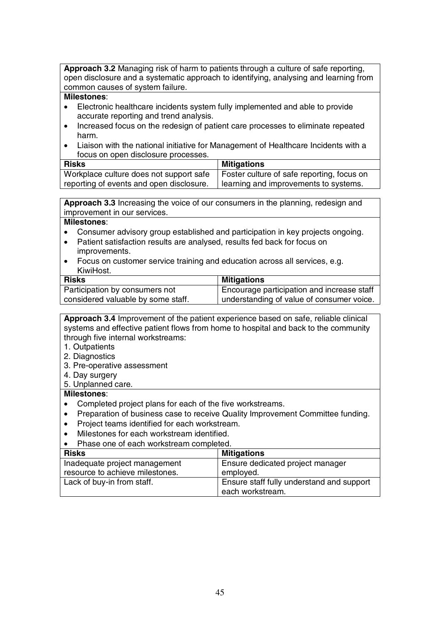**Approach 3.2** Managing risk of harm to patients through a culture of safe reporting, open disclosure and a systematic approach to identifying, analysing and learning from common causes of system failure.

#### **Milestones**:

- Electronic healthcare incidents system fully implemented and able to provide accurate reporting and trend analysis.
- Increased focus on the redesign of patient care processes to eliminate repeated harm.
- Liaison with the national initiative for Management of Healthcare Incidents with a focus on open disclosure processes.

| <b>Risks</b>                             | Mitigations                                |
|------------------------------------------|--------------------------------------------|
| Workplace culture does not support safe  | Foster culture of safe reporting, focus on |
| reporting of events and open disclosure. | learning and improvements to systems.      |

**Approach 3.3** Increasing the voice of our consumers in the planning, redesign and improvement in our services.

#### **Milestones**:

- Consumer advisory group established and participation in key projects ongoing.
- Patient satisfaction results are analysed, results fed back for focus on improvements.
- Focus on customer service training and education across all services, e.g. KiwiHost.

| <b>Risks</b>                       | <b>Mitigations</b>                          |
|------------------------------------|---------------------------------------------|
| Participation by consumers not     | Encourage participation and increase staff  |
| considered valuable by some staff. | I understanding of value of consumer voice. |

**Approach 3.4** Improvement of the patient experience based on safe, reliable clinical systems and effective patient flows from home to hospital and back to the community through five internal workstreams:

- 1. Outpatients
- 2. Diagnostics
- 3. Pre-operative assessment
- 4. Day surgery
- 5. Unplanned care.

- Completed project plans for each of the five workstreams.
- Preparation of business case to receive Quality Improvement Committee funding.
- Project teams identified for each workstream.
- Milestones for each workstream identified.
- Phase one of each workstream completed.

| <b>Risks</b>                    | <b>Mitigations</b>                        |
|---------------------------------|-------------------------------------------|
| Inadequate project management   | Ensure dedicated project manager          |
| resource to achieve milestones. | employed.                                 |
| Lack of buy-in from staff.      | Ensure staff fully understand and support |
|                                 | each workstream.                          |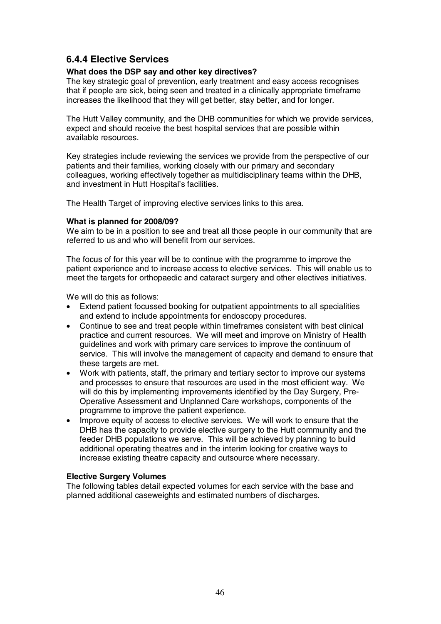# **6.4.4 Elective Services**

#### **What does the DSP say and other key directives?**

The key strategic goal of prevention, early treatment and easy access recognises that if people are sick, being seen and treated in a clinically appropriate timeframe increases the likelihood that they will get better, stay better, and for longer.

The Hutt Valley community, and the DHB communities for which we provide services, expect and should receive the best hospital services that are possible within available resources.

Key strategies include reviewing the services we provide from the perspective of our patients and their families, working closely with our primary and secondary colleagues, working effectively together as multidisciplinary teams within the DHB, and investment in Hutt Hospital's facilities.

The Health Target of improving elective services links to this area.

#### **What is planned for 2008/09?**

We aim to be in a position to see and treat all those people in our community that are referred to us and who will benefit from our services.

The focus of for this year will be to continue with the programme to improve the patient experience and to increase access to elective services. This will enable us to meet the targets for orthopaedic and cataract surgery and other electives initiatives.

We will do this as follows:

- Extend patient focussed booking for outpatient appointments to all specialities and extend to include appointments for endoscopy procedures.
- Continue to see and treat people within timeframes consistent with best clinical practice and current resources. We will meet and improve on Ministry of Health guidelines and work with primary care services to improve the continuum of service. This will involve the management of capacity and demand to ensure that these targets are met.
- Work with patients, staff, the primary and tertiary sector to improve our systems and processes to ensure that resources are used in the most efficient way. We will do this by implementing improvements identified by the Day Surgery, Pre-Operative Assessment and Unplanned Care workshops, components of the programme to improve the patient experience.
- Improve equity of access to elective services. We will work to ensure that the DHB has the capacity to provide elective surgery to the Hutt community and the feeder DHB populations we serve. This will be achieved by planning to build additional operating theatres and in the interim looking for creative ways to increase existing theatre capacity and outsource where necessary.

#### **Elective Surgery Volumes**

The following tables detail expected volumes for each service with the base and planned additional caseweights and estimated numbers of discharges.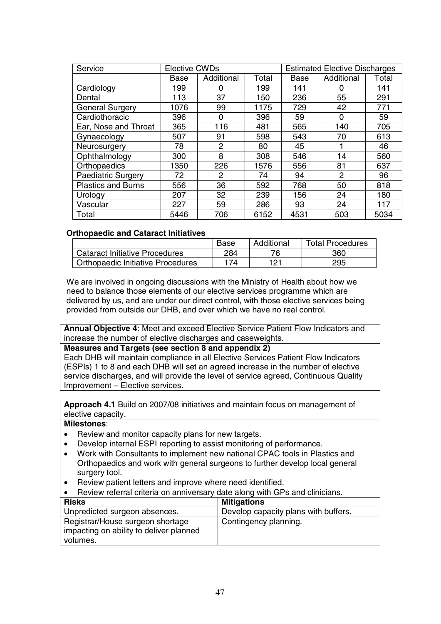| Service                   | <b>Elective CWDs</b> |            | <b>Estimated Elective Discharges</b> |      |            |       |
|---------------------------|----------------------|------------|--------------------------------------|------|------------|-------|
|                           | Base                 | Additional | Total                                | Base | Additional | Total |
| Cardiology                | 199                  | 0          | 199                                  | 141  | 0          | 141   |
| Dental                    | 113                  | 37         | 150                                  | 236  | 55         | 291   |
| <b>General Surgery</b>    | 1076                 | 99         | 1175                                 | 729  | 42         | 771   |
| Cardiothoracic            | 396                  | $\Omega$   | 396                                  | 59   | 0          | 59    |
| Ear, Nose and Throat      | 365                  | 116        | 481                                  | 565  | 140        | 705   |
| Gynaecology               | 507                  | 91         | 598                                  | 543  | 70         | 613   |
| Neurosurgery              | 78                   | 2          | 80                                   | 45   |            | 46    |
| Ophthalmology             | 300                  | 8          | 308                                  | 546  | 14         | 560   |
| Orthopaedics              | 1350                 | 226        | 1576                                 | 556  | 81         | 637   |
| <b>Paediatric Surgery</b> | 72                   | 2          | 74                                   | 94   | 2          | 96    |
| <b>Plastics and Burns</b> | 556                  | 36         | 592                                  | 768  | 50         | 818   |
| Urology                   | 207                  | 32         | 239                                  | 156  | 24         | 180   |
| Vascular                  | 227                  | 59         | 286                                  | 93   | 24         | 117   |
| Total                     | 5446                 | 706        | 6152                                 | 4531 | 503        | 5034  |

## **Orthopaedic and Cataract Initiatives**

|                                          | Base | Additional | <b>Total Procedures</b> |
|------------------------------------------|------|------------|-------------------------|
| <b>Cataract Initiative Procedures</b>    | 284  | 76         | 360                     |
| <b>Orthopaedic Initiative Procedures</b> | 174  | 121        | 295                     |

We are involved in ongoing discussions with the Ministry of Health about how we need to balance those elements of our elective services programme which are delivered by us, and are under our direct control, with those elective services being provided from outside our DHB, and over which we have no real control.

**Annual Objective 4**: Meet and exceed Elective Service Patient Flow Indicators and increase the number of elective discharges and caseweights.

#### **Measures and Targets (see section 8 and appendix 2)**

Each DHB will maintain compliance in all Elective Services Patient Flow Indicators (ESPIs) 1 to 8 and each DHB will set an agreed increase in the number of elective service discharges, and will provide the level of service agreed, Continuous Quality Improvement – Elective services.

**Approach 4.1** Build on 2007/08 initiatives and maintain focus on management of elective capacity.

- Review and monitor capacity plans for new targets.
- Develop internal ESPI reporting to assist monitoring of performance.
- Work with Consultants to implement new national CPAC tools in Plastics and Orthopaedics and work with general surgeons to further develop local general surgery tool.
- Review patient letters and improve where need identified.

| Review referral criteria on anniversary date along with GPs and clinicians. |  |  |  |
|-----------------------------------------------------------------------------|--|--|--|
|                                                                             |  |  |  |

| <b>Risks</b>                            | <b>Mitigations</b>                   |
|-----------------------------------------|--------------------------------------|
| Unpredicted surgeon absences.           | Develop capacity plans with buffers. |
| Registrar/House surgeon shortage        | Contingency planning.                |
| impacting on ability to deliver planned |                                      |
| volumes.                                |                                      |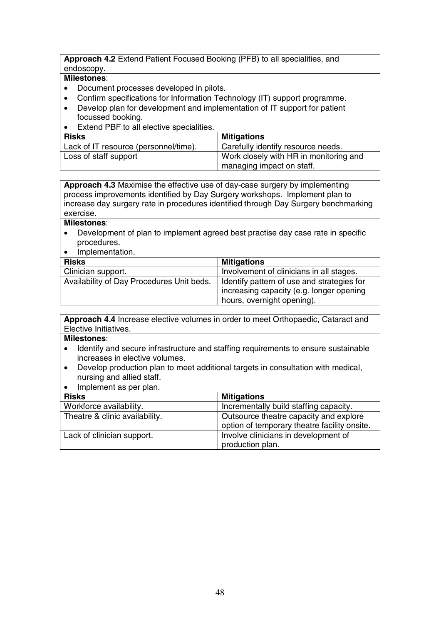#### **Approach 4.2** Extend Patient Focused Booking (PFB) to all specialities, and endoscopy.

#### **Milestones**:

- Document processes developed in pilots.
- Confirm specifications for Information Technology (IT) support programme.
- Develop plan for development and implementation of IT support for patient focussed booking.
- Extend PBF to all elective specialities.

| <b>Risks</b>                          | <b>Mitigations</b>                     |
|---------------------------------------|----------------------------------------|
| Lack of IT resource (personnel/time). | Carefully identify resource needs.     |
| Loss of staff support                 | Work closely with HR in monitoring and |
|                                       | <sup>1</sup> managing impact on staff. |

**Approach 4.3** Maximise the effective use of day-case surgery by implementing process improvements identified by Day Surgery workshops. Implement plan to increase day surgery rate in procedures identified through Day Surgery benchmarking exercise.

#### **Milestones**:

- Development of plan to implement agreed best practise day case rate in specific procedures.
- Implementation.

| <b>Risks</b>                              | <b>Mitigations</b>                                                                                                  |
|-------------------------------------------|---------------------------------------------------------------------------------------------------------------------|
| Clinician support.                        | Involvement of clinicians in all stages.                                                                            |
| Availability of Day Procedures Unit beds. | dentify pattern of use and strategies for<br>increasing capacity (e.g. longer opening<br>hours, overnight opening). |

**Approach 4.4** Increase elective volumes in order to meet Orthopaedic, Cataract and Elective Initiatives.

- Identify and secure infrastructure and staffing requirements to ensure sustainable increases in elective volumes.
- Develop production plan to meet additional targets in consultation with medical, nursing and allied staff.
- Implement as per plan.

| <b>Risks</b>                   | <b>Mitigations</b>                                                                     |
|--------------------------------|----------------------------------------------------------------------------------------|
| Workforce availability.        | Incrementally build staffing capacity.                                                 |
| Theatre & clinic availability. | Outsource theatre capacity and explore<br>option of temporary theatre facility onsite. |
| Lack of clinician support.     | Involve clinicians in development of<br>production plan.                               |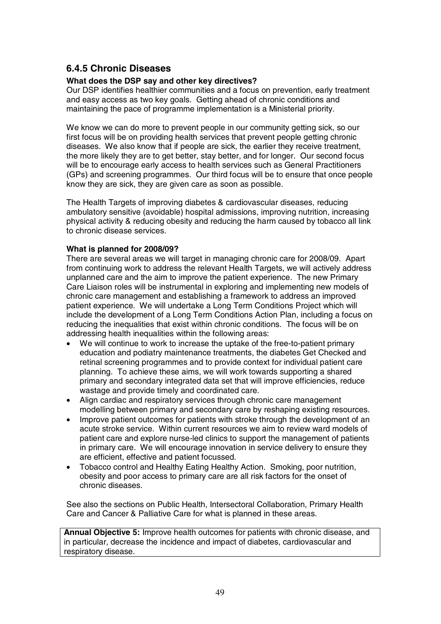# **6.4.5 Chronic Diseases**

## **What does the DSP say and other key directives?**

Our DSP identifies healthier communities and a focus on prevention, early treatment and easy access as two key goals. Getting ahead of chronic conditions and maintaining the pace of programme implementation is a Ministerial priority.

We know we can do more to prevent people in our community getting sick, so our first focus will be on providing health services that prevent people getting chronic diseases. We also know that if people are sick, the earlier they receive treatment, the more likely they are to get better, stay better, and for longer. Our second focus will be to encourage early access to health services such as General Practitioners (GPs) and screening programmes. Our third focus will be to ensure that once people know they are sick, they are given care as soon as possible.

The Health Targets of improving diabetes & cardiovascular diseases, reducing ambulatory sensitive (avoidable) hospital admissions, improving nutrition, increasing physical activity & reducing obesity and reducing the harm caused by tobacco all link to chronic disease services.

## **What is planned for 2008/09?**

There are several areas we will target in managing chronic care for 2008/09. Apart from continuing work to address the relevant Health Targets, we will actively address unplanned care and the aim to improve the patient experience. The new Primary Care Liaison roles will be instrumental in exploring and implementing new models of chronic care management and establishing a framework to address an improved patient experience. We will undertake a Long Term Conditions Project which will include the development of a Long Term Conditions Action Plan, including a focus on reducing the inequalities that exist within chronic conditions. The focus will be on addressing health inequalities within the following areas:

- We will continue to work to increase the uptake of the free-to-patient primary education and podiatry maintenance treatments, the diabetes Get Checked and retinal screening programmes and to provide context for individual patient care planning. To achieve these aims, we will work towards supporting a shared primary and secondary integrated data set that will improve efficiencies, reduce wastage and provide timely and coordinated care.
- Align cardiac and respiratory services through chronic care management modelling between primary and secondary care by reshaping existing resources.
- Improve patient outcomes for patients with stroke through the development of an acute stroke service. Within current resources we aim to review ward models of patient care and explore nurse-led clinics to support the management of patients in primary care. We will encourage innovation in service delivery to ensure they are efficient, effective and patient focussed.
- Tobacco control and Healthy Eating Healthy Action. Smoking, poor nutrition, obesity and poor access to primary care are all risk factors for the onset of chronic diseases.

See also the sections on Public Health, Intersectoral Collaboration, Primary Health Care and Cancer & Palliative Care for what is planned in these areas.

**Annual Objective 5:** Improve health outcomes for patients with chronic disease, and in particular, decrease the incidence and impact of diabetes, cardiovascular and respiratory disease.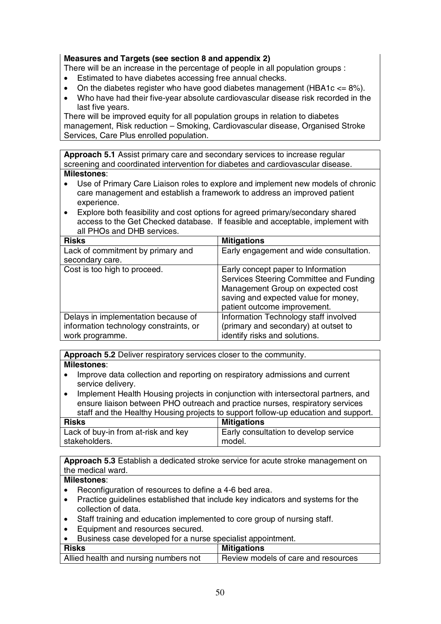## **Measures and Targets (see section 8 and appendix 2)**

There will be an increase in the percentage of people in all population groups :

- Estimated to have diabetes accessing free annual checks.
- On the diabetes register who have good diabetes management (HBA1c  $\leq$  8%).
- Who have had their five-year absolute cardiovascular disease risk recorded in the last five years.

There will be improved equity for all population groups in relation to diabetes management, Risk reduction – Smoking, Cardiovascular disease, Organised Stroke Services, Care Plus enrolled population.

**Approach 5.1** Assist primary care and secondary services to increase regular screening and coordinated intervention for diabetes and cardiovascular disease.

#### **Milestones**:

- Use of Primary Care Liaison roles to explore and implement new models of chronic care management and establish a framework to address an improved patient experience.
- Explore both feasibility and cost options for agreed primary/secondary shared access to the Get Checked database. If feasible and acceptable, implement with all PHOs and DHB services.

| <b>Risks</b>                           | <b>Mitigations</b>                      |
|----------------------------------------|-----------------------------------------|
| Lack of commitment by primary and      | Early engagement and wide consultation. |
| secondary care.                        |                                         |
| Cost is too high to proceed.           | Early concept paper to Information      |
|                                        | Services Steering Committee and Funding |
|                                        | Management Group on expected cost       |
|                                        | saving and expected value for money,    |
|                                        | patient outcome improvement.            |
| Delays in implementation because of    | Information Technology staff involved   |
| information technology constraints, or | (primary and secondary) at outset to    |
| work programme.                        | identify risks and solutions.           |

**Approach 5.2** Deliver respiratory services closer to the community.

#### **Milestones**:

- Improve data collection and reporting on respiratory admissions and current service delivery.
- Implement Health Housing projects in conjunction with intersectoral partners, and ensure liaison between PHO outreach and practice nurses, respiratory services staff and the Healthy Housing projects to support follow-up education and support.

| <b>Risks</b>                        | <b>Mitigations</b>                    |
|-------------------------------------|---------------------------------------|
| Lack of buy-in from at-risk and key | Early consultation to develop service |
| stakeholders.                       | ' model.                              |

**Approach 5.3** Establish a dedicated stroke service for acute stroke management on the medical ward.

- Reconfiguration of resources to define a 4-6 bed area.
- Practice guidelines established that include key indicators and systems for the collection of data.
- Staff training and education implemented to core group of nursing staff.
- Equipment and resources secured.
- Business case developed for a nurse specialist appointment.

| <b>Risks</b>                          | <b>Mitigations</b>                  |
|---------------------------------------|-------------------------------------|
| Allied health and nursing numbers not | Review models of care and resources |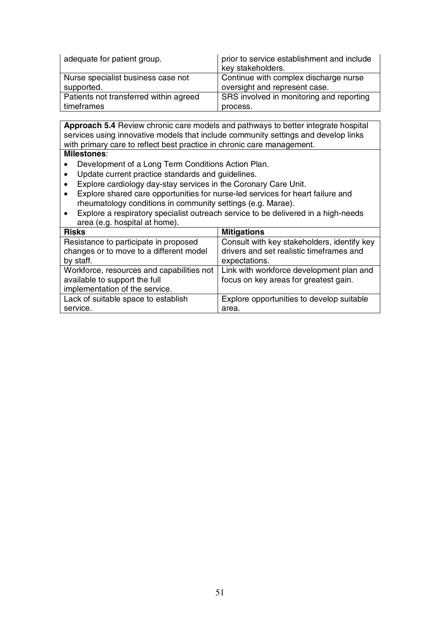| adequate for patient group.            | prior to service establishment and include<br>key stakeholders. |
|----------------------------------------|-----------------------------------------------------------------|
| Nurse specialist business case not     | Continue with complex discharge nurse                           |
| supported.                             | oversight and represent case.                                   |
| Patients not transferred within agreed | SRS involved in monitoring and reporting                        |
| timeframes                             | process.                                                        |

**Approach 5.4** Review chronic care models and pathways to better integrate hospital services using innovative models that include community settings and develop links with primary care to reflect best practice in chronic care management. **Milestones**:

- Development of a Long Term Conditions Action Plan.
- Update current practice standards and guidelines.
- Explore cardiology day-stay services in the Coronary Care Unit.
- Explore shared care opportunities for nurse-led services for heart failure and rheumatology conditions in community settings (e.g. Marae).
- Explore a respiratory specialist outreach service to be delivered in a high-needs area (e.g. hospital at home).

| <b>Risks</b>                              | <b>Mitigations</b>                          |
|-------------------------------------------|---------------------------------------------|
| Resistance to participate in proposed     | Consult with key stakeholders, identify key |
| changes or to move to a different model   | drivers and set realistic timeframes and    |
| by staff.                                 | expectations.                               |
| Workforce, resources and capabilities not | Link with workforce development plan and    |
| available to support the full             | focus on key areas for greatest gain.       |
| implementation of the service.            |                                             |
| Lack of suitable space to establish       | Explore opportunities to develop suitable   |
| service.                                  | area.                                       |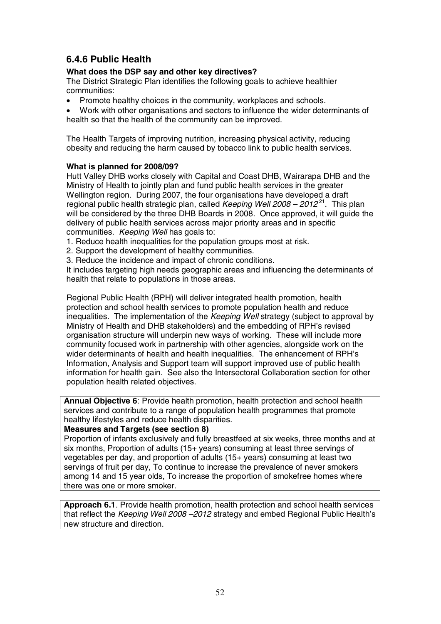# **6.4.6 Public Health**

## **What does the DSP say and other key directives?**

The District Strategic Plan identifies the following goals to achieve healthier communities:

- Promote healthy choices in the community, workplaces and schools.
- Work with other organisations and sectors to influence the wider determinants of health so that the health of the community can be improved.

The Health Targets of improving nutrition, increasing physical activity, reducing obesity and reducing the harm caused by tobacco link to public health services.

## **What is planned for 2008/09?**

Hutt Valley DHB works closely with Capital and Coast DHB, Wairarapa DHB and the Ministry of Health to jointly plan and fund public health services in the greater Wellington region. During 2007, the four organisations have developed a draft regional public health strategic plan, called Keeping Well  $2008 - 2012^{21}$ . This plan will be considered by the three DHB Boards in 2008. Once approved, it will guide the delivery of public health services across major priority areas and in specific communities. Keeping Well has goals to:

1. Reduce health inequalities for the population groups most at risk.

- 2. Support the development of healthy communities.
- 3. Reduce the incidence and impact of chronic conditions.

It includes targeting high needs geographic areas and influencing the determinants of health that relate to populations in those areas.

Regional Public Health (RPH) will deliver integrated health promotion, health protection and school health services to promote population health and reduce inequalities. The implementation of the Keeping Well strategy (subject to approval by Ministry of Health and DHB stakeholders) and the embedding of RPH's revised organisation structure will underpin new ways of working. These will include more community focused work in partnership with other agencies, alongside work on the wider determinants of health and health inequalities. The enhancement of RPH's Information, Analysis and Support team will support improved use of public health information for health gain. See also the Intersectoral Collaboration section for other population health related objectives.

**Annual Objective 6**: Provide health promotion, health protection and school health services and contribute to a range of population health programmes that promote healthy lifestyles and reduce health disparities.

**Measures and Targets (see section 8)** 

Proportion of infants exclusively and fully breastfeed at six weeks, three months and at six months, Proportion of adults (15+ years) consuming at least three servings of vegetables per day, and proportion of adults (15+ years) consuming at least two servings of fruit per day, To continue to increase the prevalence of never smokers among 14 and 15 year olds, To increase the proportion of smokefree homes where there was one or more smoker.

**Approach 6.1**. Provide health promotion, health protection and school health services that reflect the Keeping Well 2008 -2012 strategy and embed Regional Public Health's new structure and direction.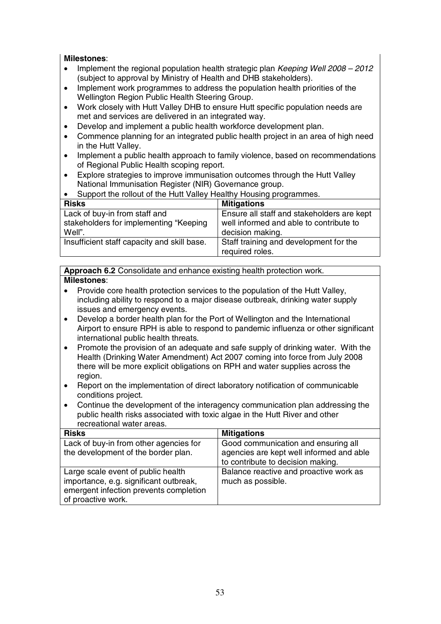## **Milestones**:

- Implement the regional population health strategic plan Keeping Well 2008 2012 (subject to approval by Ministry of Health and DHB stakeholders).
- Implement work programmes to address the population health priorities of the Wellington Region Public Health Steering Group.
- Work closely with Hutt Valley DHB to ensure Hutt specific population needs are met and services are delivered in an integrated way.
- Develop and implement a public health workforce development plan.
- Commence planning for an integrated public health project in an area of high need in the Hutt Valley.
- Implement a public health approach to family violence, based on recommendations of Regional Public Health scoping report.
- Explore strategies to improve immunisation outcomes through the Hutt Valley National Immunisation Register (NIR) Governance group.

| Support the rollout of the Hutt Valley Healthy Housing programmes. |                                            |  |
|--------------------------------------------------------------------|--------------------------------------------|--|
| <b>Risks</b>                                                       | <b>Mitigations</b>                         |  |
| Lack of buy-in from staff and                                      | Ensure all staff and stakeholders are kept |  |
| stakeholders for implementing "Keeping                             | well informed and able to contribute to    |  |
| Well".                                                             | decision making.                           |  |
| Insufficient staff capacity and skill base.                        | Staff training and development for the     |  |
|                                                                    | required roles.                            |  |

## **Approach 6.2** Consolidate and enhance existing health protection work. **Milestones**:

- Provide core health protection services to the population of the Hutt Valley, including ability to respond to a major disease outbreak, drinking water supply issues and emergency events.
- Develop a border health plan for the Port of Wellington and the International Airport to ensure RPH is able to respond to pandemic influenza or other significant international public health threats.
- Promote the provision of an adequate and safe supply of drinking water. With the Health (Drinking Water Amendment) Act 2007 coming into force from July 2008 there will be more explicit obligations on RPH and water supplies across the region.
- Report on the implementation of direct laboratory notification of communicable conditions project.
- Continue the development of the interagency communication plan addressing the public health risks associated with toxic algae in the Hutt River and other recreational water areas.

| <b>Risks</b>                           | <b>Mitigations</b>                       |
|----------------------------------------|------------------------------------------|
| Lack of buy-in from other agencies for | Good communication and ensuring all      |
| the development of the border plan.    | agencies are kept well informed and able |
|                                        | to contribute to decision making.        |
| Large scale event of public health     | Balance reactive and proactive work as   |
| importance, e.g. significant outbreak, | much as possible.                        |
| emergent infection prevents completion |                                          |
| of proactive work.                     |                                          |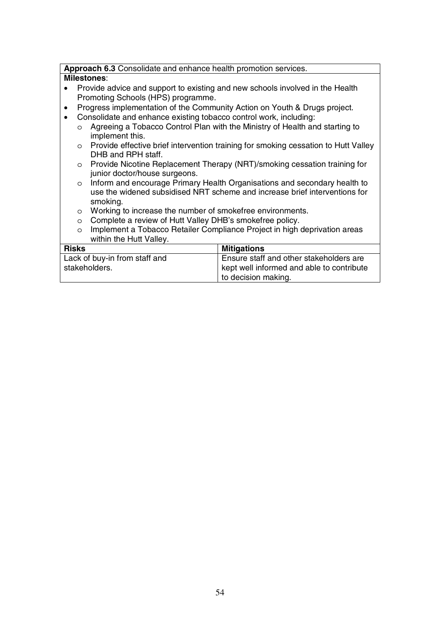## **Approach 6.3** Consolidate and enhance health promotion services.

- Provide advice and support to existing and new schools involved in the Health Promoting Schools (HPS) programme.
- Progress implementation of the Community Action on Youth & Drugs project.
- Consolidate and enhance existing tobacco control work, including:
	- o Agreeing a Tobacco Control Plan with the Ministry of Health and starting to implement this.
	- o Provide effective brief intervention training for smoking cessation to Hutt Valley DHB and RPH staff.
	- o Provide Nicotine Replacement Therapy (NRT)/smoking cessation training for junior doctor/house surgeons.
	- o Inform and encourage Primary Health Organisations and secondary health to use the widened subsidised NRT scheme and increase brief interventions for smoking.
	- o Working to increase the number of smokefree environments.
	- o Complete a review of Hutt Valley DHB's smokefree policy.
	- o Implement a Tobacco Retailer Compliance Project in high deprivation areas within the Hutt Valley.

| <b>Risks</b>                  | <b>Mitigations</b>                        |
|-------------------------------|-------------------------------------------|
| Lack of buy-in from staff and | Ensure staff and other stakeholders are   |
| stakeholders.                 | kept well informed and able to contribute |
|                               | to decision making.                       |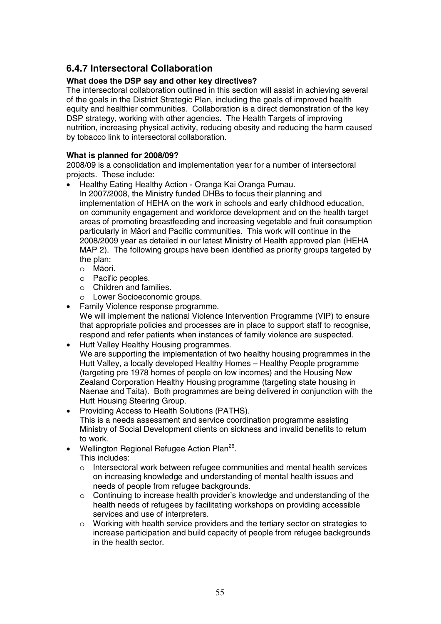# **6.4.7 Intersectoral Collaboration**

## **What does the DSP say and other key directives?**

The intersectoral collaboration outlined in this section will assist in achieving several of the goals in the District Strategic Plan, including the goals of improved health equity and healthier communities. Collaboration is a direct demonstration of the key DSP strategy, working with other agencies. The Health Targets of improving nutrition, increasing physical activity, reducing obesity and reducing the harm caused by tobacco link to intersectoral collaboration.

#### **What is planned for 2008/09?**

2008/09 is a consolidation and implementation year for a number of intersectoral projects. These include:

- Healthy Eating Healthy Action Oranga Kai Oranga Pumau. In 2007/2008, the Ministry funded DHBs to focus their planning and implementation of HEHA on the work in schools and early childhood education, on community engagement and workforce development and on the health target areas of promoting breastfeeding and increasing vegetable and fruit consumption particularly in Māori and Pacific communities. This work will continue in the 2008/2009 year as detailed in our latest Ministry of Health approved plan (HEHA MAP 2). The following groups have been identified as priority groups targeted by the plan:
	- o Māori.
	- o Pacific peoples.
	- o Children and families.
	- o Lower Socioeconomic groups.
- Family Violence response programme. We will implement the national Violence Intervention Programme (VIP) to ensure that appropriate policies and processes are in place to support staff to recognise, respond and refer patients when instances of family violence are suspected.
- Hutt Valley Healthy Housing programmes. We are supporting the implementation of two healthy housing programmes in the Hutt Valley, a locally developed Healthy Homes – Healthy People programme (targeting pre 1978 homes of people on low incomes) and the Housing New Zealand Corporation Healthy Housing programme (targeting state housing in Naenae and Taita). Both programmes are being delivered in conjunction with the Hutt Housing Steering Group.
- Providing Access to Health Solutions (PATHS). This is a needs assessment and service coordination programme assisting Ministry of Social Development clients on sickness and invalid benefits to return to work.
- Wellington Regional Refugee Action Plan<sup>26</sup>. This includes:
	- o Intersectoral work between refugee communities and mental health services on increasing knowledge and understanding of mental health issues and needs of people from refugee backgrounds.
	- o Continuing to increase health provider's knowledge and understanding of the health needs of refugees by facilitating workshops on providing accessible services and use of interpreters.
	- o Working with health service providers and the tertiary sector on strategies to increase participation and build capacity of people from refugee backgrounds in the health sector.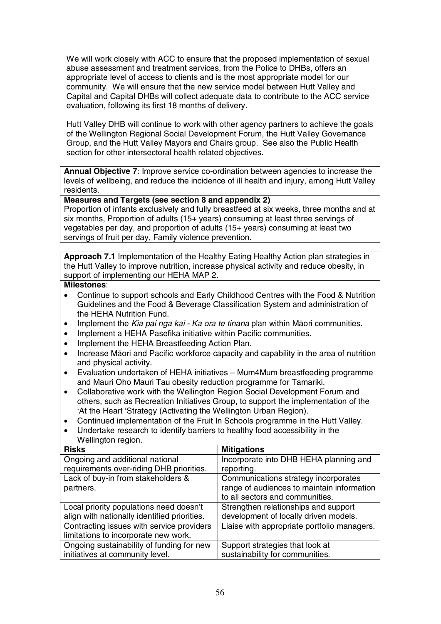We will work closely with ACC to ensure that the proposed implementation of sexual abuse assessment and treatment services, from the Police to DHBs, offers an appropriate level of access to clients and is the most appropriate model for our community. We will ensure that the new service model between Hutt Valley and Capital and Capital DHBs will collect adequate data to contribute to the ACC service evaluation, following its first 18 months of delivery.

Hutt Valley DHB will continue to work with other agency partners to achieve the goals of the Wellington Regional Social Development Forum, the Hutt Valley Governance Group, and the Hutt Valley Mayors and Chairs group. See also the Public Health section for other intersectoral health related objectives.

**Annual Objective 7**: Improve service co-ordination between agencies to increase the levels of wellbeing, and reduce the incidence of ill health and injury, among Hutt Valley residents.

## **Measures and Targets (see section 8 and appendix 2)**

Proportion of infants exclusively and fully breastfeed at six weeks, three months and at six months, Proportion of adults (15+ years) consuming at least three servings of vegetables per day, and proportion of adults (15+ years) consuming at least two servings of fruit per day, Family violence prevention.

**Approach 7.1** Implementation of the Healthy Eating Healthy Action plan strategies in the Hutt Valley to improve nutrition, increase physical activity and reduce obesity, in support of implementing our HEHA MAP 2.

- Continue to support schools and Early Childhood Centres with the Food & Nutrition Guidelines and the Food & Beverage Classification System and administration of the HEHA Nutrition Fund.
- Implement the Kia pai nga kai Ka ora te tinana plan within Māori communities.
- Implement a HEHA Pasefika initiative within Pacific communities.
- Implement the HEHA Breastfeeding Action Plan.
- Increase Māori and Pacific workforce capacity and capability in the area of nutrition and physical activity.
- Evaluation undertaken of HEHA initiatives Mum4Mum breastfeeding programme and Mauri Oho Mauri Tau obesity reduction programme for Tamariki.
- Collaborative work with the Wellington Region Social Development Forum and others, such as Recreation Initiatives Group, to support the implementation of the 'At the Heart 'Strategy (Activating the Wellington Urban Region).
- Continued implementation of the Fruit In Schools programme in the Hutt Valley.
- Undertake research to identify barriers to healthy food accessibility in the Wellington region.

| <b>Risks</b>                                 | <b>Mitigations</b>                          |
|----------------------------------------------|---------------------------------------------|
| Ongoing and additional national              | Incorporate into DHB HEHA planning and      |
| requirements over-riding DHB priorities.     | reporting.                                  |
| Lack of buy-in from stakeholders &           | Communications strategy incorporates        |
| partners.                                    | range of audiences to maintain information  |
|                                              | to all sectors and communities.             |
| Local priority populations need doesn't      | Strengthen relationships and support        |
| align with nationally identified priorities. | development of locally driven models.       |
| Contracting issues with service providers    | Liaise with appropriate portfolio managers. |
| limitations to incorporate new work.         |                                             |
| Ongoing sustainability of funding for new    | Support strategies that look at             |
| initiatives at community level.              | sustainability for communities.             |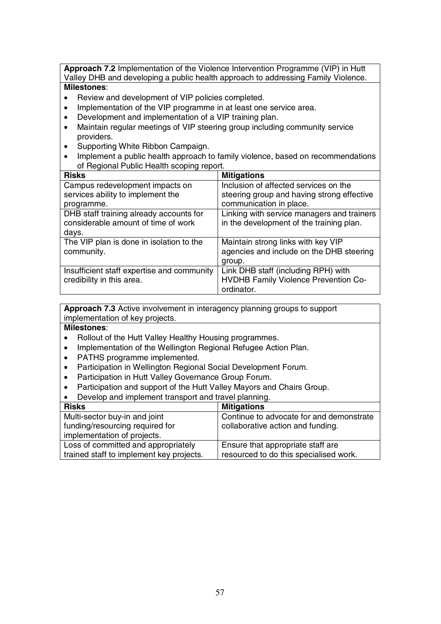**Approach 7.2** Implementation of the Violence Intervention Programme (VIP) in Hutt Valley DHB and developing a public health approach to addressing Family Violence.

## **Milestones**:

- Review and development of VIP policies completed.
- Implementation of the VIP programme in at least one service area.
- Development and implementation of a VIP training plan.
- Maintain regular meetings of VIP steering group including community service providers.
- Supporting White Ribbon Campaign.
- Implement a public health approach to family violence, based on recommendations of Regional Public Health scoping report.

| <b>Risks</b>                               | <b>Mitigations</b>                         |
|--------------------------------------------|--------------------------------------------|
| Campus redevelopment impacts on            | Inclusion of affected services on the      |
| services ability to implement the          | steering group and having strong effective |
| programme.                                 | communication in place.                    |
| DHB staff training already accounts for    | Linking with service managers and trainers |
| considerable amount of time of work        | in the development of the training plan.   |
| days.                                      |                                            |
| The VIP plan is done in isolation to the   | Maintain strong links with key VIP         |
| community.                                 | agencies and include on the DHB steering   |
|                                            | group.                                     |
| Insufficient staff expertise and community | Link DHB staff (including RPH) with        |
| credibility in this area.                  | HVDHB Family Violence Prevention Co-       |
|                                            | ordinator.                                 |

**Approach 7.3** Active involvement in interagency planning groups to support implementation of key projects.

- Rollout of the Hutt Valley Healthy Housing programmes.
- Implementation of the Wellington Regional Refugee Action Plan.
- PATHS programme implemented.
- Participation in Wellington Regional Social Development Forum.
- Participation in Hutt Valley Governance Group Forum.
- Participation and support of the Hutt Valley Mayors and Chairs Group.
- Develop and implement transport and travel planning.

| <b>Risks</b>                             | <b>Mitigations</b>                       |
|------------------------------------------|------------------------------------------|
| Multi-sector buy-in and joint            | Continue to advocate for and demonstrate |
| funding/resourcing required for          | collaborative action and funding.        |
| implementation of projects.              |                                          |
| Loss of committed and appropriately      | Ensure that appropriate staff are        |
| trained staff to implement key projects. | resourced to do this specialised work.   |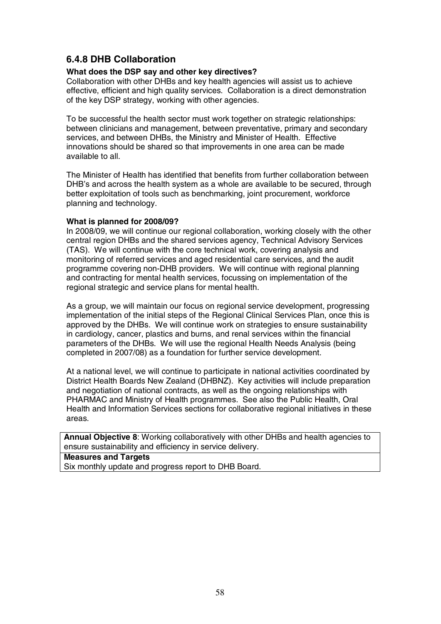# **6.4.8 DHB Collaboration**

#### **What does the DSP say and other key directives?**

Collaboration with other DHBs and key health agencies will assist us to achieve effective, efficient and high quality services. Collaboration is a direct demonstration of the key DSP strategy, working with other agencies.

To be successful the health sector must work together on strategic relationships: between clinicians and management, between preventative, primary and secondary services, and between DHBs, the Ministry and Minister of Health. Effective innovations should be shared so that improvements in one area can be made available to all.

The Minister of Health has identified that benefits from further collaboration between DHB's and across the health system as a whole are available to be secured, through better exploitation of tools such as benchmarking, joint procurement, workforce planning and technology.

#### **What is planned for 2008/09?**

In 2008/09, we will continue our regional collaboration, working closely with the other central region DHBs and the shared services agency, Technical Advisory Services (TAS). We will continue with the core technical work, covering analysis and monitoring of referred services and aged residential care services, and the audit programme covering non-DHB providers. We will continue with regional planning and contracting for mental health services, focussing on implementation of the regional strategic and service plans for mental health.

As a group, we will maintain our focus on regional service development, progressing implementation of the initial steps of the Regional Clinical Services Plan, once this is approved by the DHBs. We will continue work on strategies to ensure sustainability in cardiology, cancer, plastics and burns, and renal services within the financial parameters of the DHBs. We will use the regional Health Needs Analysis (being completed in 2007/08) as a foundation for further service development.

At a national level, we will continue to participate in national activities coordinated by District Health Boards New Zealand (DHBNZ). Key activities will include preparation and negotiation of national contracts, as well as the ongoing relationships with PHARMAC and Ministry of Health programmes. See also the Public Health, Oral Health and Information Services sections for collaborative regional initiatives in these areas.

**Annual Objective 8**: Working collaboratively with other DHBs and health agencies to ensure sustainability and efficiency in service delivery.

**Measures and Targets**  Six monthly update and progress report to DHB Board.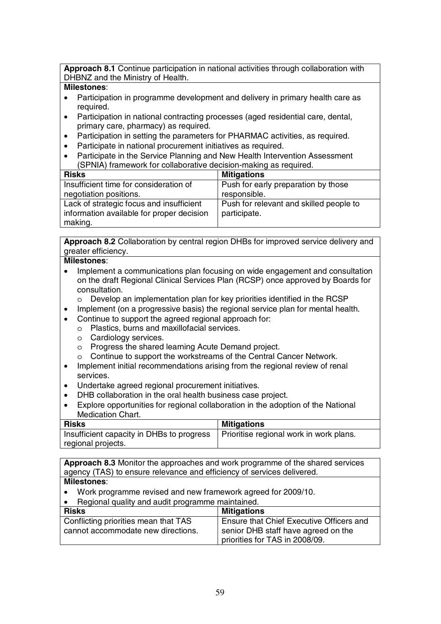**Approach 8.1** Continue participation in national activities through collaboration with DHBNZ and the Ministry of Health.

## **Milestones**:

- Participation in programme development and delivery in primary health care as required.
- Participation in national contracting processes (aged residential care, dental, primary care, pharmacy) as required.
- Participation in setting the parameters for PHARMAC activities, as required.
- Participate in national procurement initiatives as required.
- Participate in the Service Planning and New Health Intervention Assessment (SPNIA) framework for collaborative decision-making as required.

| <b>Risks</b>                              | <b>Mitigations</b>                      |
|-------------------------------------------|-----------------------------------------|
| Insufficient time for consideration of    | Push for early preparation by those     |
| negotiation positions.                    | responsible.                            |
| Lack of strategic focus and insufficient  | Push for relevant and skilled people to |
| information available for proper decision | participate.                            |
| making.                                   |                                         |

**Approach 8.2** Collaboration by central region DHBs for improved service delivery and greater efficiency.

## **Milestones**:

- Implement a communications plan focusing on wide engagement and consultation on the draft Regional Clinical Services Plan (RCSP) once approved by Boards for consultation.
	- o Develop an implementation plan for key priorities identified in the RCSP
- Implement (on a progressive basis) the regional service plan for mental health.
- Continue to support the agreed regional approach for:
	- o Plastics, burns and maxillofacial services.
	- o Cardiology services.
	- o Progress the shared learning Acute Demand project.
	- o Continue to support the workstreams of the Central Cancer Network.
- Implement initial recommendations arising from the regional review of renal services.
- Undertake agreed regional procurement initiatives.
- DHB collaboration in the oral health business case project.
- Explore opportunities for regional collaboration in the adoption of the National Medication Chart.

| <b>Risks</b>                              | <b>Mitigations</b>                      |
|-------------------------------------------|-----------------------------------------|
| Insufficient capacity in DHBs to progress | Prioritise regional work in work plans. |
| regional projects.                        |                                         |

**Approach 8.3** Monitor the approaches and work programme of the shared services agency (TAS) to ensure relevance and efficiency of services delivered. **Milestones**:

- Work programme revised and new framework agreed for 2009/10.
- Regional quality and audit programme maintained.

| 1.1<br><b>Risks</b>                                                        | <b>Mitigations</b>                                                              |
|----------------------------------------------------------------------------|---------------------------------------------------------------------------------|
| Conflicting priorities mean that TAS<br>cannot accommodate new directions. | Ensure that Chief Executive Officers and<br>senior DHB staff have agreed on the |
|                                                                            | priorities for TAS in 2008/09.                                                  |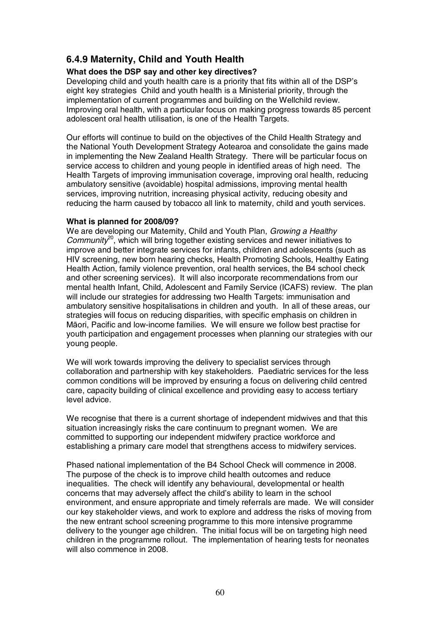# **6.4.9 Maternity, Child and Youth Health**

## **What does the DSP say and other key directives?**

Developing child and youth health care is a priority that fits within all of the DSP's eight key strategies Child and youth health is a Ministerial priority, through the implementation of current programmes and building on the Wellchild review. Improving oral health, with a particular focus on making progress towards 85 percent adolescent oral health utilisation, is one of the Health Targets.

Our efforts will continue to build on the objectives of the Child Health Strategy and the National Youth Development Strategy Aotearoa and consolidate the gains made in implementing the New Zealand Health Strategy. There will be particular focus on service access to children and young people in identified areas of high need. The Health Targets of improving immunisation coverage, improving oral health, reducing ambulatory sensitive (avoidable) hospital admissions, improving mental health services, improving nutrition, increasing physical activity, reducing obesity and reducing the harm caused by tobacco all link to maternity, child and youth services.

#### **What is planned for 2008/09?**

We are developing our Maternity, Child and Youth Plan, Growing a Healthy  $Commutv<sup>20</sup>$ , which will bring together existing services and newer initiatives to improve and better integrate services for infants, children and adolescents (such as HIV screening, new born hearing checks, Health Promoting Schools, Healthy Eating Health Action, family violence prevention, oral health services, the B4 school check and other screening services). It will also incorporate recommendations from our mental health Infant, Child, Adolescent and Family Service (ICAFS) review. The plan will include our strategies for addressing two Health Targets: immunisation and ambulatory sensitive hospitalisations in children and youth. In all of these areas, our strategies will focus on reducing disparities, with specific emphasis on children in Māori, Pacific and low-income families. We will ensure we follow best practise for youth participation and engagement processes when planning our strategies with our young people.

We will work towards improving the delivery to specialist services through collaboration and partnership with key stakeholders. Paediatric services for the less common conditions will be improved by ensuring a focus on delivering child centred care, capacity building of clinical excellence and providing easy to access tertiary level advice.

We recognise that there is a current shortage of independent midwives and that this situation increasingly risks the care continuum to pregnant women. We are committed to supporting our independent midwifery practice workforce and establishing a primary care model that strengthens access to midwifery services.

Phased national implementation of the B4 School Check will commence in 2008. The purpose of the check is to improve child health outcomes and reduce inequalities. The check will identify any behavioural, developmental or health concerns that may adversely affect the child's ability to learn in the school environment, and ensure appropriate and timely referrals are made. We will consider our key stakeholder views, and work to explore and address the risks of moving from the new entrant school screening programme to this more intensive programme delivery to the younger age children. The initial focus will be on targeting high need children in the programme rollout. The implementation of hearing tests for neonates will also commence in 2008.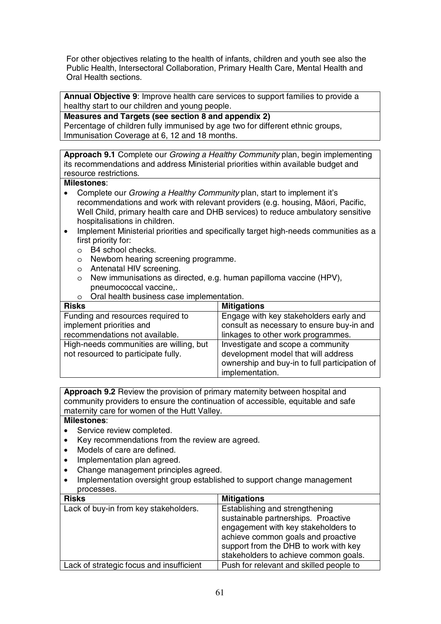For other objectives relating to the health of infants, children and youth see also the Public Health, Intersectoral Collaboration, Primary Health Care, Mental Health and Oral Health sections.

**Annual Objective 9**: Improve health care services to support families to provide a healthy start to our children and young people.

**Measures and Targets (see section 8 and appendix 2)**  Percentage of children fully immunised by age two for different ethnic groups, Immunisation Coverage at 6, 12 and 18 months.

**Approach 9.1** Complete our Growing a Healthy Community plan, begin implementing its recommendations and address Ministerial priorities within available budget and resource restrictions.

#### **Milestones**:

- Complete our *Growing a Healthy Community* plan, start to implement it's recommendations and work with relevant providers (e.g. housing, Māori, Pacific, Well Child, primary health care and DHB services) to reduce ambulatory sensitive hospitalisations in children.
- Implement Ministerial priorities and specifically target high-needs communities as a first priority for:
	- o B4 school checks.
	- o Newborn hearing screening programme.
	- o Antenatal HIV screening.
	- o New immunisations as directed, e.g. human papilloma vaccine (HPV), pneumococcal vaccine,.
	- o Oral health business case implementation.

| <b>Risks</b>                            | <b>Mitigations</b>                            |
|-----------------------------------------|-----------------------------------------------|
| Funding and resources required to       | Engage with key stakeholders early and        |
| implement priorities and                | consult as necessary to ensure buy-in and     |
| recommendations not available.          | linkages to other work programmes.            |
| High-needs communities are willing, but | Investigate and scope a community             |
| not resourced to participate fully.     | development model that will address           |
|                                         | ownership and buy-in to full participation of |
|                                         | implementation.                               |

**Approach 9.2** Review the provision of primary maternity between hospital and community providers to ensure the continuation of accessible, equitable and safe maternity care for women of the Hutt Valley.

- Service review completed.
- Key recommendations from the review are agreed.
- Models of care are defined.
- Implementation plan agreed.
- Change management principles agreed.
- Implementation oversight group established to support change management processes.

| <b>Risks</b>                             | <b>Mitigations</b>                                                                                                                                 |
|------------------------------------------|----------------------------------------------------------------------------------------------------------------------------------------------------|
| Lack of buy-in from key stakeholders.    | Establishing and strengthening<br>sustainable partnerships. Proactive<br>engagement with key stakeholders to<br>achieve common goals and proactive |
|                                          | support from the DHB to work with key<br>stakeholders to achieve common goals.                                                                     |
| Lack of strategic focus and insufficient | Push for relevant and skilled people to                                                                                                            |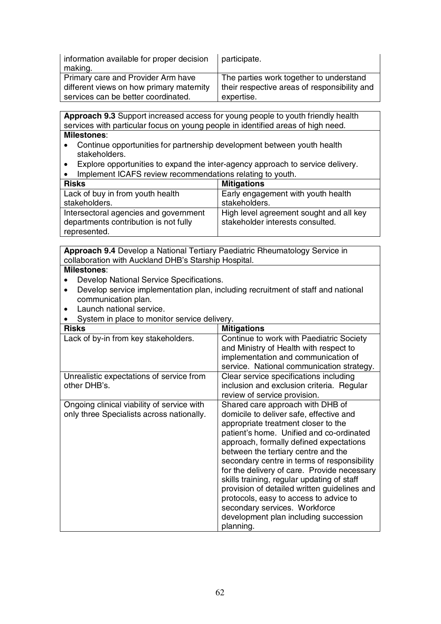| information available for proper decision | participate.                                 |
|-------------------------------------------|----------------------------------------------|
| making.                                   |                                              |
| Primary care and Provider Arm have        | The parties work together to understand      |
| different views on how primary maternity  | their respective areas of responsibility and |
| services can be better coordinated.       | expertise.                                   |

**Approach 9.3** Support increased access for young people to youth friendly health services with particular focus on young people in identified areas of high need. **Milestones**:

- Continue opportunities for partnership development between youth health stakeholders.
- Explore opportunities to expand the inter-agency approach to service delivery.
- Implement ICAFS review recommendations relating to youth.

| <b>Risks</b>                          | <b>Mitigations</b>                      |
|---------------------------------------|-----------------------------------------|
| Lack of buy in from youth health      | Early engagement with youth health      |
| stakeholders.                         | stakeholders.                           |
| Intersectoral agencies and government | High level agreement sought and all key |
| departments contribution is not fully | stakeholder interests consulted.        |
| represented.                          |                                         |

**Approach 9.4** Develop a National Tertiary Paediatric Rheumatology Service in collaboration with Auckland DHB's Starship Hospital.

- Develop National Service Specifications.
- Develop service implementation plan, including recruitment of staff and national communication plan.
- Launch national service.
- System in place to monitor service delivery.

| <b>Risks</b>                                                                            | <b>Mitigations</b>                                                                                                                                                                                                                                                                                                                                                                                                                                                                                                                                                            |
|-----------------------------------------------------------------------------------------|-------------------------------------------------------------------------------------------------------------------------------------------------------------------------------------------------------------------------------------------------------------------------------------------------------------------------------------------------------------------------------------------------------------------------------------------------------------------------------------------------------------------------------------------------------------------------------|
| Lack of by-in from key stakeholders.                                                    | Continue to work with Paediatric Society<br>and Ministry of Health with respect to<br>implementation and communication of<br>service. National communication strategy.                                                                                                                                                                                                                                                                                                                                                                                                        |
| Unrealistic expectations of service from<br>other DHB's.                                | Clear service specifications including<br>inclusion and exclusion criteria. Regular<br>review of service provision.                                                                                                                                                                                                                                                                                                                                                                                                                                                           |
| Ongoing clinical viability of service with<br>only three Specialists across nationally. | Shared care approach with DHB of<br>domicile to deliver safe, effective and<br>appropriate treatment closer to the<br>patient's home. Unified and co-ordinated<br>approach, formally defined expectations<br>between the tertiary centre and the<br>secondary centre in terms of responsibility<br>for the delivery of care. Provide necessary<br>skills training, regular updating of staff<br>provision of detailed written guidelines and<br>protocols, easy to access to advice to<br>secondary services. Workforce<br>development plan including succession<br>planning. |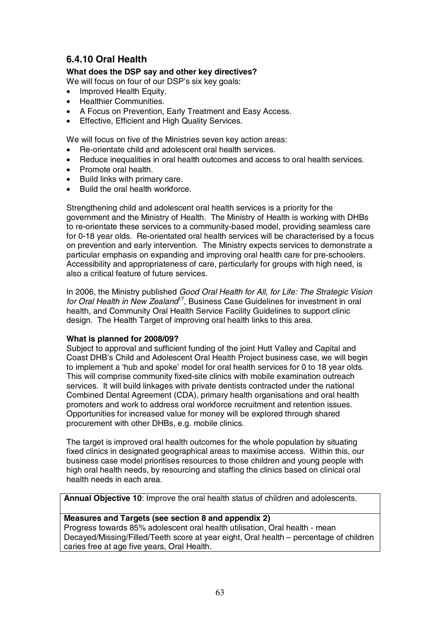# **6.4.10 Oral Health**

#### **What does the DSP say and other key directives?**

We will focus on four of our DSP's six key goals:

- Improved Health Equity.
- Healthier Communities.
- A Focus on Prevention, Early Treatment and Easy Access.
- Effective, Efficient and High Quality Services.

We will focus on five of the Ministries seven key action areas:

- Re-orientate child and adolescent oral health services.
- Reduce inequalities in oral health outcomes and access to oral health services.
- Promote oral health.
- Build links with primary care.
- Build the oral health workforce.

Strengthening child and adolescent oral health services is a priority for the government and the Ministry of Health. The Ministry of Health is working with DHBs to re-orientate these services to a community-based model, providing seamless care for 0-18 year olds. Re-orientated oral health services will be characterised by a focus on prevention and early intervention. The Ministry expects services to demonstrate a particular emphasis on expanding and improving oral health care for pre-schoolers. Accessibility and appropriateness of care, particularly for groups with high need, is also a critical feature of future services.

In 2006, the Ministry published Good Oral Health for All, for Life: The Strategic Vision for Oral Health in New Zealand<sup>17</sup>. Business Case Guidelines for investment in oral health, and Community Oral Health Service Facility Guidelines to support clinic design. The Health Target of improving oral health links to this area.

#### **What is planned for 2008/09?**

Subject to approval and sufficient funding of the joint Hutt Valley and Capital and Coast DHB's Child and Adolescent Oral Health Project business case, we will begin to implement a 'hub and spoke' model for oral health services for 0 to 18 year olds. This will comprise community fixed-site clinics with mobile examination outreach services. It will build linkages with private dentists contracted under the national Combined Dental Agreement (CDA), primary health organisations and oral health promoters and work to address oral workforce recruitment and retention issues. Opportunities for increased value for money will be explored through shared procurement with other DHBs, e.g. mobile clinics.

The target is improved oral health outcomes for the whole population by situating fixed clinics in designated geographical areas to maximise access. Within this, our business case model prioritises resources to those children and young people with high oral health needs, by resourcing and staffing the clinics based on clinical oral health needs in each area.

**Annual Objective 10**: Improve the oral health status of children and adolescents.

#### **Measures and Targets (see section 8 and appendix 2)**

Progress towards 85% adolescent oral health utilisation, Oral health - mean Decayed/Missing/Filled/Teeth score at year eight, Oral health – percentage of children caries free at age five years, Oral Health.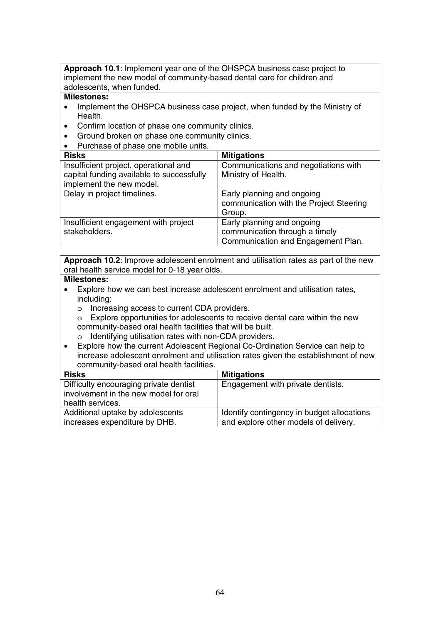**Approach 10.1**: Implement year one of the OHSPCA business case project to implement the new model of community-based dental care for children and adolescents, when funded.

#### **Milestones:**

- Implement the OHSPCA business case project, when funded by the Ministry of Health.
- Confirm location of phase one community clinics.
- Ground broken on phase one community clinics.
- Purchase of phase one mobile units.

| <b>Risks</b>                              | <b>Mitigations</b>                                                              |
|-------------------------------------------|---------------------------------------------------------------------------------|
| Insufficient project, operational and     | Communications and negotiations with                                            |
| capital funding available to successfully | Ministry of Health.                                                             |
| implement the new model.                  |                                                                                 |
| Delay in project timelines.               | Early planning and ongoing<br>communication with the Project Steering<br>Group. |
| Insufficient engagement with project      | Early planning and ongoing                                                      |
| stakeholders.                             | communication through a timely                                                  |
|                                           | Communication and Engagement Plan.                                              |

**Approach 10.2**: Improve adolescent enrolment and utilisation rates as part of the new oral health service model for 0-18 year olds.

- Explore how we can best increase adolescent enrolment and utilisation rates, including:
	- o Increasing access to current CDA providers.
	- o Explore opportunities for adolescents to receive dental care within the new community-based oral health facilities that will be built.
	- o Identifying utilisation rates with non-CDA providers.
- Explore how the current Adolescent Regional Co-Ordination Service can help to increase adolescent enrolment and utilisation rates given the establishment of new community-based oral health facilities.

| <b>Risks</b>                           | <b>Mitigations</b>                         |
|----------------------------------------|--------------------------------------------|
| Difficulty encouraging private dentist | Engagement with private dentists.          |
| involvement in the new model for oral  |                                            |
| health services.                       |                                            |
| Additional uptake by adolescents       | Identify contingency in budget allocations |
| increases expenditure by DHB.          | and explore other models of delivery.      |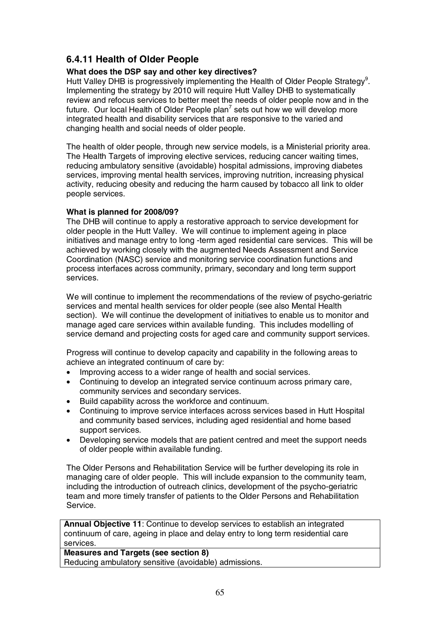# **6.4.11 Health of Older People**

## **What does the DSP say and other key directives?**

Hutt Valley DHB is progressively implementing the Health of Older People Strategy<sup>9</sup>. Implementing the strategy by 2010 will require Hutt Valley DHB to systematically review and refocus services to better meet the needs of older people now and in the future. Our local Health of Older People plan<sup>7</sup> sets out how we will develop more integrated health and disability services that are responsive to the varied and changing health and social needs of older people.

The health of older people, through new service models, is a Ministerial priority area. The Health Targets of improving elective services, reducing cancer waiting times, reducing ambulatory sensitive (avoidable) hospital admissions, improving diabetes services, improving mental health services, improving nutrition, increasing physical activity, reducing obesity and reducing the harm caused by tobacco all link to older people services.

## **What is planned for 2008/09?**

The DHB will continue to apply a restorative approach to service development for older people in the Hutt Valley. We will continue to implement ageing in place initiatives and manage entry to long -term aged residential care services. This will be achieved by working closely with the augmented Needs Assessment and Service Coordination (NASC) service and monitoring service coordination functions and process interfaces across community, primary, secondary and long term support services.

We will continue to implement the recommendations of the review of psycho-geriatric services and mental health services for older people (see also Mental Health section). We will continue the development of initiatives to enable us to monitor and manage aged care services within available funding. This includes modelling of service demand and projecting costs for aged care and community support services.

Progress will continue to develop capacity and capability in the following areas to achieve an integrated continuum of care by:

- Improving access to a wider range of health and social services.
- Continuing to develop an integrated service continuum across primary care, community services and secondary services.
- Build capability across the workforce and continuum.
- Continuing to improve service interfaces across services based in Hutt Hospital and community based services, including aged residential and home based support services.
- Developing service models that are patient centred and meet the support needs of older people within available funding.

The Older Persons and Rehabilitation Service will be further developing its role in managing care of older people. This will include expansion to the community team, including the introduction of outreach clinics, development of the psycho-geriatric team and more timely transfer of patients to the Older Persons and Rehabilitation Service.

**Annual Objective 11**: Continue to develop services to establish an integrated continuum of care, ageing in place and delay entry to long term residential care services.

## **Measures and Targets (see section 8)**

Reducing ambulatory sensitive (avoidable) admissions.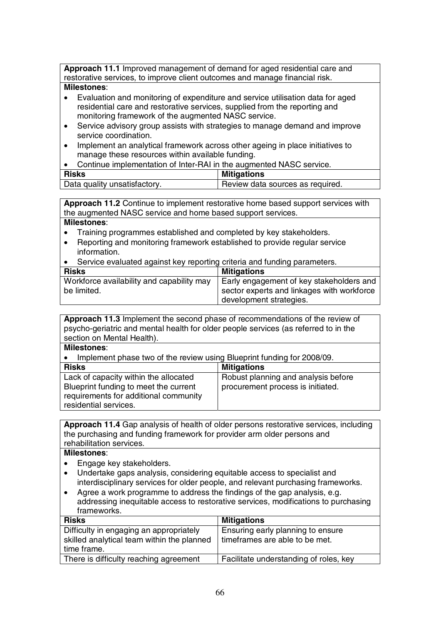**Approach 11.1** Improved management of demand for aged residential care and restorative services, to improve client outcomes and manage financial risk.

#### **Milestones**:

- Evaluation and monitoring of expenditure and service utilisation data for aged residential care and restorative services, supplied from the reporting and monitoring framework of the augmented NASC service.
- Service advisory group assists with strategies to manage demand and improve service coordination.
- Implement an analytical framework across other ageing in place initiatives to manage these resources within available funding.
- Continue implementation of Inter-RAI in the augmented NASC service.

| <b>Risks</b>                 | <b>Mitigations</b>               |
|------------------------------|----------------------------------|
| Data quality unsatisfactory. | Review data sources as required. |

**Approach 11.2** Continue to implement restorative home based support services with the augmented NASC service and home based support services.

#### **Milestones**:

- Training programmes established and completed by key stakeholders.
- Reporting and monitoring framework established to provide regular service information.
- Service evaluated against key reporting criteria and funding parameters.

| <b>Risks</b>                              | <b>Mitigations</b>                         |
|-------------------------------------------|--------------------------------------------|
| Workforce availability and capability may | Early engagement of key stakeholders and   |
| be limited.                               | sector experts and linkages with workforce |
|                                           | development strategies.                    |

**Approach 11.3** Implement the second phase of recommendations of the review of psycho-geriatric and mental health for older people services (as referred to in the section on Mental Health).

#### **Milestones**:  $\alpha$  review using Plueprint funding for 2008/00

| $\bullet$ implement phase two or the review using Diuephint funding for 2000/09. |                                     |
|----------------------------------------------------------------------------------|-------------------------------------|
| <b>Risks</b>                                                                     | <b>Mitigations</b>                  |
| Lack of capacity within the allocated                                            | Robust planning and analysis before |
| Blueprint funding to meet the current                                            | procurement process is initiated.   |
| requirements for additional community                                            |                                     |
| residential services.                                                            |                                     |

**Approach 11.4** Gap analysis of health of older persons restorative services, including the purchasing and funding framework for provider arm older persons and rehabilitation services.

- Engage key stakeholders.
- Undertake gaps analysis, considering equitable access to specialist and interdisciplinary services for older people, and relevant purchasing frameworks.
- Agree a work programme to address the findings of the gap analysis, e.g. addressing inequitable access to restorative services, modifications to purchasing frameworks.

| <b>Mitigations</b>                     |
|----------------------------------------|
| Ensuring early planning to ensure      |
| timeframes are able to be met.         |
|                                        |
| Facilitate understanding of roles, key |
|                                        |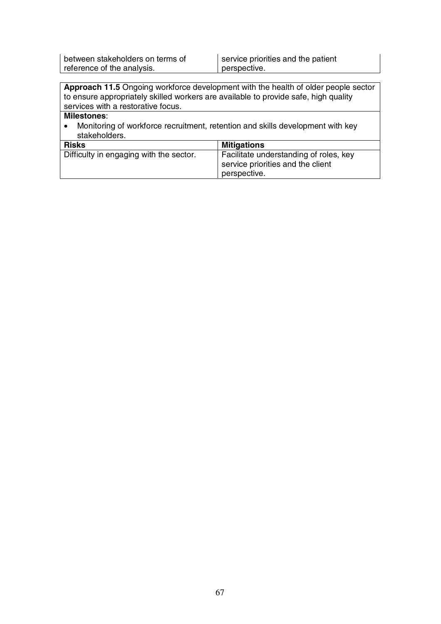between stakeholders on terms of reference of the analysis.

service priorities and the patient perspective.

**Approach 11.5** Ongoing workforce development with the health of older people sector to ensure appropriately skilled workers are available to provide safe, high quality services with a restorative focus.

## **Milestones**:

• Monitoring of workforce recruitment, retention and skills development with key stakeholders.

| <b>Risks</b>                            | <b>Mitigations</b>                     |
|-----------------------------------------|----------------------------------------|
| Difficulty in engaging with the sector. | Facilitate understanding of roles, key |
|                                         | service priorities and the client      |
|                                         | perspective.                           |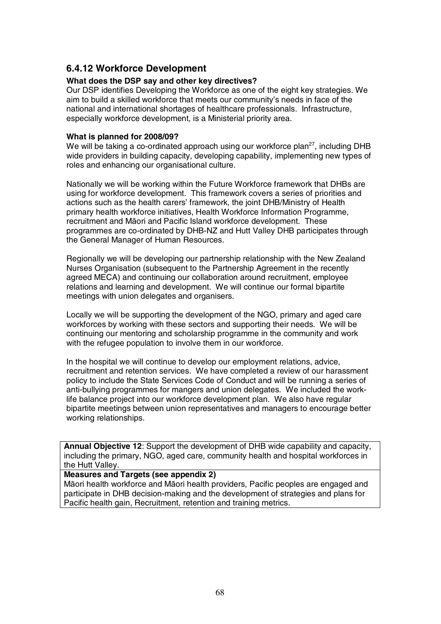# **6.4.12 Workforce Development**

#### **What does the DSP say and other key directives?**

Our DSP identifies Developing the Workforce as one of the eight key strategies. We aim to build a skilled workforce that meets our community's needs in face of the national and international shortages of healthcare professionals. Infrastructure, especially workforce development, is a Ministerial priority area.

#### **What is planned for 2008/09?**

We will be taking a co-ordinated approach using our workforce plan<sup>27</sup>, including DHB wide providers in building capacity, developing capability, implementing new types of roles and enhancing our organisational culture.

Nationally we will be working within the Future Workforce framework that DHBs are using for workforce development. This framework covers a series of priorities and actions such as the health carers' framework, the joint DHB/Ministry of Health primary health workforce initiatives, Health Workforce Information Programme, recruitment and Māori and Pacific Island workforce development. These programmes are co-ordinated by DHB-NZ and Hutt Valley DHB participates through the General Manager of Human Resources.

Regionally we will be developing our partnership relationship with the New Zealand Nurses Organisation (subsequent to the Partnership Agreement in the recently agreed MECA) and continuing our collaboration around recruitment, employee relations and learning and development. We will continue our formal bipartite meetings with union delegates and organisers.

Locally we will be supporting the development of the NGO, primary and aged care workforces by working with these sectors and supporting their needs. We will be continuing our mentoring and scholarship programme in the community and work with the refugee population to involve them in our workforce.

In the hospital we will continue to develop our employment relations, advice, recruitment and retention services. We have completed a review of our harassment policy to include the State Services Code of Conduct and will be running a series of anti-bullying programmes for mangers and union delegates. We included the worklife balance project into our workforce development plan. We also have regular bipartite meetings between union representatives and managers to encourage better working relationships.

**Annual Objective 12**: Support the development of DHB wide capability and capacity, including the primary, NGO, aged care, community health and hospital workforces in the Hutt Valley.

#### **Measures and Targets (see appendix 2)**

Māori health workforce and Māori health providers, Pacific peoples are engaged and participate in DHB decision-making and the development of strategies and plans for Pacific health gain, Recruitment, retention and training metrics.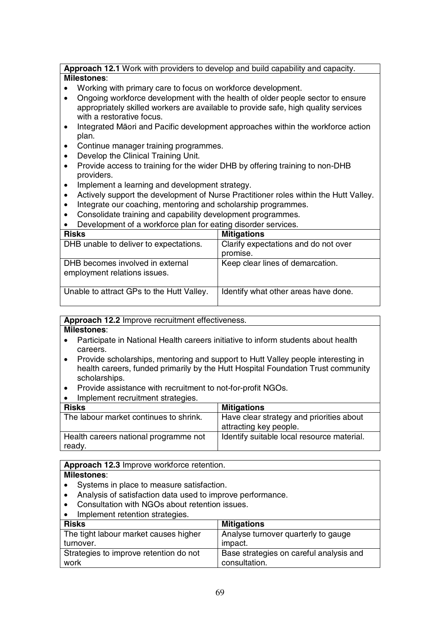#### **Approach 12.1** Work with providers to develop and build capability and capacity. **Milestones**:

- Working with primary care to focus on workforce development.
- Ongoing workforce development with the health of older people sector to ensure appropriately skilled workers are available to provide safe, high quality services with a restorative focus.
- Integrated Māori and Pacific development approaches within the workforce action plan.
- Continue manager training programmes.
- Develop the Clinical Training Unit.
- Provide access to training for the wider DHB by offering training to non-DHB providers.
- Implement a learning and development strategy.
- Actively support the development of Nurse Practitioner roles within the Hutt Valley.
- Integrate our coaching, mentoring and scholarship programmes.
- Consolidate training and capability development programmes.
- Development of a workforce plan for eating disorder services.

| <b>Risks</b>                                                     | <b>Mitigations</b>                   |
|------------------------------------------------------------------|--------------------------------------|
|                                                                  |                                      |
| DHB unable to deliver to expectations.                           | Clarify expectations and do not over |
|                                                                  |                                      |
|                                                                  | promise.                             |
| DHB becomes involved in external<br>employment relations issues. | Keep clear lines of demarcation.     |
| Unable to attract GPs to the Hutt Valley.                        | Identify what other areas have done. |

#### **Approach 12.2** Improve recruitment effectiveness.

#### **Milestones**:

- Participate in National Health careers initiative to inform students about health careers.
- Provide scholarships, mentoring and support to Hutt Valley people interesting in health careers, funded primarily by the Hutt Hospital Foundation Trust community scholarships.
- Provide assistance with recruitment to not-for-profit NGOs.
- Implement recruitment strategies

| <b>Risks</b>                                    | <b>Mitigations</b>                                                 |
|-------------------------------------------------|--------------------------------------------------------------------|
| The labour market continues to shrink.          | Have clear strategy and priorities about<br>attracting key people. |
| Health careers national programme not<br>ready. | Identify suitable local resource material.                         |

## **Approach 12.3** Improve workforce retention.

- Systems in place to measure satisfaction.
- Analysis of satisfaction data used to improve performance.
- Consultation with NGOs about retention issues.
- Implement retention strategies.

| <b>Risks</b>                           | <b>Mitigations</b>                      |
|----------------------------------------|-----------------------------------------|
| The tight labour market causes higher  | Analyse turnover quarterly to gauge     |
| turnover.                              | impact.                                 |
| Strategies to improve retention do not | Base strategies on careful analysis and |
| work                                   | consultation.                           |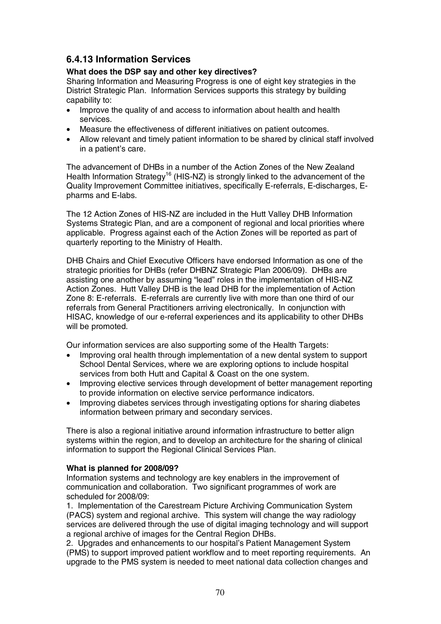# **6.4.13 Information Services**

## **What does the DSP say and other key directives?**

Sharing Information and Measuring Progress is one of eight key strategies in the District Strategic Plan. Information Services supports this strategy by building capability to:

- Improve the quality of and access to information about health and health services.
- Measure the effectiveness of different initiatives on patient outcomes.
- Allow relevant and timely patient information to be shared by clinical staff involved in a patient's care.

The advancement of DHBs in a number of the Action Zones of the New Zealand Health Information Strategy<sup>16</sup> (HIS-NZ) is strongly linked to the advancement of the Quality Improvement Committee initiatives, specifically E-referrals, E-discharges, Epharms and E-labs.

The 12 Action Zones of HIS-NZ are included in the Hutt Valley DHB Information Systems Strategic Plan, and are a component of regional and local priorities where applicable. Progress against each of the Action Zones will be reported as part of quarterly reporting to the Ministry of Health.

DHB Chairs and Chief Executive Officers have endorsed Information as one of the strategic priorities for DHBs (refer DHBNZ Strategic Plan 2006/09). DHBs are assisting one another by assuming "lead" roles in the implementation of HIS-NZ Action Zones. Hutt Valley DHB is the lead DHB for the implementation of Action Zone 8: E-referrals. E-referrals are currently live with more than one third of our referrals from General Practitioners arriving electronically. In conjunction with HISAC, knowledge of our e-referral experiences and its applicability to other DHBs will be promoted.

Our information services are also supporting some of the Health Targets:

- Improving oral health through implementation of a new dental system to support School Dental Services, where we are exploring options to include hospital services from both Hutt and Capital & Coast on the one system.
- Improving elective services through development of better management reporting to provide information on elective service performance indicators.
- Improving diabetes services through investigating options for sharing diabetes information between primary and secondary services.

There is also a regional initiative around information infrastructure to better align systems within the region, and to develop an architecture for the sharing of clinical information to support the Regional Clinical Services Plan.

#### **What is planned for 2008/09?**

Information systems and technology are key enablers in the improvement of communication and collaboration. Two significant programmes of work are scheduled for 2008/09:

1. Implementation of the Carestream Picture Archiving Communication System (PACS) system and regional archive. This system will change the way radiology services are delivered through the use of digital imaging technology and will support a regional archive of images for the Central Region DHBs.

2. Upgrades and enhancements to our hospital's Patient Management System (PMS) to support improved patient workflow and to meet reporting requirements. An upgrade to the PMS system is needed to meet national data collection changes and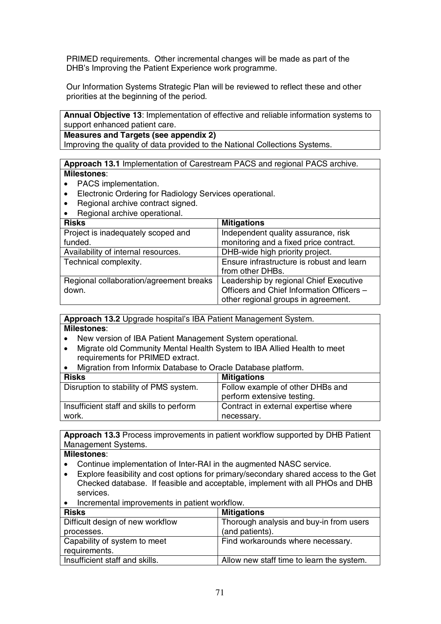PRIMED requirements. Other incremental changes will be made as part of the DHB's Improving the Patient Experience work programme.

Our Information Systems Strategic Plan will be reviewed to reflect these and other priorities at the beginning of the period.

**Annual Objective 13**: Implementation of effective and reliable information systems to support enhanced patient care.

#### **Measures and Targets (see appendix 2)**

Improving the quality of data provided to the National Collections Systems.

**Approach 13.1** Implementation of Carestream PACS and regional PACS archive. **Milestones**:

- PACS implementation.
- Electronic Ordering for Radiology Services operational.
- Regional archive contract signed.
- Regional archive operational.

| <b>Risks</b>                            | <b>Mitigations</b>                        |
|-----------------------------------------|-------------------------------------------|
| Project is inadequately scoped and      | Independent quality assurance, risk       |
| funded.                                 | monitoring and a fixed price contract.    |
| Availability of internal resources.     | DHB-wide high priority project.           |
| Technical complexity.                   | Ensure infrastructure is robust and learn |
|                                         | from other DHBs.                          |
| Regional collaboration/agreement breaks | Leadership by regional Chief Executive    |
| down.                                   | Officers and Chief Information Officers - |
|                                         | other regional groups in agreement.       |

**Approach 13.2** Upgrade hospital's IBA Patient Management System.

#### **Milestones**:

- New version of IBA Patient Management System operational.
- Migrate old Community Mental Health System to IBA Allied Health to meet requirements for PRIMED extract.
- Migration from Informix Database to Oracle Database platform.

| <b>Risks</b>                             | <b>Mitigations</b>                   |
|------------------------------------------|--------------------------------------|
| Disruption to stability of PMS system.   | Follow example of other DHBs and     |
|                                          | perform extensive testing.           |
| Insufficient staff and skills to perform | Contract in external expertise where |
| work.                                    | necessary.                           |

**Approach 13.3** Process improvements in patient workflow supported by DHB Patient Management Systems.

- Continue implementation of Inter-RAI in the augmented NASC service.
- Explore feasibility and cost options for primary/secondary shared access to the Get Checked database. If feasible and acceptable, implement with all PHOs and DHB services.
- Incremental improvements in patient workflow.

| <b>Risks</b>                     | <b>Mitigations</b>                        |
|----------------------------------|-------------------------------------------|
| Difficult design of new workflow | Thorough analysis and buy-in from users   |
| processes.                       | (and patients).                           |
| Capability of system to meet     | Find workarounds where necessary.         |
| requirements.                    |                                           |
| Insufficient staff and skills.   | Allow new staff time to learn the system. |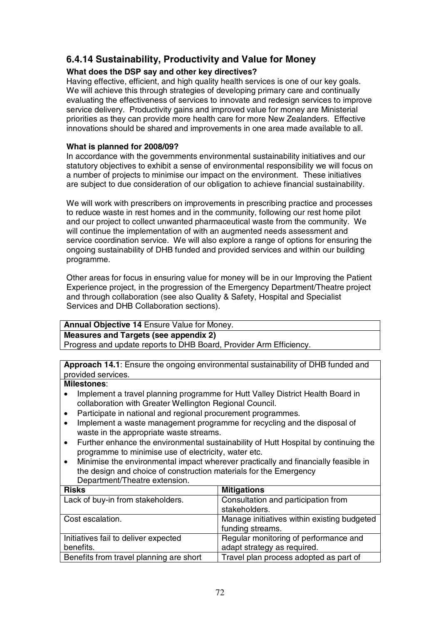# **6.4.14 Sustainability, Productivity and Value for Money**

## **What does the DSP say and other key directives?**

Having effective, efficient, and high quality health services is one of our key goals. We will achieve this through strategies of developing primary care and continually evaluating the effectiveness of services to innovate and redesign services to improve service delivery. Productivity gains and improved value for money are Ministerial priorities as they can provide more health care for more New Zealanders. Effective innovations should be shared and improvements in one area made available to all.

## **What is planned for 2008/09?**

In accordance with the governments environmental sustainability initiatives and our statutory objectives to exhibit a sense of environmental responsibility we will focus on a number of projects to minimise our impact on the environment. These initiatives are subject to due consideration of our obligation to achieve financial sustainability.

We will work with prescribers on improvements in prescribing practice and processes to reduce waste in rest homes and in the community, following our rest home pilot and our project to collect unwanted pharmaceutical waste from the community. We will continue the implementation of with an augmented needs assessment and service coordination service. We will also explore a range of options for ensuring the ongoing sustainability of DHB funded and provided services and within our building programme.

Other areas for focus in ensuring value for money will be in our Improving the Patient Experience project, in the progression of the Emergency Department/Theatre project and through collaboration (see also Quality & Safety, Hospital and Specialist Services and DHB Collaboration sections).

|  | Annual Objective 14 Ensure Value for Money. |  |
|--|---------------------------------------------|--|
|  |                                             |  |

## **Measures and Targets (see appendix 2)**

Progress and update reports to DHB Board, Provider Arm Efficiency.

**Approach 14.1**: Ensure the ongoing environmental sustainability of DHB funded and provided services.

- Implement a travel planning programme for Hutt Valley District Health Board in collaboration with Greater Wellington Regional Council.
- Participate in national and regional procurement programmes.
- Implement a waste management programme for recycling and the disposal of waste in the appropriate waste streams.
- Further enhance the environmental sustainability of Hutt Hospital by continuing the programme to minimise use of electricity, water etc.
- Minimise the environmental impact wherever practically and financially feasible in the design and choice of construction materials for the Emergency Department/Theatre extension.

| <b>Risks</b>                            | <b>Mitigations</b>                                   |  |
|-----------------------------------------|------------------------------------------------------|--|
| Lack of buy-in from stakeholders.       | Consultation and participation from<br>stakeholders. |  |
|                                         |                                                      |  |
| Cost escalation.                        | Manage initiatives within existing budgeted          |  |
|                                         | funding streams.                                     |  |
| Initiatives fail to deliver expected    | Regular monitoring of performance and                |  |
| benefits.                               | adapt strategy as required.                          |  |
| Benefits from travel planning are short | Travel plan process adopted as part of               |  |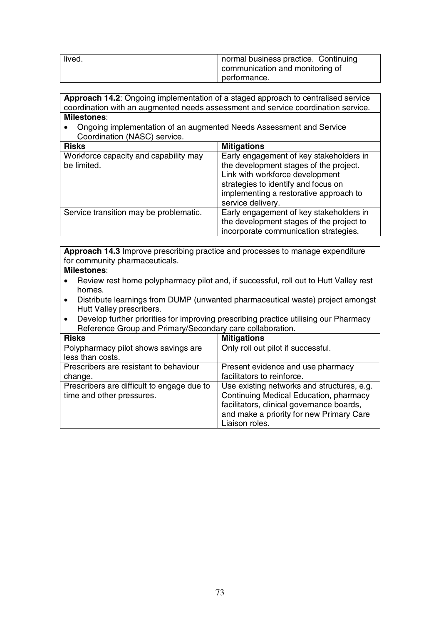| lived. | normal business practice. Continuing<br>communication and monitoring of<br>performance. |
|--------|-----------------------------------------------------------------------------------------|
|        |                                                                                         |

**Approach 14.2**: Ongoing implementation of a staged approach to centralised service coordination with an augmented needs assessment and service coordination service. **Milestones**:

• Ongoing implementation of an augmented Needs Assessment and Service Coordination (NASC) service.

| <b>Risks</b>                                         | <b>Mitigations</b>                                                                                                                                                                                                         |
|------------------------------------------------------|----------------------------------------------------------------------------------------------------------------------------------------------------------------------------------------------------------------------------|
| Workforce capacity and capability may<br>be limited. | Early engagement of key stakeholders in<br>the development stages of the project.<br>Link with workforce development<br>strategies to identify and focus on<br>implementing a restorative approach to<br>service delivery. |
| Service transition may be problematic.               | Early engagement of key stakeholders in<br>the development stages of the project to<br>incorporate communication strategies.                                                                                               |

**Approach 14.3** Improve prescribing practice and processes to manage expenditure for community pharmaceuticals.

- Review rest home polypharmacy pilot and, if successful, roll out to Hutt Valley rest homes.
- Distribute learnings from DUMP (unwanted pharmaceutical waste) project amongst Hutt Valley prescribers.
- Develop further priorities for improving prescribing practice utilising our Pharmacy Reference Group and Primary/Secondary care collaboration.

| <b>Risks</b>                               | <b>Mitigations</b>                         |
|--------------------------------------------|--------------------------------------------|
| Polypharmacy pilot shows savings are       | Only roll out pilot if successful.         |
| less than costs.                           |                                            |
| Prescribers are resistant to behaviour     | Present evidence and use pharmacy          |
| change.                                    | facilitators to reinforce.                 |
| Prescribers are difficult to engage due to | Use existing networks and structures, e.g. |
| time and other pressures.                  | Continuing Medical Education, pharmacy     |
|                                            | facilitators, clinical governance boards,  |
|                                            | and make a priority for new Primary Care   |
|                                            | Liaison roles.                             |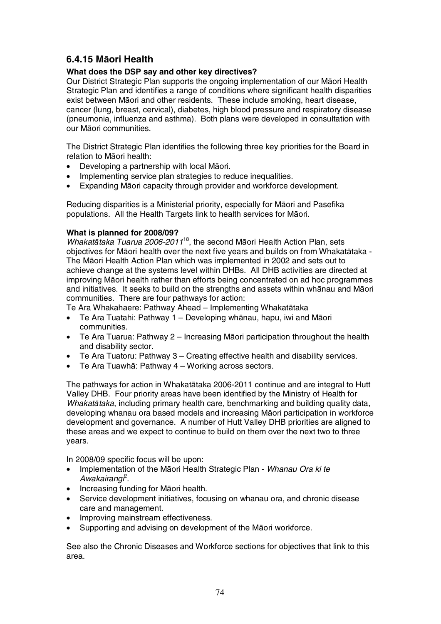## **6.4.15 MƗori Health**

#### **What does the DSP say and other key directives?**

Our District Strategic Plan supports the ongoing implementation of our Māori Health Strategic Plan and identifies a range of conditions where significant health disparities exist between Māori and other residents. These include smoking, heart disease, cancer (lung, breast, cervical), diabetes, high blood pressure and respiratory disease (pneumonia, influenza and asthma). Both plans were developed in consultation with our Māori communities.

The District Strategic Plan identifies the following three key priorities for the Board in relation to Māori health:

- Developing a partnership with local Māori.
- Implementing service plan strategies to reduce inequalities.
- Expanding Māori capacity through provider and workforce development.

Reducing disparities is a Ministerial priority, especially for Māori and Pasefika populations. All the Health Targets link to health services for Māori.

#### **What is planned for 2008/09?**

Whakatātaka Tuarua 2006-2011<sup>18</sup>, the second Māori Health Action Plan, sets objectives for Māori health over the next five years and builds on from Whakatātaka -The Māori Health Action Plan which was implemented in 2002 and sets out to achieve change at the systems level within DHBs. All DHB activities are directed at improving Māori health rather than efforts being concentrated on ad hoc programmes and initiatives. It seeks to build on the strengths and assets within whānau and Māori communities. There are four pathways for action:

Te Ara Whakahaere: Pathway Ahead – Implementing Whakatātaka

- Te Ara Tuatahi: Pathway 1 Developing whānau, hapu, iwi and Māori communities.
- Te Ara Tuarua: Pathway  $2 -$  Increasing Māori participation throughout the health and disability sector.
- Te Ara Tuatoru: Pathway 3 Creating effective health and disability services.
- Te Ara Tuawhā: Pathway 4 Working across sectors.

The pathways for action in Whakatātaka 2006-2011 continue and are integral to Hutt Valley DHB. Four priority areas have been identified by the Ministry of Health for Whakatataka, including primary health care, benchmarking and building quality data. developing whanau ora based models and increasing Māori participation in workforce development and governance. A number of Hutt Valley DHB priorities are aligned to these areas and we expect to continue to build on them over the next two to three years.

In 2008/09 specific focus will be upon:

- Implementation of the Māori Health Strategic Plan Whanau Ora ki te Awakairangi<sup>2</sup>.
- Increasing funding for Māori health.
- Service development initiatives, focusing on whanau ora, and chronic disease care and management.
- Improving mainstream effectiveness.
- Supporting and advising on development of the Māori workforce.

See also the Chronic Diseases and Workforce sections for objectives that link to this area.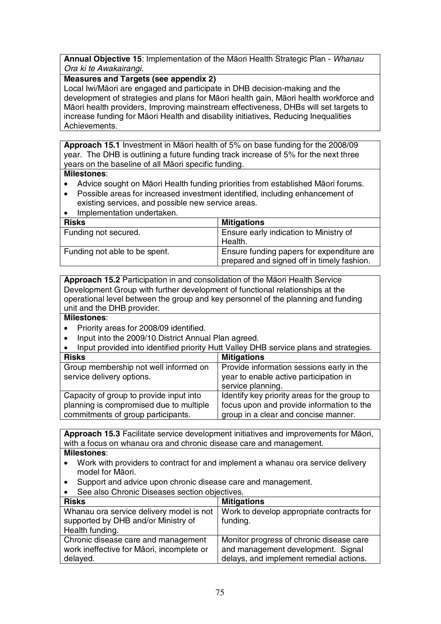**Annual Objective 15: Implementation of the Māori Health Strategic Plan - Whanau** Ora ki te Awakairangi.

#### **Measures and Targets (see appendix 2)**

Local Iwi/Māori are engaged and participate in DHB decision-making and the development of strategies and plans for Māori health gain, Māori health workforce and Māori health providers, Improving mainstream effectiveness, DHBs will set targets to increase funding for Māori Health and disability initiatives, Reducing Inequalities Achievements.

Approach 15.1 Investment in Māori health of 5% on base funding for the 2008/09 year. The DHB is outlining a future funding track increase of 5% for the next three years on the baseline of all Māori specific funding.

#### **Milestones**:

- Advice sought on Māori Health funding priorities from established Māori forums.
- Possible areas for increased investment identified, including enhancement of existing services, and possible new service areas.
- Implementation undertaken.

| <b>Risks</b>                  | <b>Mitigations</b>                         |
|-------------------------------|--------------------------------------------|
| Funding not secured.          | Ensure early indication to Ministry of     |
|                               | Health.                                    |
| Funding not able to be spent. | Ensure funding papers for expenditure are  |
|                               | prepared and signed off in timely fashion. |

**Approach 15.2** Participation in and consolidation of the Māori Health Service Development Group with further development of functional relationships at the operational level between the group and key personnel of the planning and funding unit and the DHB provider.

#### **Milestones**:

- Priority areas for 2008/09 identified.
- Input into the 2009/10 District Annual Plan agreed.

|  | Input provided into identified priority Hutt Valley DHB service plans and strategies. |  |  |  |  |
|--|---------------------------------------------------------------------------------------|--|--|--|--|
|--|---------------------------------------------------------------------------------------|--|--|--|--|

| <b>Risks</b>                            | <b>Mitigations</b>                           |
|-----------------------------------------|----------------------------------------------|
| Group membership not well informed on   | Provide information sessions early in the    |
| service delivery options.               | year to enable active participation in       |
|                                         | service planning.                            |
| Capacity of group to provide input into | Identify key priority areas for the group to |
| planning is compromised due to multiple | focus upon and provide information to the    |
| commitments of group participants.      | group in a clear and concise manner.         |

Approach 15.3 Facilitate service development initiatives and improvements for Māori, with a focus on whanau ora and chronic disease care and management.

- Work with providers to contract for and implement a whanau ora service delivery model for Māori.
- Support and advice upon chronic disease care and management.
- See also Chronic Diseases section objectives.

| <b>Risks</b>                              | <b>Mitigations</b>                        |
|-------------------------------------------|-------------------------------------------|
| Whanau ora service delivery model is not  | Work to develop appropriate contracts for |
| supported by DHB and/or Ministry of       | funding.                                  |
| Health funding.                           |                                           |
| Chronic disease care and management       | Monitor progress of chronic disease care  |
| work ineffective for Māori, incomplete or | and management development. Signal        |
| delayed.                                  | delays, and implement remedial actions.   |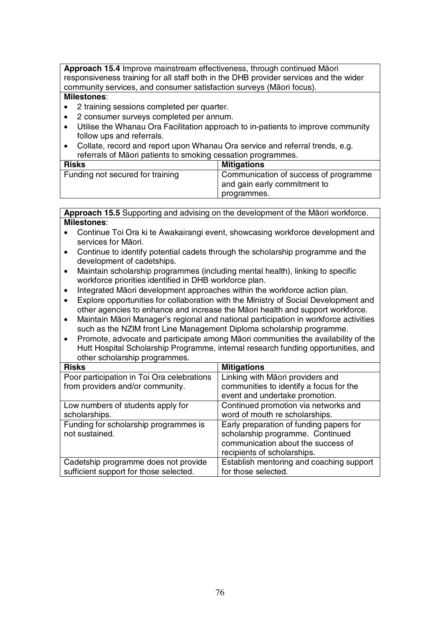Approach 15.4 Improve mainstream effectiveness, through continued Māori responsiveness training for all staff both in the DHB provider services and the wider community services, and consumer satisfaction surveys (Māori focus).

#### **Milestones**:

- 2 training sessions completed per quarter.
- 2 consumer surveys completed per annum.
- Utilise the Whanau Ora Facilitation approach to in-patients to improve community follow ups and referrals.
- Collate, record and report upon Whanau Ora service and referral trends, e.g. referrals of Māori patients to smoking cessation programmes.

| <b>Risks</b>                     | <b>Mitigations</b>                    |  |
|----------------------------------|---------------------------------------|--|
| Funding not secured for training | Communication of success of programme |  |
|                                  | and gain early commitment to          |  |
|                                  | programmes.                           |  |

Approach 15.5 Supporting and advising on the development of the Māori workforce. **Milestones**:

- Continue Toi Ora ki te Awakairangi event, showcasing workforce development and services for Māori.
- Continue to identify potential cadets through the scholarship programme and the development of cadetships.
- Maintain scholarship programmes (including mental health), linking to specific workforce priorities identified in DHB workforce plan.
- Integrated Māori development approaches within the workforce action plan.
- Explore opportunities for collaboration with the Ministry of Social Development and other agencies to enhance and increase the MƗori health and support workforce.
- Maintain MƗori Manager's regional and national participation in workforce activities such as the NZIM front Line Management Diploma scholarship programme.
- Promote, advocate and participate among MƗori communities the availability of the Hutt Hospital Scholarship Programme, internal research funding opportunities, and other scholarship programmes.

| <b>Risks</b>                               | <b>Mitigations</b>                       |
|--------------------------------------------|------------------------------------------|
| Poor participation in Toi Ora celebrations | Linking with Māori providers and         |
| from providers and/or community.           | communities to identify a focus for the  |
|                                            | event and undertake promotion.           |
| Low numbers of students apply for          | Continued promotion via networks and     |
| scholarships.                              | word of mouth re scholarships.           |
| Funding for scholarship programmes is      | Early preparation of funding papers for  |
| not sustained.                             | scholarship programme. Continued         |
|                                            | communication about the success of       |
|                                            | recipients of scholarships.              |
| Cadetship programme does not provide       | Establish mentoring and coaching support |
| sufficient support for those selected.     | for those selected.                      |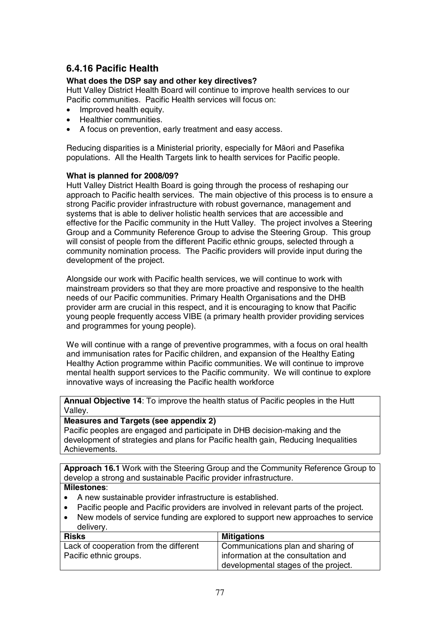## **6.4.16 Pacific Health**

#### **What does the DSP say and other key directives?**

Hutt Valley District Health Board will continue to improve health services to our Pacific communities. Pacific Health services will focus on:

- Improved health equity.
- Healthier communities.
- A focus on prevention, early treatment and easy access.

Reducing disparities is a Ministerial priority, especially for Māori and Pasefika populations. All the Health Targets link to health services for Pacific people.

#### **What is planned for 2008/09?**

Hutt Valley District Health Board is going through the process of reshaping our approach to Pacific health services. The main objective of this process is to ensure a strong Pacific provider infrastructure with robust governance, management and systems that is able to deliver holistic health services that are accessible and effective for the Pacific community in the Hutt Valley. The project involves a Steering Group and a Community Reference Group to advise the Steering Group. This group will consist of people from the different Pacific ethnic groups, selected through a community nomination process. The Pacific providers will provide input during the development of the project.

Alongside our work with Pacific health services, we will continue to work with mainstream providers so that they are more proactive and responsive to the health needs of our Pacific communities. Primary Health Organisations and the DHB provider arm are crucial in this respect, and it is encouraging to know that Pacific young people frequently access VIBE (a primary health provider providing services and programmes for young people).

We will continue with a range of preventive programmes, with a focus on oral health and immunisation rates for Pacific children, and expansion of the Healthy Eating Healthy Action programme within Pacific communities. We will continue to improve mental health support services to the Pacific community. We will continue to explore innovative ways of increasing the Pacific health workforce

**Annual Objective 14**: To improve the health status of Pacific peoples in the Hutt Valley.

#### **Measures and Targets (see appendix 2)**

Pacific peoples are engaged and participate in DHB decision-making and the development of strategies and plans for Pacific health gain, Reducing Inequalities Achievements.

**Approach 16.1** Work with the Steering Group and the Community Reference Group to develop a strong and sustainable Pacific provider infrastructure.

- A new sustainable provider infrastructure is established.
- Pacific people and Pacific providers are involved in relevant parts of the project.
- New models of service funding are explored to support new approaches to service delivery.

| <b>Risks</b>                           | <b>Mitigations</b>                   |
|----------------------------------------|--------------------------------------|
| Lack of cooperation from the different | Communications plan and sharing of   |
| Pacific ethnic groups.                 | information at the consultation and  |
|                                        | developmental stages of the project. |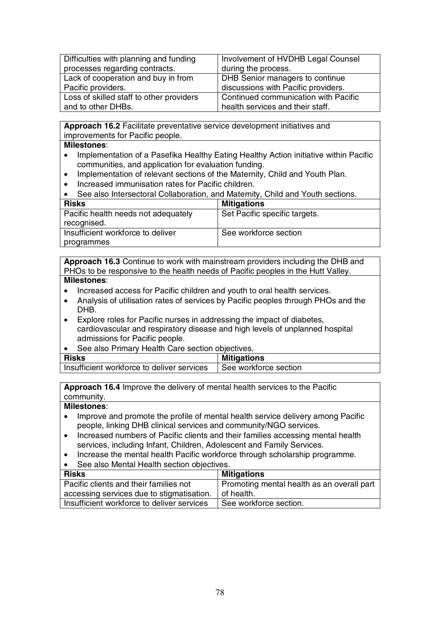| Difficulties with planning and funding   | Involvement of HVDHB Legal Counsel   |
|------------------------------------------|--------------------------------------|
| processes regarding contracts.           | during the process.                  |
| Lack of cooperation and buy in from      | DHB Senior managers to continue      |
| Pacific providers.                       | discussions with Pacific providers.  |
| Loss of skilled staff to other providers | Continued communication with Pacific |
| and to other DHBs.                       | health services and their staff.     |

**Approach 16.2** Facilitate preventative service development initiatives and improvements for Pacific people.

#### **Milestones**:

- Implementation of a Pasefika Healthy Eating Healthy Action initiative within Pacific communities, and application for evaluation funding.
- Implementation of relevant sections of the Maternity, Child and Youth Plan.
- Increased immunisation rates for Pacific children.

|  | See also Intersectoral Collaboration, and Maternity, Child and Youth sections. |  |  |  |  |
|--|--------------------------------------------------------------------------------|--|--|--|--|
|--|--------------------------------------------------------------------------------|--|--|--|--|

| <b>Risks</b>                        | <b>Mitigations</b>            |
|-------------------------------------|-------------------------------|
| Pacific health needs not adequately | Set Pacific specific targets. |
| recognised.                         |                               |
| Insufficient workforce to deliver   | See workforce section         |
| programmes                          |                               |

**Approach 16.3** Continue to work with mainstream providers including the DHB and PHOs to be responsive to the health needs of Pacific peoples in the Hutt Valley. **Milestones**:

- Increased access for Pacific children and youth to oral health services.
- Analysis of utilisation rates of services by Pacific peoples through PHOs and the DHB.
- Explore roles for Pacific nurses in addressing the impact of diabetes, cardiovascular and respiratory disease and high levels of unplanned hospital admissions for Pacific people.
- See also Primary Health Care section objectives.

| <b>Risks</b>                               | <b>Mitigations</b>    |
|--------------------------------------------|-----------------------|
| Insufficient workforce to deliver services | See workforce section |
|                                            |                       |

**Approach 16.4** Improve the delivery of mental health services to the Pacific community.

- Improve and promote the profile of mental health service delivery among Pacific people, linking DHB clinical services and community/NGO services.
- Increased numbers of Pacific clients and their families accessing mental health services, including Infant, Children, Adolescent and Family Services.
- Increase the mental health Pacific workforce through scholarship programme.
- See also Mental Health section objectives.

| <b>Risks</b>                               | <b>Mitigations</b>                         |
|--------------------------------------------|--------------------------------------------|
| Pacific clients and their families not     | Promoting mental health as an overall part |
| accessing services due to stigmatisation.  | of health.                                 |
| Insufficient workforce to deliver services | See workforce section.                     |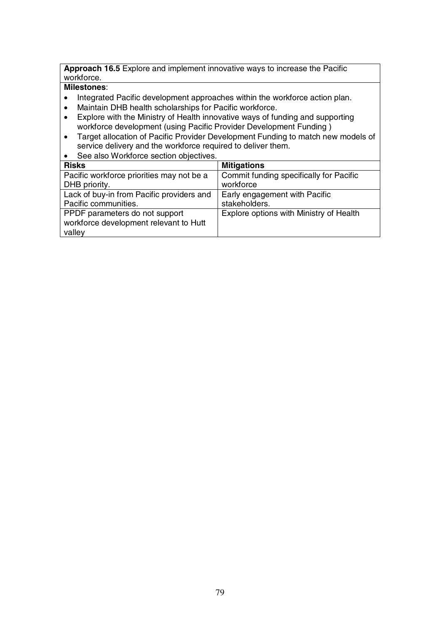**Approach 16.5** Explore and implement innovative ways to increase the Pacific workforce.

- Integrated Pacific development approaches within the workforce action plan.
- Maintain DHB health scholarships for Pacific workforce.<br>• Explore with the Ministry of Health innovative ways of full
- Explore with the Ministry of Health innovative ways of funding and supporting workforce development (using Pacific Provider Development Funding )
- Target allocation of Pacific Provider Development Funding to match new models of service delivery and the workforce required to deliver them.
- See also Workforce section objectives.

| <b>Risks</b>                              | <b>Mitigations</b>                      |
|-------------------------------------------|-----------------------------------------|
| Pacific workforce priorities may not be a | Commit funding specifically for Pacific |
| DHB priority.                             | workforce                               |
| Lack of buy-in from Pacific providers and | Early engagement with Pacific           |
| Pacific communities.                      | stakeholders.                           |
| PPDF parameters do not support            | Explore options with Ministry of Health |
| workforce development relevant to Hutt    |                                         |
| valley                                    |                                         |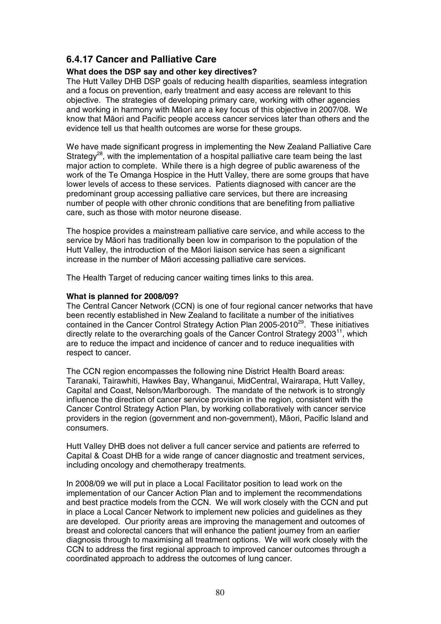### **6.4.17 Cancer and Palliative Care**

#### **What does the DSP say and other key directives?**

The Hutt Valley DHB DSP goals of reducing health disparities, seamless integration and a focus on prevention, early treatment and easy access are relevant to this objective. The strategies of developing primary care, working with other agencies and working in harmony with Māori are a key focus of this objective in 2007/08. We know that MƗori and Pacific people access cancer services later than others and the evidence tell us that health outcomes are worse for these groups.

We have made significant progress in implementing the New Zealand Palliative Care Strategy<sup>28</sup>, with the implementation of a hospital palliative care team being the last major action to complete. While there is a high degree of public awareness of the work of the Te Omanga Hospice in the Hutt Valley, there are some groups that have lower levels of access to these services. Patients diagnosed with cancer are the predominant group accessing palliative care services, but there are increasing number of people with other chronic conditions that are benefiting from palliative care, such as those with motor neurone disease.

The hospice provides a mainstream palliative care service, and while access to the service by Māori has traditionally been low in comparison to the population of the Hutt Valley, the introduction of the Māori liaison service has seen a significant increase in the number of Māori accessing palliative care services.

The Health Target of reducing cancer waiting times links to this area.

#### **What is planned for 2008/09?**

The Central Cancer Network (CCN) is one of four regional cancer networks that have been recently established in New Zealand to facilitate a number of the initiatives contained in the Cancer Control Strategy Action Plan 2005-2010<sup>29</sup>. These initiatives directly relate to the overarching goals of the Cancer Control Strategy  $2003<sup>11</sup>$ , which are to reduce the impact and incidence of cancer and to reduce inequalities with respect to cancer.

The CCN region encompasses the following nine District Health Board areas: Taranaki, Tairawhiti, Hawkes Bay, Whanganui, MidCentral, Wairarapa, Hutt Valley, Capital and Coast, Nelson/Marlborough. The mandate of the network is to strongly influence the direction of cancer service provision in the region, consistent with the Cancer Control Strategy Action Plan, by working collaboratively with cancer service providers in the region (government and non-government), Māori, Pacific Island and consumers.

Hutt Valley DHB does not deliver a full cancer service and patients are referred to Capital & Coast DHB for a wide range of cancer diagnostic and treatment services, including oncology and chemotherapy treatments.

In 2008/09 we will put in place a Local Facilitator position to lead work on the implementation of our Cancer Action Plan and to implement the recommendations and best practice models from the CCN. We will work closely with the CCN and put in place a Local Cancer Network to implement new policies and guidelines as they are developed. Our priority areas are improving the management and outcomes of breast and colorectal cancers that will enhance the patient journey from an earlier diagnosis through to maximising all treatment options. We will work closely with the CCN to address the first regional approach to improved cancer outcomes through a coordinated approach to address the outcomes of lung cancer.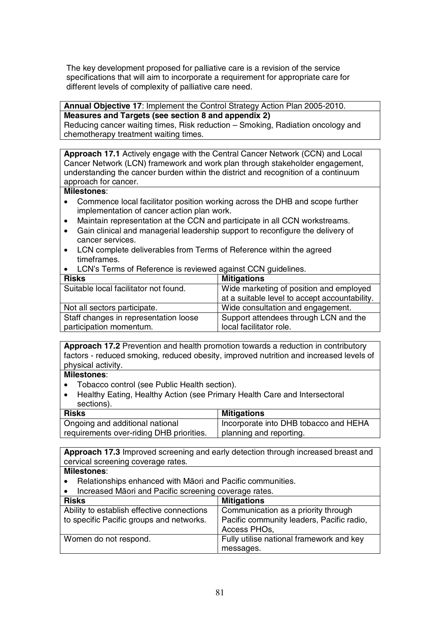The key development proposed for palliative care is a revision of the service specifications that will aim to incorporate a requirement for appropriate care for different levels of complexity of palliative care need.

#### **Annual Objective 17**: Implement the Control Strategy Action Plan 2005-2010. **Measures and Targets (see section 8 and appendix 2)**

Reducing cancer waiting times, Risk reduction – Smoking, Radiation oncology and chemotherapy treatment waiting times.

**Approach 17.1** Actively engage with the Central Cancer Network (CCN) and Local Cancer Network (LCN) framework and work plan through stakeholder engagement, understanding the cancer burden within the district and recognition of a continuum approach for cancer.

#### **Milestones**:

- Commence local facilitator position working across the DHB and scope further implementation of cancer action plan work.
- Maintain representation at the CCN and participate in all CCN workstreams.
- Gain clinical and managerial leadership support to reconfigure the delivery of cancer services.
- LCN complete deliverables from Terms of Reference within the agreed timeframes.
- LCN's Terms of Reference is reviewed against CCN guidelines.

| <b>Risks</b>                          | <b>Mitigations</b>                            |
|---------------------------------------|-----------------------------------------------|
| Suitable local facilitator not found. | Wide marketing of position and employed       |
|                                       | at a suitable level to accept accountability. |
| Not all sectors participate.          | Wide consultation and engagement.             |
| Staff changes in representation loose | Support attendees through LCN and the         |
| participation momentum.               | local facilitator role.                       |

**Approach 17.2** Prevention and health promotion towards a reduction in contributory factors - reduced smoking, reduced obesity, improved nutrition and increased levels of physical activity.

#### **Milestones**:

- Tobacco control (see Public Health section).
- Healthy Eating, Healthy Action (see Primary Health Care and Intersectoral sections).

| <b>Risks</b>                             | <b>Mitigations</b>                    |
|------------------------------------------|---------------------------------------|
| Ongoing and additional national          | Incorporate into DHB tobacco and HEHA |
| requirements over-riding DHB priorities. | planning and reporting.               |

**Approach 17.3** Improved screening and early detection through increased breast and cervical screening coverage rates.

- Relationships enhanced with Māori and Pacific communities.
- Increased Māori and Pacific screening coverage rates.

| <b>Risks</b>                               | <b>Mitigations</b>                                        |
|--------------------------------------------|-----------------------------------------------------------|
| Ability to establish effective connections | Communication as a priority through                       |
| to specific Pacific groups and networks.   | Pacific community leaders, Pacific radio,<br>Access PHOs, |
| Women do not respond.                      | Fully utilise national framework and key                  |
|                                            | messages.                                                 |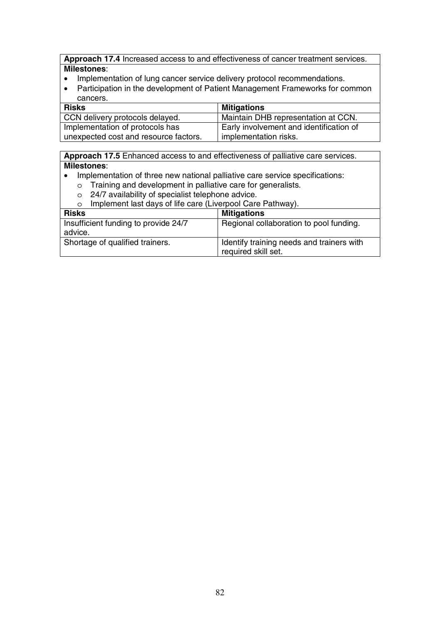**Approach 17.4** Increased access to and effectiveness of cancer treatment services. **Milestones**:

- Implementation of lung cancer service delivery protocol recommendations.
- Participation in the development of Patient Management Frameworks for common cancers.

| <b>Risks</b>                          | <b>Mitigations</b>                      |
|---------------------------------------|-----------------------------------------|
| CCN delivery protocols delayed.       | Maintain DHB representation at CCN.     |
| Implementation of protocols has       | Early involvement and identification of |
| unexpected cost and resource factors. | implementation risks.                   |

**Approach 17.5** Enhanced access to and effectiveness of palliative care services. **Milestones**:

- Implementation of three new national palliative care service specifications:
	- o Training and development in palliative care for generalists.
	- o 24/7 availability of specialist telephone advice.
	- o Implement last days of life care (Liverpool Care Pathway).

| <b>Risks</b>                                    | <b>Mitigations</b>                                               |
|-------------------------------------------------|------------------------------------------------------------------|
| Insufficient funding to provide 24/7<br>advice. | Regional collaboration to pool funding.                          |
| Shortage of qualified trainers.                 | Identify training needs and trainers with<br>required skill set. |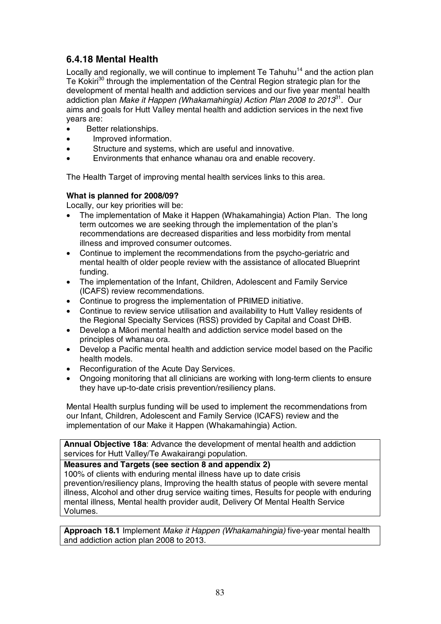## **6.4.18 Mental Health**

Locally and regionally, we will continue to implement Te Tahuhu<sup>14</sup> and the action plan Te Kokiri<sup>30</sup> through the implementation of the Central Region strategic plan for the development of mental health and addiction services and our five year mental health addiction plan *Make it Happen (Whakamahingia) Action Plan 2008 to 2013*<sup>31</sup>. Our aims and goals for Hutt Valley mental health and addiction services in the next five years are:

- Better relationships.
- Improved information.
- Structure and systems, which are useful and innovative.
- Environments that enhance whanau ora and enable recovery.

The Health Target of improving mental health services links to this area.

#### **What is planned for 2008/09?**

Locally, our key priorities will be:

- The implementation of Make it Happen (Whakamahingia) Action Plan. The long term outcomes we are seeking through the implementation of the plan's recommendations are decreased disparities and less morbidity from mental illness and improved consumer outcomes.
- Continue to implement the recommendations from the psycho-geriatric and mental health of older people review with the assistance of allocated Blueprint funding.
- The implementation of the Infant, Children, Adolescent and Family Service (ICAFS) review recommendations.
- Continue to progress the implementation of PRIMED initiative.
- Continue to review service utilisation and availability to Hutt Valley residents of the Regional Specialty Services (RSS) provided by Capital and Coast DHB.
- Develop a Māori mental health and addiction service model based on the principles of whanau ora.
- Develop a Pacific mental health and addiction service model based on the Pacific health models.
- Reconfiguration of the Acute Day Services.
- Ongoing monitoring that all clinicians are working with long-term clients to ensure they have up-to-date crisis prevention/resiliency plans.

Mental Health surplus funding will be used to implement the recommendations from our Infant, Children, Adolescent and Family Service (ICAFS) review and the implementation of our Make it Happen (Whakamahingia) Action.

**Annual Objective 18a**: Advance the development of mental health and addiction services for Hutt Valley/Te Awakairangi population.

**Measures and Targets (see section 8 and appendix 2)** 

100% of clients with enduring mental illness have up to date crisis prevention/resiliency plans, Improving the health status of people with severe mental illness, Alcohol and other drug service waiting times, Results for people with enduring mental illness, Mental health provider audit, Delivery Of Mental Health Service Volumes.

**Approach 18.1** Implement Make it Happen (Whakamahingia) five-year mental health and addiction action plan 2008 to 2013.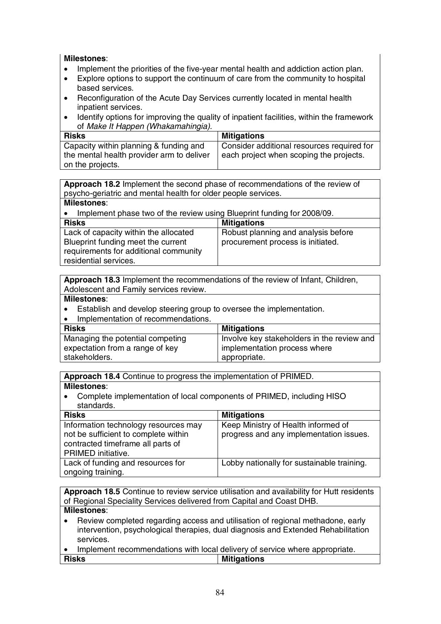#### **Milestones**:

- Implement the priorities of the five-year mental health and addiction action plan.
- Explore options to support the continuum of care from the community to hospital based services.
- Reconfiguration of the Acute Day Services currently located in mental health inpatient services.
- Identify options for improving the quality of inpatient facilities, within the framework of Make It Happen (Whakamahingia).

| <b>Risks</b>                              | <b>Mitigations</b>                         |
|-------------------------------------------|--------------------------------------------|
| Capacity within planning & funding and    | Consider additional resources required for |
| the mental health provider arm to deliver | each project when scoping the projects.    |
| on the projects.                          |                                            |

**Approach 18.2** Implement the second phase of recommendations of the review of psycho-geriatric and mental health for older people services.

#### **Milestones**:

• Implement phase two of the review using Blueprint funding for 2008/09.

| <b>Risks</b>                          | <b>Mitigations</b>                  |
|---------------------------------------|-------------------------------------|
| Lack of capacity within the allocated | Robust planning and analysis before |
| Blueprint funding meet the current    | procurement process is initiated.   |
| requirements for additional community |                                     |
| residential services.                 |                                     |

**Approach 18.3** Implement the recommendations of the review of Infant, Children, Adolescent and Family services review.

#### **Milestones**:

- Establish and develop steering group to oversee the implementation.
- Implementation of recommendations.

| <b>Risks</b>                     | <b>Mitigations</b>                         |
|----------------------------------|--------------------------------------------|
| Managing the potential competing | Involve key stakeholders in the review and |
| expectation from a range of key  | implementation process where               |
| stakeholders.                    | appropriate.                               |

**Approach 18.4** Continue to progress the implementation of PRIMED.

#### **Milestones**:

• Complete implementation of local components of PRIMED, including HISO standards.

| <b>Risks</b>                         | <b>Mitigations</b>                         |
|--------------------------------------|--------------------------------------------|
| Information technology resources may | Keep Ministry of Health informed of        |
| not be sufficient to complete within | progress and any implementation issues.    |
| contracted timeframe all parts of    |                                            |
| PRIMED initiative.                   |                                            |
| Lack of funding and resources for    | Lobby nationally for sustainable training. |
| ongoing training.                    |                                            |

**Approach 18.5** Continue to review service utilisation and availability for Hutt residents of Regional Speciality Services delivered from Capital and Coast DHB. **Milestones**:

- Review completed regarding access and utilisation of regional methadone, early intervention, psychological therapies, dual diagnosis and Extended Rehabilitation services.
- Implement recommendations with local delivery of service where appropriate. **Risks** Mitigations **Mitigations**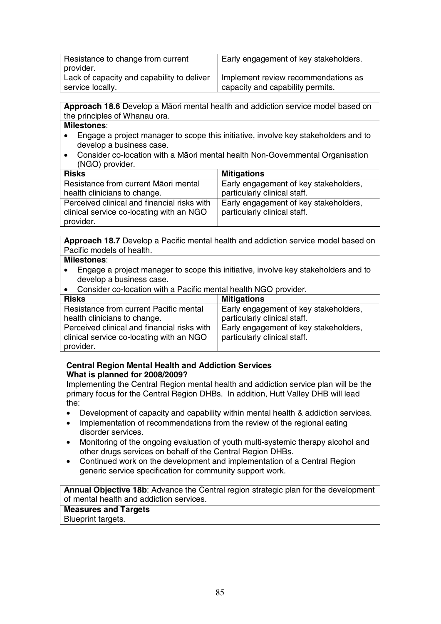| Resistance to change from current          | Early engagement of key stakeholders. |
|--------------------------------------------|---------------------------------------|
| provider.                                  |                                       |
| Lack of capacity and capability to deliver | Implement review recommendations as   |
| service locally.                           | capacity and capability permits.      |

Approach 18.6 Develop a Māori mental health and addiction service model based on the principles of Whanau ora.

#### **Milestones**:

- Engage a project manager to scope this initiative, involve key stakeholders and to develop a business case.
- Consider co-location with a Māori mental health Non-Governmental Organisation (NGO) provider.

| <b>Risks</b>                                | <b>Mitigations</b>                    |
|---------------------------------------------|---------------------------------------|
| Resistance from current Māori mental        | Early engagement of key stakeholders, |
| health clinicians to change.                | particularly clinical staff.          |
| Perceived clinical and financial risks with | Early engagement of key stakeholders, |
| clinical service co-locating with an NGO    | particularly clinical staff.          |
| provider.                                   |                                       |

**Approach 18.7** Develop a Pacific mental health and addiction service model based on Pacific models of health.

#### **Milestones**:

- Engage a project manager to scope this initiative, involve key stakeholders and to develop a business case.
- Consider co-location with a Pacific mental health NGO provider.

| <b>Risks</b>                                | <b>Mitigations</b>                    |
|---------------------------------------------|---------------------------------------|
| Resistance from current Pacific mental      | Early engagement of key stakeholders, |
| health clinicians to change.                | particularly clinical staff.          |
| Perceived clinical and financial risks with | Early engagement of key stakeholders, |
| clinical service co-locating with an NGO    | particularly clinical staff.          |
| provider.                                   |                                       |

#### **Central Region Mental Health and Addiction Services What is planned for 2008/2009?**

Implementing the Central Region mental health and addiction service plan will be the primary focus for the Central Region DHBs. In addition, Hutt Valley DHB will lead the:

- Development of capacity and capability within mental health & addiction services.
- Implementation of recommendations from the review of the regional eating disorder services.
- Monitoring of the ongoing evaluation of youth multi-systemic therapy alcohol and other drugs services on behalf of the Central Region DHBs.
- Continued work on the development and implementation of a Central Region generic service specification for community support work.

**Annual Objective 18b**: Advance the Central region strategic plan for the development of mental health and addiction services.

**Measures and Targets**  Blueprint targets.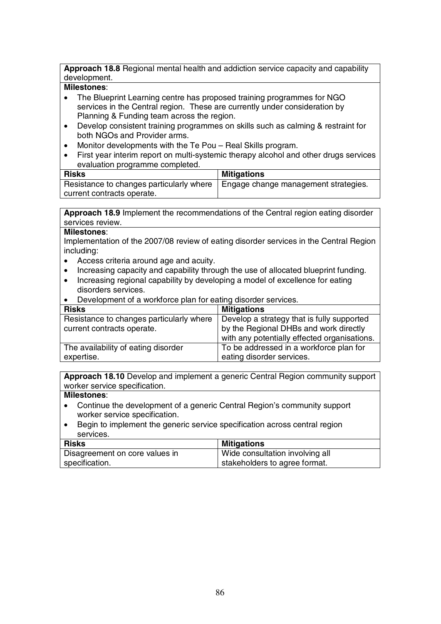**Approach 18.8** Regional mental health and addiction service capacity and capability development.

## **Milestones**:

- The Blueprint Learning centre has proposed training programmes for NGO services in the Central region. These are currently under consideration by Planning & Funding team across the region.
- Develop consistent training programmes on skills such as calming & restraint for both NGOs and Provider arms.
- Monitor developments with the Te Pou Real Skills program.
- First year interim report on multi-systemic therapy alcohol and other drugs services evaluation programme completed.

| <b>Risks</b>                             | <b>Mitigations</b>                   |
|------------------------------------------|--------------------------------------|
| Resistance to changes particularly where | Engage change management strategies. |
| current contracts operate.               |                                      |

**Approach 18.9** Implement the recommendations of the Central region eating disorder services review.

#### **Milestones**:

Implementation of the 2007/08 review of eating disorder services in the Central Region including:

- Access criteria around age and acuity.
- Increasing capacity and capability through the use of allocated blueprint funding.
- Increasing regional capability by developing a model of excellence for eating disorders services.
- Development of a workforce plan for eating disorder services.

| <b>Risks</b>                             | <b>Mitigations</b>                           |
|------------------------------------------|----------------------------------------------|
| Resistance to changes particularly where | Develop a strategy that is fully supported   |
| current contracts operate.               | by the Regional DHBs and work directly       |
|                                          | with any potentially effected organisations. |
| The availability of eating disorder      | To be addressed in a workforce plan for      |
| expertise.                               | eating disorder services.                    |

**Approach 18.10** Develop and implement a generic Central Region community support worker service specification.

- Continue the development of a generic Central Region's community support worker service specification.
- Begin to implement the generic service specification across central region services.

| <b>Risks</b>                   | <b>Mitigations</b>              |
|--------------------------------|---------------------------------|
| Disagreement on core values in | Wide consultation involving all |
| specification.                 | stakeholders to agree format.   |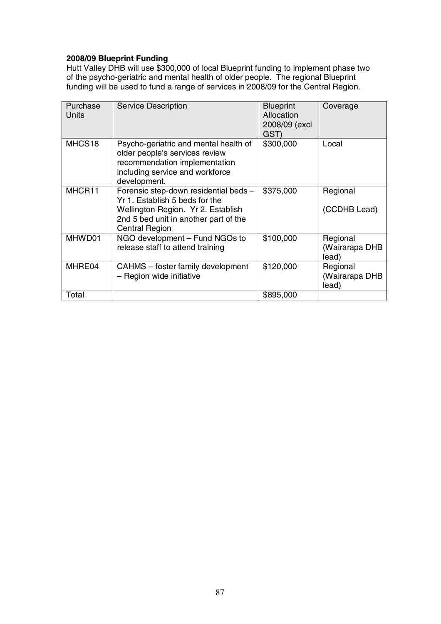## **2008/09 Blueprint Funding**

Hutt Valley DHB will use \$300,000 of local Blueprint funding to implement phase two of the psycho-geriatric and mental health of older people. The regional Blueprint funding will be used to fund a range of services in 2008/09 for the Central Region.

| Purchase<br>Units | <b>Service Description</b>                                                                                                                                                      | <b>Blueprint</b><br>Allocation<br>2008/09 (excl<br>GST) | Coverage                            |
|-------------------|---------------------------------------------------------------------------------------------------------------------------------------------------------------------------------|---------------------------------------------------------|-------------------------------------|
| MHCS18            | Psycho-geriatric and mental health of<br>older people's services review<br>recommendation implementation<br>including service and workforce<br>development.                     | \$300,000                                               | Local                               |
| MHCR11            | Forensic step-down residential beds -<br>Yr 1. Establish 5 beds for the<br>Wellington Region. Yr 2. Establish<br>2nd 5 bed unit in another part of the<br><b>Central Region</b> | \$375,000                                               | Regional<br>(CCDHB Lead)            |
| MHWD01            | NGO development - Fund NGOs to<br>release staff to attend training                                                                                                              | \$100,000                                               | Regional<br>(Wairarapa DHB<br>lead) |
| MHRE04            | CAHMS – foster family development<br>- Region wide initiative                                                                                                                   | \$120,000                                               | Regional<br>(Wairarapa DHB<br>lead) |
| Total             |                                                                                                                                                                                 | \$895,000                                               |                                     |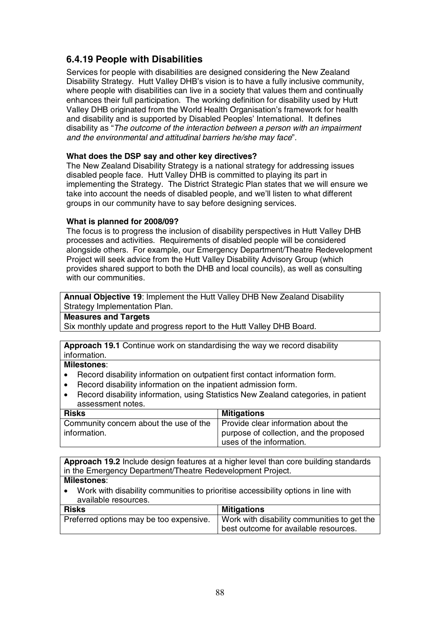## **6.4.19 People with Disabilities**

Services for people with disabilities are designed considering the New Zealand Disability Strategy. Hutt Valley DHB's vision is to have a fully inclusive community, where people with disabilities can live in a society that values them and continually enhances their full participation. The working definition for disability used by Hutt Valley DHB originated from the World Health Organisation's framework for health and disability and is supported by Disabled Peoples' International. It defines disability as "The outcome of the interaction between a person with an impairment and the environmental and attitudinal barriers he/she may face".

#### **What does the DSP say and other key directives?**

The New Zealand Disability Strategy is a national strategy for addressing issues disabled people face. Hutt Valley DHB is committed to playing its part in implementing the Strategy. The District Strategic Plan states that we will ensure we take into account the needs of disabled people, and we'll listen to what different groups in our community have to say before designing services.

#### **What is planned for 2008/09?**

The focus is to progress the inclusion of disability perspectives in Hutt Valley DHB processes and activities. Requirements of disabled people will be considered alongside others. For example, our Emergency Department/Theatre Redevelopment Project will seek advice from the Hutt Valley Disability Advisory Group (which provides shared support to both the DHB and local councils), as well as consulting with our communities.

**Annual Objective 19**: Implement the Hutt Valley DHB New Zealand Disability Strategy Implementation Plan.

#### **Measures and Targets**

Six monthly update and progress report to the Hutt Valley DHB Board.

**Approach 19.1** Continue work on standardising the way we record disability information.

#### **Milestones**:

- Record disability information on outpatient first contact information form.
- Record disability information on the inpatient admission form.
- Record disability information, using Statistics New Zealand categories, in patient assessment notes.

| <b>Risks</b>                           | <b>Mitigations</b>                      |
|----------------------------------------|-----------------------------------------|
| Community concern about the use of the | Provide clear information about the     |
| information.                           | purpose of collection, and the proposed |
|                                        | uses of the information.                |

**Approach 19.2** Include design features at a higher level than core building standards in the Emergency Department/Theatre Redevelopment Project. **Milestones**:

• Work with disability communities to prioritise accessibility options in line with available resources.

| <b>Risks</b>                            | <b>Mitigations</b>                                                                   |
|-----------------------------------------|--------------------------------------------------------------------------------------|
| Preferred options may be too expensive. | Work with disability communities to get the<br>best outcome for available resources. |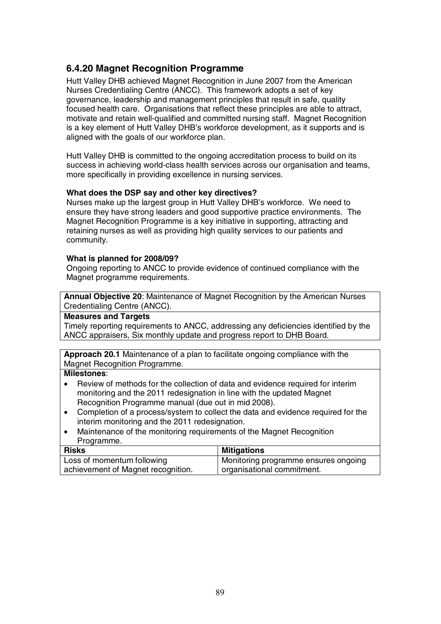## **6.4.20 Magnet Recognition Programme**

Hutt Valley DHB achieved Magnet Recognition in June 2007 from the American Nurses Credentialing Centre (ANCC). This framework adopts a set of key governance, leadership and management principles that result in safe, quality focused health care. Organisations that reflect these principles are able to attract, motivate and retain well-qualified and committed nursing staff. Magnet Recognition is a key element of Hutt Valley DHB's workforce development, as it supports and is aligned with the goals of our workforce plan.

Hutt Valley DHB is committed to the ongoing accreditation process to build on its success in achieving world-class health services across our organisation and teams, more specifically in providing excellence in nursing services.

#### **What does the DSP say and other key directives?**

Nurses make up the largest group in Hutt Valley DHB's workforce. We need to ensure they have strong leaders and good supportive practice environments. The Magnet Recognition Programme is a key initiative in supporting, attracting and retaining nurses as well as providing high quality services to our patients and community.

#### **What is planned for 2008/09?**

Ongoing reporting to ANCC to provide evidence of continued compliance with the Magnet programme requirements.

**Annual Objective 20**: Maintenance of Magnet Recognition by the American Nurses Credentialing Centre (ANCC).

#### **Measures and Targets**

Timely reporting requirements to ANCC, addressing any deficiencies identified by the ANCC appraisers, Six monthly update and progress report to DHB Board.

**Approach 20.1** Maintenance of a plan to facilitate ongoing compliance with the Magnet Recognition Programme.

- Review of methods for the collection of data and evidence required for interim monitoring and the 2011 redesignation in line with the updated Magnet Recognition Programme manual (due out in mid 2008).
- Completion of a process/system to collect the data and evidence required for the interim monitoring and the 2011 redesignation.
- Maintenance of the monitoring requirements of the Magnet Recognition Programme.

| Risks                              | <b>Mitigations</b>                   |
|------------------------------------|--------------------------------------|
| Loss of momentum following         | Monitoring programme ensures ongoing |
| achievement of Magnet recognition. | corganisational commitment.          |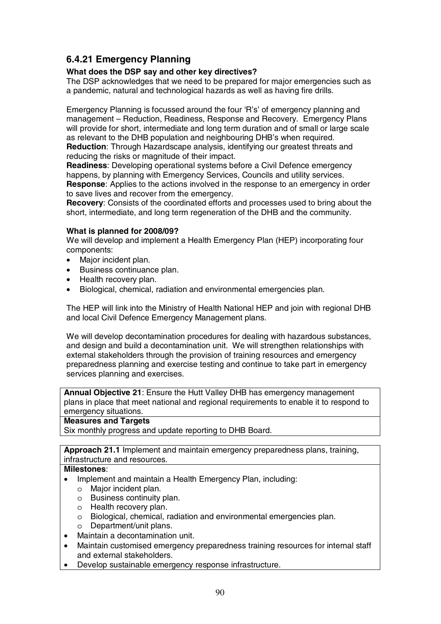## **6.4.21 Emergency Planning**

#### **What does the DSP say and other key directives?**

The DSP acknowledges that we need to be prepared for major emergencies such as a pandemic, natural and technological hazards as well as having fire drills.

Emergency Planning is focussed around the four 'R's' of emergency planning and management – Reduction, Readiness, Response and Recovery. Emergency Plans will provide for short, intermediate and long term duration and of small or large scale as relevant to the DHB population and neighbouring DHB's when required. **Reduction**: Through Hazardscape analysis, identifying our greatest threats and reducing the risks or magnitude of their impact.

**Readiness**: Developing operational systems before a Civil Defence emergency happens, by planning with Emergency Services, Councils and utility services. **Response**: Applies to the actions involved in the response to an emergency in order to save lives and recover from the emergency.

**Recovery**: Consists of the coordinated efforts and processes used to bring about the short, intermediate, and long term regeneration of the DHB and the community.

#### **What is planned for 2008/09?**

We will develop and implement a Health Emergency Plan (HEP) incorporating four components:

- Major incident plan.
- Business continuance plan.
- Health recovery plan.
- Biological, chemical, radiation and environmental emergencies plan.

The HEP will link into the Ministry of Health National HEP and join with regional DHB and local Civil Defence Emergency Management plans.

We will develop decontamination procedures for dealing with hazardous substances, and design and build a decontamination unit. We will strengthen relationships with external stakeholders through the provision of training resources and emergency preparedness planning and exercise testing and continue to take part in emergency services planning and exercises.

**Annual Objective 21**: Ensure the Hutt Valley DHB has emergency management plans in place that meet national and regional requirements to enable it to respond to emergency situations.

#### **Measures and Targets**

Six monthly progress and update reporting to DHB Board.

**Approach 21.1** Implement and maintain emergency preparedness plans, training, infrastructure and resources.

- Implement and maintain a Health Emergency Plan, including:
	- o Major incident plan.
	- o Business continuity plan.
	- o Health recovery plan.
	- o Biological, chemical, radiation and environmental emergencies plan.
	- o Department/unit plans.
- Maintain a decontamination unit.
- Maintain customised emergency preparedness training resources for internal staff and external stakeholders.
- Develop sustainable emergency response infrastructure.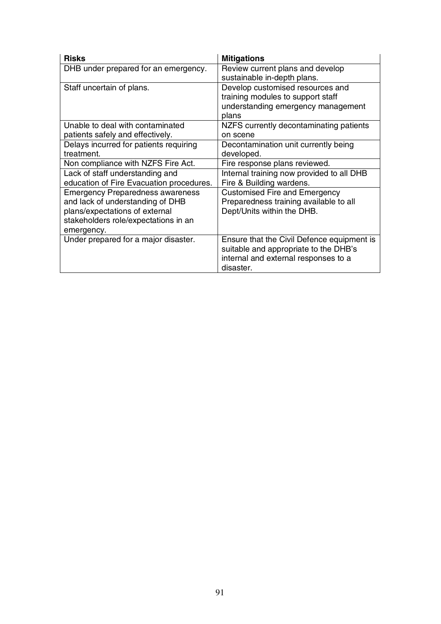| <b>Risks</b>                             | <b>Mitigations</b>                         |
|------------------------------------------|--------------------------------------------|
| DHB under prepared for an emergency.     | Review current plans and develop           |
|                                          | sustainable in-depth plans.                |
| Staff uncertain of plans.                | Develop customised resources and           |
|                                          | training modules to support staff          |
|                                          | understanding emergency management         |
|                                          | plans                                      |
| Unable to deal with contaminated         | NZFS currently decontaminating patients    |
| patients safely and effectively.         | on scene                                   |
| Delays incurred for patients requiring   | Decontamination unit currently being       |
| treatment.                               | developed.                                 |
| Non compliance with NZFS Fire Act.       | Fire response plans reviewed.              |
| Lack of staff understanding and          | Internal training now provided to all DHB  |
| education of Fire Evacuation procedures. | Fire & Building wardens.                   |
| <b>Emergency Preparedness awareness</b>  | <b>Customised Fire and Emergency</b>       |
| and lack of understanding of DHB         | Preparedness training available to all     |
| plans/expectations of external           | Dept/Units within the DHB.                 |
| stakeholders role/expectations in an     |                                            |
| emergency.                               |                                            |
| Under prepared for a major disaster.     | Ensure that the Civil Defence equipment is |
|                                          | suitable and appropriate to the DHB's      |
|                                          | internal and external responses to a       |
|                                          | disaster.                                  |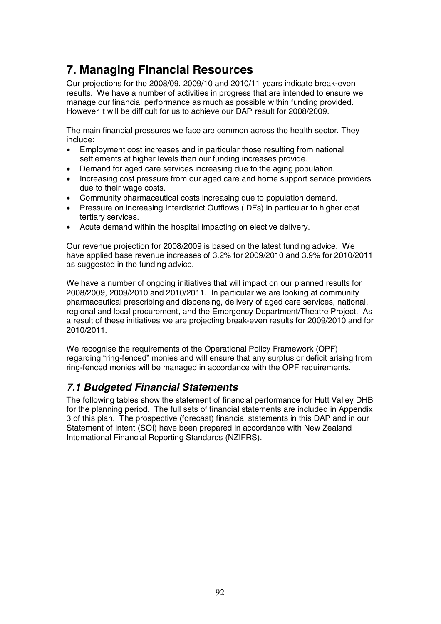## **7. Managing Financial Resources**

Our projections for the 2008/09, 2009/10 and 2010/11 years indicate break-even results. We have a number of activities in progress that are intended to ensure we manage our financial performance as much as possible within funding provided. However it will be difficult for us to achieve our DAP result for 2008/2009.

The main financial pressures we face are common across the health sector. They include:

- Employment cost increases and in particular those resulting from national settlements at higher levels than our funding increases provide.
- Demand for aged care services increasing due to the aging population.
- Increasing cost pressure from our aged care and home support service providers due to their wage costs.
- Community pharmaceutical costs increasing due to population demand.
- Pressure on increasing Interdistrict Outflows (IDFs) in particular to higher cost tertiary services.
- Acute demand within the hospital impacting on elective delivery.

Our revenue projection for 2008/2009 is based on the latest funding advice. We have applied base revenue increases of 3.2% for 2009/2010 and 3.9% for 2010/2011 as suggested in the funding advice.

We have a number of ongoing initiatives that will impact on our planned results for 2008/2009, 2009/2010 and 2010/2011. In particular we are looking at community pharmaceutical prescribing and dispensing, delivery of aged care services, national, regional and local procurement, and the Emergency Department/Theatre Project. As a result of these initiatives we are projecting break-even results for 2009/2010 and for 2010/2011.

We recognise the requirements of the Operational Policy Framework (OPF) regarding "ring-fenced" monies and will ensure that any surplus or deficit arising from ring-fenced monies will be managed in accordance with the OPF requirements.

## *7.1 Budgeted Financial Statements*

The following tables show the statement of financial performance for Hutt Valley DHB for the planning period. The full sets of financial statements are included in Appendix 3 of this plan. The prospective (forecast) financial statements in this DAP and in our Statement of Intent (SOI) have been prepared in accordance with New Zealand International Financial Reporting Standards (NZIFRS).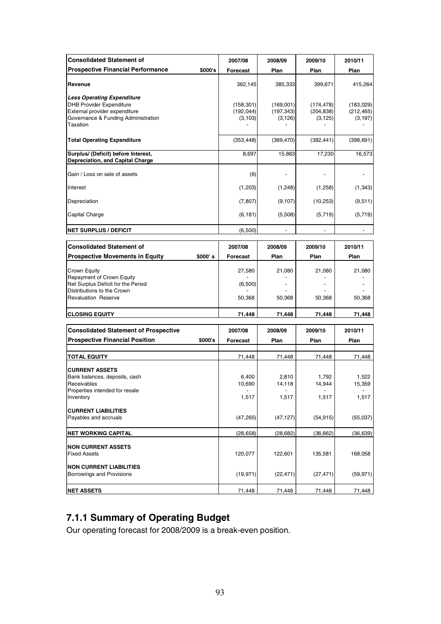| <b>Consolidated Statement of</b>                                                                                                                         | 2007/08                              | 2008/09                             | 2009/10                              | 2010/11                             |
|----------------------------------------------------------------------------------------------------------------------------------------------------------|--------------------------------------|-------------------------------------|--------------------------------------|-------------------------------------|
| <b>Prospective Financial Performance</b>                                                                                                                 | \$000's<br>Forecast                  | Plan                                | Plan                                 | Plan                                |
| Revenue                                                                                                                                                  | 362,145                              | 385,333                             | 399,671                              | 415,264                             |
| <b>Less Operating Expenditure</b><br><b>DHB Provider Expenditure</b><br>External provider expenditure<br>Governance & Funding Administration<br>Taxation | (158, 301)<br>(192, 044)<br>(3, 103) | (169,001)<br>(197, 343)<br>(3, 126) | (174, 478)<br>(204, 838)<br>(3, 125) | (183,029)<br>(212, 465)<br>(3, 197) |
| <b>Total Operating Expenditure</b>                                                                                                                       | (353, 448)                           | (369, 470)                          | (382, 441)                           | (398, 691)                          |
| Surplus/ (Deficit) before Interest,<br>Depreciation, and Capital Charge                                                                                  | 8,697                                | 15,863                              | 17,230                               | 16,573                              |
| Gain / Loss on sale of assets                                                                                                                            | (6)                                  |                                     |                                      |                                     |
| Interest                                                                                                                                                 | (1,203)                              | (1,248)                             | (1,258)                              | (1, 343)                            |
| Depreciation                                                                                                                                             | (7, 807)                             | (9, 107)                            | (10, 253)                            | (9,511)                             |
| Capital Charge                                                                                                                                           | (6, 181)                             | (5,508)                             | (5,719)                              | (5,719)                             |
| <b>NET SURPLUS / DEFICIT</b>                                                                                                                             | (6,500)                              |                                     |                                      |                                     |
| <b>Consolidated Statement of</b>                                                                                                                         | 2007/08                              | 2008/09                             | 2009/10                              | 2010/11                             |
| <b>Prospective Movements in Equity</b><br>\$000' s                                                                                                       | <b>Forecast</b>                      | Plan                                | Plan                                 | Plan                                |
| Crown Equity<br>Repayment of Crown Equity<br>Net Surplus Deficit for the Period<br>Distributions to the Crown<br><b>Revaluation Reserve</b>              | 27,580<br>(6,500)<br>50,368          | 21,080<br>50,368                    | 21,080<br>50,368                     | 21,080<br>50,368                    |
| <b>CLOSING EQUITY</b>                                                                                                                                    | 71,448                               | 71,448                              | 71,448                               | 71,448                              |
| <b>Consolidated Statement of Prospective</b><br><b>Prospective Financial Position</b><br>\$000's                                                         | 2007/08<br>Forecast                  | 2008/09<br>Plan                     | 2009/10<br>Plan                      | 2010/11<br>Plan                     |
| <b>TOTAL EQUITY</b>                                                                                                                                      | 71,448                               | 71,448                              | 71,448                               | 71,448                              |
| <b>CURRENT ASSETS</b><br>Bank balances, deposits, cash<br>Receivables<br>Properties intended for resale<br>Inventory                                     | 6,400<br>10,690<br>1,517             | 2,810<br>14,118<br>1,517            | 1,792<br>14,944<br>1,517             | 1,522<br>15,359<br>1,517            |
| <b>CURRENT LIABILITIES</b><br>Payables and accruals                                                                                                      | (47, 265)                            | (47, 127)                           | (54, 915)                            | (55,037)                            |
| <b>NET WORKING CAPITAL</b>                                                                                                                               | (28, 658)                            | (28, 682)                           | (36, 662)                            | (36, 639)                           |
| <b>NON CURRENT ASSETS</b><br><b>Fixed Assets</b><br><b>NON CURRENT LIABILITIES</b>                                                                       | 120,077                              | 122,601                             | 135,581                              | 168,058                             |
| Borrowings and Provisions                                                                                                                                | (19, 971)                            | (22, 471)                           | (27, 471)                            | (59, 971)                           |
| <b>NET ASSETS</b>                                                                                                                                        | 71,448                               | 71,448                              | 71,448                               | 71,448                              |

## **7.1.1 Summary of Operating Budget**

Our operating forecast for 2008/2009 is a break-even position.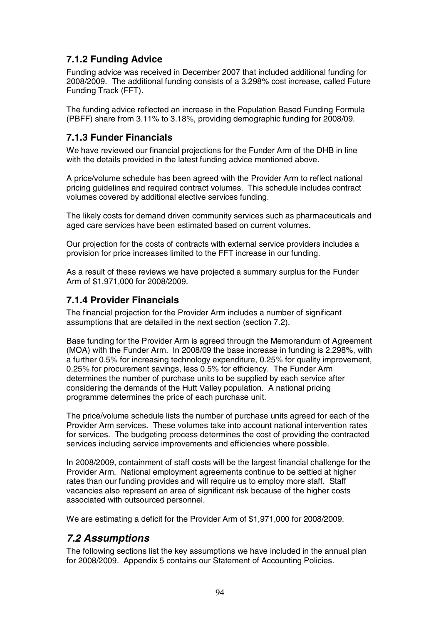## **7.1.2 Funding Advice**

Funding advice was received in December 2007 that included additional funding for 2008/2009. The additional funding consists of a 3.298% cost increase, called Future Funding Track (FFT).

The funding advice reflected an increase in the Population Based Funding Formula (PBFF) share from 3.11% to 3.18%, providing demographic funding for 2008/09.

## **7.1.3 Funder Financials**

We have reviewed our financial projections for the Funder Arm of the DHB in line with the details provided in the latest funding advice mentioned above.

A price/volume schedule has been agreed with the Provider Arm to reflect national pricing guidelines and required contract volumes. This schedule includes contract volumes covered by additional elective services funding.

The likely costs for demand driven community services such as pharmaceuticals and aged care services have been estimated based on current volumes.

Our projection for the costs of contracts with external service providers includes a provision for price increases limited to the FFT increase in our funding.

As a result of these reviews we have projected a summary surplus for the Funder Arm of \$1,971,000 for 2008/2009.

### **7.1.4 Provider Financials**

The financial projection for the Provider Arm includes a number of significant assumptions that are detailed in the next section (section 7.2).

Base funding for the Provider Arm is agreed through the Memorandum of Agreement (MOA) with the Funder Arm. In 2008/09 the base increase in funding is 2.298%, with a further 0.5% for increasing technology expenditure, 0.25% for quality improvement, 0.25% for procurement savings, less 0.5% for efficiency. The Funder Arm determines the number of purchase units to be supplied by each service after considering the demands of the Hutt Valley population. A national pricing programme determines the price of each purchase unit.

The price/volume schedule lists the number of purchase units agreed for each of the Provider Arm services. These volumes take into account national intervention rates for services. The budgeting process determines the cost of providing the contracted services including service improvements and efficiencies where possible.

In 2008/2009, containment of staff costs will be the largest financial challenge for the Provider Arm. National employment agreements continue to be settled at higher rates than our funding provides and will require us to employ more staff. Staff vacancies also represent an area of significant risk because of the higher costs associated with outsourced personnel.

We are estimating a deficit for the Provider Arm of \$1,971,000 for 2008/2009.

## *7.2 Assumptions*

The following sections list the key assumptions we have included in the annual plan for 2008/2009. Appendix 5 contains our Statement of Accounting Policies.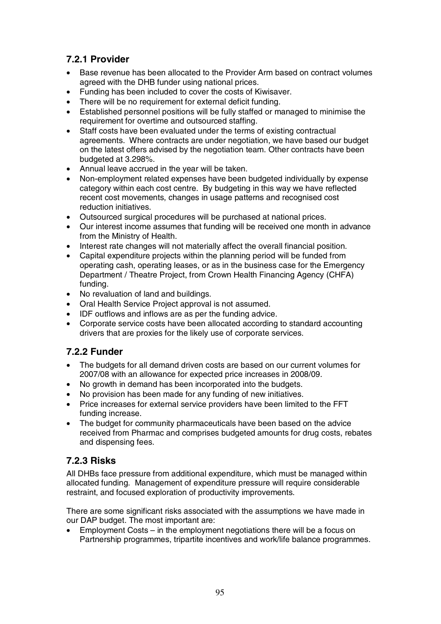## **7.2.1 Provider**

- Base revenue has been allocated to the Provider Arm based on contract volumes agreed with the DHB funder using national prices.
- Funding has been included to cover the costs of Kiwisaver.
- There will be no requirement for external deficit funding.
- Established personnel positions will be fully staffed or managed to minimise the requirement for overtime and outsourced staffing.
- Staff costs have been evaluated under the terms of existing contractual agreements. Where contracts are under negotiation, we have based our budget on the latest offers advised by the negotiation team. Other contracts have been budgeted at 3.298%.
- Annual leave accrued in the year will be taken.
- Non-employment related expenses have been budgeted individually by expense category within each cost centre. By budgeting in this way we have reflected recent cost movements, changes in usage patterns and recognised cost reduction initiatives.
- Outsourced surgical procedures will be purchased at national prices.
- Our interest income assumes that funding will be received one month in advance from the Ministry of Health.
- Interest rate changes will not materially affect the overall financial position.
- Capital expenditure projects within the planning period will be funded from operating cash, operating leases, or as in the business case for the Emergency Department / Theatre Project, from Crown Health Financing Agency (CHFA) funding.
- No revaluation of land and buildings.
- Oral Health Service Project approval is not assumed.
- IDF outflows and inflows are as per the funding advice.
- Corporate service costs have been allocated according to standard accounting drivers that are proxies for the likely use of corporate services.

## **7.2.2 Funder**

- The budgets for all demand driven costs are based on our current volumes for 2007/08 with an allowance for expected price increases in 2008/09.
- No growth in demand has been incorporated into the budgets.
- No provision has been made for any funding of new initiatives.
- Price increases for external service providers have been limited to the FFT funding increase.
- The budget for community pharmaceuticals have been based on the advice received from Pharmac and comprises budgeted amounts for drug costs, rebates and dispensing fees.

## **7.2.3 Risks**

All DHBs face pressure from additional expenditure, which must be managed within allocated funding. Management of expenditure pressure will require considerable restraint, and focused exploration of productivity improvements.

There are some significant risks associated with the assumptions we have made in our DAP budget. The most important are:

• Employment Costs – in the employment negotiations there will be a focus on Partnership programmes, tripartite incentives and work/life balance programmes.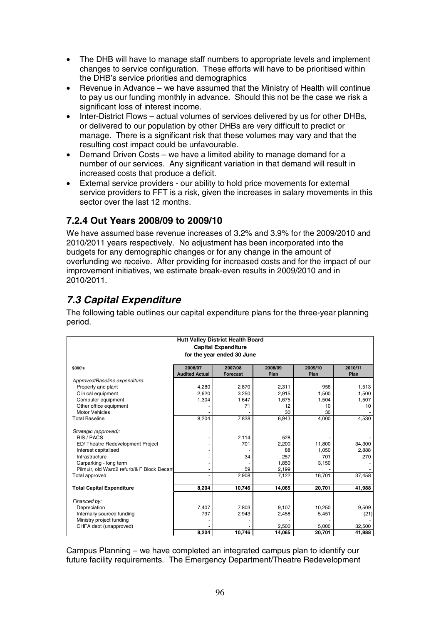- The DHB will have to manage staff numbers to appropriate levels and implement changes to service configuration. These efforts will have to be prioritised within the DHB's service priorities and demographics
- Revenue in Advance we have assumed that the Ministry of Health will continue to pay us our funding monthly in advance. Should this not be the case we risk a significant loss of interest income.
- Inter-District Flows actual volumes of services delivered by us for other DHBs, or delivered to our population by other DHBs are very difficult to predict or manage. There is a significant risk that these volumes may vary and that the resulting cost impact could be unfavourable.
- Demand Driven Costs we have a limited ability to manage demand for a number of our services. Any significant variation in that demand will result in increased costs that produce a deficit.
- External service providers our ability to hold price movements for external service providers to FFT is a risk, given the increases in salary movements in this sector over the last 12 months.

## **7.2.4 Out Years 2008/09 to 2009/10**

We have assumed base revenue increases of 3.2% and 3.9% for the 2009/2010 and 2010/2011 years respectively. No adjustment has been incorporated into the budgets for any demographic changes or for any change in the amount of overfunding we receive. After providing for increased costs and for the impact of our improvement initiatives, we estimate break-even results in 2009/2010 and in 2010/2011.

## *7.3 Capital Expenditure*

The following table outlines our capital expenditure plans for the three-year planning period.

|                       | <b>Hutt Valley District Health Board</b><br><b>Capital Expenditure</b><br>for the year ended 30 June |                                                                                  |                                                                                                                          |                                                                                                          |
|-----------------------|------------------------------------------------------------------------------------------------------|----------------------------------------------------------------------------------|--------------------------------------------------------------------------------------------------------------------------|----------------------------------------------------------------------------------------------------------|
|                       |                                                                                                      |                                                                                  |                                                                                                                          |                                                                                                          |
|                       |                                                                                                      |                                                                                  |                                                                                                                          |                                                                                                          |
|                       |                                                                                                      |                                                                                  |                                                                                                                          |                                                                                                          |
| 2006/07               | 2007/08                                                                                              | 2008/09                                                                          | 2009/10                                                                                                                  | 2010/11                                                                                                  |
| <b>Audited Actual</b> | Forecast                                                                                             | Plan                                                                             | Plan                                                                                                                     | Plan                                                                                                     |
|                       |                                                                                                      |                                                                                  |                                                                                                                          |                                                                                                          |
| 4,280                 | 2,870                                                                                                | 2,311                                                                            | 956                                                                                                                      | 1,513                                                                                                    |
| 2.620                 | 3.250                                                                                                | 2,915                                                                            | 1,500                                                                                                                    | 1,500                                                                                                    |
| 1,304                 | 1,647                                                                                                | 1,675                                                                            | 1,504                                                                                                                    | 1,507                                                                                                    |
|                       | 71                                                                                                   |                                                                                  | 10                                                                                                                       | 10                                                                                                       |
|                       |                                                                                                      |                                                                                  |                                                                                                                          |                                                                                                          |
|                       |                                                                                                      |                                                                                  |                                                                                                                          | 4,530                                                                                                    |
|                       |                                                                                                      |                                                                                  |                                                                                                                          |                                                                                                          |
|                       |                                                                                                      |                                                                                  |                                                                                                                          |                                                                                                          |
|                       |                                                                                                      |                                                                                  |                                                                                                                          |                                                                                                          |
|                       |                                                                                                      |                                                                                  |                                                                                                                          | 34,300                                                                                                   |
|                       |                                                                                                      |                                                                                  |                                                                                                                          | 2,888                                                                                                    |
|                       |                                                                                                      |                                                                                  |                                                                                                                          | 270                                                                                                      |
|                       |                                                                                                      |                                                                                  |                                                                                                                          |                                                                                                          |
|                       |                                                                                                      |                                                                                  |                                                                                                                          |                                                                                                          |
|                       |                                                                                                      |                                                                                  |                                                                                                                          | 37,458                                                                                                   |
|                       |                                                                                                      |                                                                                  |                                                                                                                          |                                                                                                          |
|                       |                                                                                                      |                                                                                  |                                                                                                                          | 41,988                                                                                                   |
|                       |                                                                                                      |                                                                                  |                                                                                                                          |                                                                                                          |
|                       |                                                                                                      |                                                                                  |                                                                                                                          | 9,509                                                                                                    |
|                       |                                                                                                      |                                                                                  |                                                                                                                          |                                                                                                          |
|                       |                                                                                                      |                                                                                  |                                                                                                                          | (21)                                                                                                     |
|                       |                                                                                                      |                                                                                  |                                                                                                                          | 32,500                                                                                                   |
|                       |                                                                                                      |                                                                                  |                                                                                                                          | 41,988                                                                                                   |
|                       | 8,204<br>8,204<br>7,407<br>797<br>8,204                                                              | 7,838<br>2,114<br>701<br>34<br>59<br>2,908<br>10,746<br>7,803<br>2,943<br>10,746 | 12<br>30<br>6,943<br>528<br>2,200<br>88<br>257<br>1.850<br>2.199<br>7,122<br>14,065<br>9,107<br>2,458<br>2,500<br>14,065 | 30<br>4,000<br>11.800<br>1.050<br>701<br>3,150<br>16,701<br>20,701<br>10,250<br>5,451<br>5,000<br>20,701 |

Campus Planning – we have completed an integrated campus plan to identify our future facility requirements. The Emergency Department/Theatre Redevelopment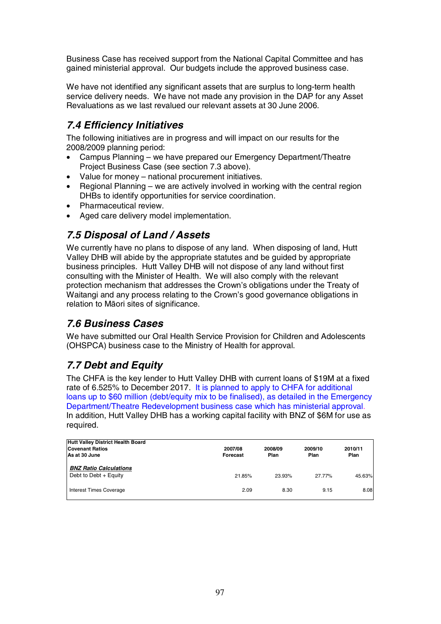Business Case has received support from the National Capital Committee and has gained ministerial approval. Our budgets include the approved business case.

We have not identified any significant assets that are surplus to long-term health service delivery needs. We have not made any provision in the DAP for any Asset Revaluations as we last revalued our relevant assets at 30 June 2006.

## *7.4 Efficiency Initiatives*

The following initiatives are in progress and will impact on our results for the 2008/2009 planning period:

- Campus Planning we have prepared our Emergency Department/Theatre Project Business Case (see section 7.3 above).
- Value for money national procurement initiatives.
- Regional Planning we are actively involved in working with the central region DHBs to identify opportunities for service coordination.
- Pharmaceutical review.
- Aged care delivery model implementation.

## *7.5 Disposal of Land / Assets*

We currently have no plans to dispose of any land. When disposing of land, Hutt Valley DHB will abide by the appropriate statutes and be guided by appropriate business principles. Hutt Valley DHB will not dispose of any land without first consulting with the Minister of Health. We will also comply with the relevant protection mechanism that addresses the Crown's obligations under the Treaty of Waitangi and any process relating to the Crown's good governance obligations in relation to Māori sites of significance.

## *7.6 Business Cases*

We have submitted our Oral Health Service Provision for Children and Adolescents (OHSPCA) business case to the Ministry of Health for approval.

## *7.7 Debt and Equity*

The CHFA is the key lender to Hutt Valley DHB with current loans of \$19M at a fixed rate of 6.525% to December 2017. It is planned to apply to CHFA for additional loans up to \$60 million (debt/equity mix to be finalised), as detailed in the Emergency Department/Theatre Redevelopment business case which has ministerial approval. In addition, Hutt Valley DHB has a working capital facility with BNZ of \$6M for use as required.

| <b>Hutt Valley District Health Board</b><br><b>Covenant Ratios</b><br>As at 30 June | 2007/08<br>Forecast | 2008/09<br>Plan | 2009/10<br>Plan | 2010/11<br>Plan |
|-------------------------------------------------------------------------------------|---------------------|-----------------|-----------------|-----------------|
| <b>BNZ Ratio Calculations</b><br>Debt to Debt + Equity                              | 21.85%              | 23.93%          | 27.77%          | 45.63%          |
| <b>Interest Times Coverage</b>                                                      | 2.09                | 8.30            | 9.15            | 8.08            |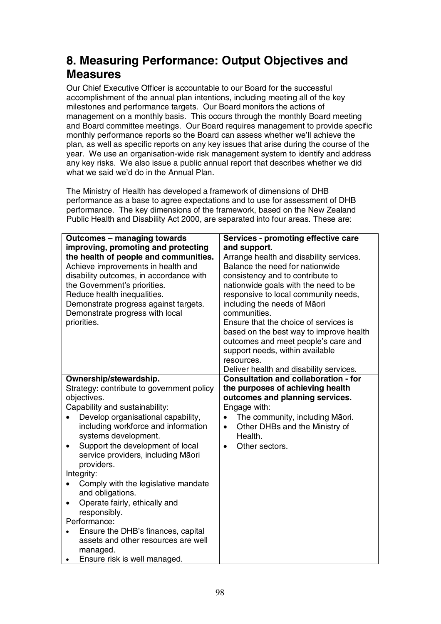## **8. Measuring Performance: Output Objectives and Measures**

Our Chief Executive Officer is accountable to our Board for the successful accomplishment of the annual plan intentions, including meeting all of the key milestones and performance targets. Our Board monitors the actions of management on a monthly basis. This occurs through the monthly Board meeting and Board committee meetings. Our Board requires management to provide specific monthly performance reports so the Board can assess whether we'll achieve the plan, as well as specific reports on any key issues that arise during the course of the year. We use an organisation-wide risk management system to identify and address any key risks. We also issue a public annual report that describes whether we did what we said we'd do in the Annual Plan.

The Ministry of Health has developed a framework of dimensions of DHB performance as a base to agree expectations and to use for assessment of DHB performance. The key dimensions of the framework, based on the New Zealand Public Health and Disability Act 2000, are separated into four areas. These are:

| <b>Outcomes - managing towards</b>        | <b>Services - promoting effective care</b>   |
|-------------------------------------------|----------------------------------------------|
| improving, promoting and protecting       | and support.                                 |
| the health of people and communities.     | Arrange health and disability services.      |
| Achieve improvements in health and        | Balance the need for nationwide              |
| disability outcomes, in accordance with   | consistency and to contribute to             |
| the Government's priorities.              | nationwide goals with the need to be         |
| Reduce health inequalities.               | responsive to local community needs,         |
| Demonstrate progress against targets.     | including the needs of Māori                 |
| Demonstrate progress with local           | communities.                                 |
| priorities.                               | Ensure that the choice of services is        |
|                                           | based on the best way to improve health      |
|                                           | outcomes and meet people's care and          |
|                                           | support needs, within available              |
|                                           | resources.                                   |
|                                           | Deliver health and disability services.      |
| Ownership/stewardship.                    | <b>Consultation and collaboration - for</b>  |
| Strategy: contribute to government policy | the purposes of achieving health             |
| objectives.                               | outcomes and planning services.              |
| Capability and sustainability:            | Engage with:                                 |
| Develop organisational capability,        | The community, including Māori.<br>$\bullet$ |
| including workforce and information       | Other DHBs and the Ministry of<br>$\bullet$  |
| systems development.                      | Health.                                      |
| Support the development of local          | Other sectors.<br>$\bullet$                  |
| service providers, including Māori        |                                              |
| providers.                                |                                              |
| Integrity:                                |                                              |
| Comply with the legislative mandate       |                                              |
| and obligations.                          |                                              |
| Operate fairly, ethically and<br>٠        |                                              |
| responsibly.                              |                                              |
| Performance:                              |                                              |
| Ensure the DHB's finances, capital        |                                              |
| assets and other resources are well       |                                              |
| managed.                                  |                                              |
| Ensure risk is well managed.              |                                              |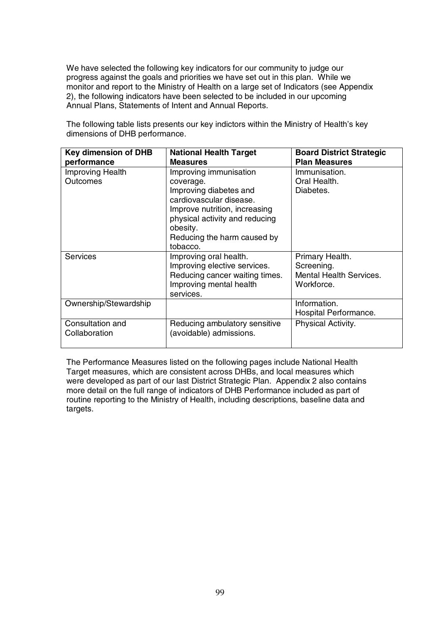We have selected the following key indicators for our community to judge our progress against the goals and priorities we have set out in this plan. While we monitor and report to the Ministry of Health on a large set of Indicators (see Appendix 2), the following indicators have been selected to be included in our upcoming Annual Plans, Statements of Intent and Annual Reports.

The following table lists presents our key indictors within the Ministry of Health's key dimensions of DHB performance.

| <b>Key dimension of DHB</b><br>performance | <b>National Health Target</b><br><b>Measures</b>                                                                                                                                                                   | <b>Board District Strategic</b><br><b>Plan Measures</b>                       |
|--------------------------------------------|--------------------------------------------------------------------------------------------------------------------------------------------------------------------------------------------------------------------|-------------------------------------------------------------------------------|
| Improving Health<br><b>Outcomes</b>        | Improving immunisation<br>coverage.<br>Improving diabetes and<br>cardiovascular disease.<br>Improve nutrition, increasing<br>physical activity and reducing<br>obesity.<br>Reducing the harm caused by<br>tobacco. | Immunisation.<br>Oral Health.<br>Diabetes.                                    |
| <b>Services</b>                            | Improving oral health.<br>Improving elective services.<br>Reducing cancer waiting times.<br>Improving mental health<br>services.                                                                                   | Primary Health.<br>Screening.<br><b>Mental Health Services.</b><br>Workforce. |
| Ownership/Stewardship                      |                                                                                                                                                                                                                    | Information.<br>Hospital Performance.                                         |
| Consultation and<br>Collaboration          | Reducing ambulatory sensitive<br>(avoidable) admissions.                                                                                                                                                           | Physical Activity.                                                            |

The Performance Measures listed on the following pages include National Health Target measures, which are consistent across DHBs, and local measures which were developed as part of our last District Strategic Plan. Appendix 2 also contains more detail on the full range of indicators of DHB Performance included as part of routine reporting to the Ministry of Health, including descriptions, baseline data and targets.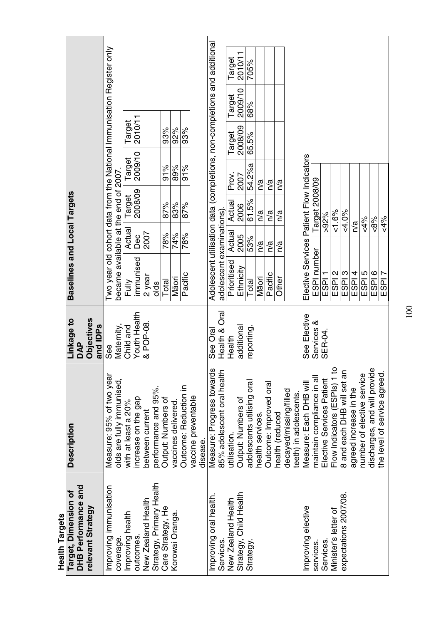| <b>Health Targets</b>                    |                                                  |                               |                                                                                                               |               |                   |                   |                   |         |        |  |
|------------------------------------------|--------------------------------------------------|-------------------------------|---------------------------------------------------------------------------------------------------------------|---------------|-------------------|-------------------|-------------------|---------|--------|--|
| Target, Dimension of                     | <b>Description</b>                               | Linkage to                    | Baselines and Local Targets                                                                                   |               |                   |                   |                   |         |        |  |
| DHB Performance and<br>relevant Strategy |                                                  | Objectives<br>and IDPs<br>DAP |                                                                                                               |               |                   |                   |                   |         |        |  |
| Improving immunisation                   | Measure: 95% of two year                         | Maternity,<br>See             | Two year old cohort data from the National Immunisation Register only<br>became available at the end of 2007. |               |                   |                   |                   |         |        |  |
| coverage.                                | olds are fully immunised,                        | Child and                     |                                                                                                               |               |                   |                   |                   |         |        |  |
| Improving health<br>outcomes.            | increase on the gap<br>with at least a 20%       | Youth Health                  | immunised<br>Fully                                                                                            | Actual<br>Dec | 2008/09<br>Target | 2009/10<br>Target | 2010/11<br>Target |         |        |  |
| New Zealand Health                       | between current                                  | & POP-08.                     | 2 year                                                                                                        | 2007          |                   |                   |                   |         |        |  |
| Strategy, Primary Health                 | performance and 95%.                             |                               | olds                                                                                                          |               |                   |                   |                   |         |        |  |
| Care Strategy, He                        | Output: Numbers of                               |                               | Total                                                                                                         | 78%           | 87%               | 91%               | 93%               |         |        |  |
| Korowai Oranga.                          | vaccines delivered                               |                               | Māori                                                                                                         | 74%           | 83%               | 89%               | 92%               |         |        |  |
|                                          | Outcome: Reduction in                            |                               | Pacific                                                                                                       | 78%           | 87%               | 91%               | 93%               |         |        |  |
|                                          | vaccine preventable<br>disease.                  |                               |                                                                                                               |               |                   |                   |                   |         |        |  |
| Improving oral health.                   | Measure: Progress towards                        | See Ora                       | Adolescent utilisation data (completions, non-completions and additional                                      |               |                   |                   |                   |         |        |  |
| Services.                                | 85% adolescent oral health                       | ल<br>व<br>Health &            | adolescent examinations)                                                                                      |               |                   |                   |                   |         |        |  |
| New Zealand Health                       | utilisation.                                     | Health                        | Prioritised                                                                                                   | Actual        | Actual            | Prov.             | Target            | Target  | Target |  |
| Strategy, Child Health                   | Output: Numbers of                               | additiona                     | Ethnicity                                                                                                     | 2005          | 2006              | 2007              | 2008/09           | 2009/10 | 2010/1 |  |
| Strategy.                                | adolescents utilising oral                       | reporting.                    | Total                                                                                                         | 53%           | 61.5%             | 54.2%a            | 65.5%             | 68%     | 705%   |  |
|                                          | health services.                                 |                               | Māori                                                                                                         | n/a           | n/a               | n/a               |                   |         |        |  |
|                                          | Outcome: Improved oral                           |                               | Pacific                                                                                                       | n/a           | n/a               | n/a               |                   |         |        |  |
|                                          | health (reduced                                  |                               | Other                                                                                                         | n/a           | n/a               | n/a               |                   |         |        |  |
|                                          | decayed/missing/filled<br>teeth) in adolescents. |                               |                                                                                                               |               |                   |                   |                   |         |        |  |
| Improving elective                       | Measure: Each DHB will                           | See Elective                  | Elective Services Patient Flow Indicators                                                                     |               |                   |                   |                   |         |        |  |
| services.                                | maintain compliance in all                       | Services &                    | ESPI number                                                                                                   |               | Target 2008/09    |                   |                   |         |        |  |
| <b>Services</b>                          | Elective Services Patient                        | SER-04.                       | ESPI <sub>1</sub>                                                                                             |               | $>92\%$           |                   |                   |         |        |  |
| Minister's letter of                     | Flow Indicators (ESPIs) 1 to                     |                               | ESPI <sub>2</sub>                                                                                             |               | $& 1.6\%$         |                   |                   |         |        |  |
| expectations 2007/08.                    | 8 and each DHB will set an                       |                               | ESPI <sub>3</sub>                                                                                             |               | $& 4.0\%$         |                   |                   |         |        |  |
|                                          | agreed increase in the                           |                               | ESPI <sub>4</sub>                                                                                             | n/a           |                   |                   |                   |         |        |  |
|                                          | number of elective service                       |                               | ESPI <sub>5</sub>                                                                                             |               | $& 4\%$           |                   |                   |         |        |  |
|                                          | discharges, and will provide                     |                               | $\frac{100}{250}$                                                                                             |               | $-8\%$            |                   |                   |         |        |  |
|                                          | the level of service agreed.                     |                               |                                                                                                               |               | $& 4\%$           |                   |                   |         |        |  |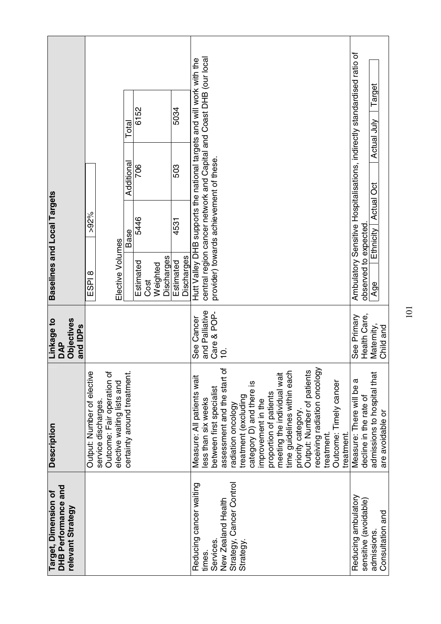|                                                                       |                                                                                                               | Total                       | 6152              |                        | 5034                    |                                                                      |                                                                    |                             |                                           |                          |                    |                        |                                                            |                    |                            |                              |                                      |           |                                                                         |                        | Target<br>∖iuL              |                  |
|-----------------------------------------------------------------------|---------------------------------------------------------------------------------------------------------------|-----------------------------|-------------------|------------------------|-------------------------|----------------------------------------------------------------------|--------------------------------------------------------------------|-----------------------------|-------------------------------------------|--------------------------|--------------------|------------------------|------------------------------------------------------------|--------------------|----------------------------|------------------------------|--------------------------------------|-----------|-------------------------------------------------------------------------|------------------------|-----------------------------|------------------|
|                                                                       |                                                                                                               | Additional                  | 706               |                        | 503                     | Hutt Valley DHB supports the national targets and will work with the | central region cancer network and Capital and Coast DHB (our local |                             |                                           |                          |                    |                        |                                                            |                    |                            |                              |                                      |           | Ambulatory Sensitive Hospitalisations, indirectly standardised ratio of |                        | Actual<br>ö                 |                  |
| Baselines and Local Targets                                           | $>92\%$                                                                                                       | Base                        | 5446              |                        | 4531                    |                                                                      | provider) towards achievement of these.                            |                             |                                           |                          |                    |                        |                                                            |                    |                            |                              |                                      |           |                                                                         |                        | Actual<br>Ethnicity         |                  |
|                                                                       | Elective Volumes<br>ESPI <sup>8</sup>                                                                         |                             | Estimated<br>Cost | Discharges<br>Weighted | Discharges<br>Estimated |                                                                      |                                                                    |                             |                                           |                          |                    |                        |                                                            |                    |                            |                              |                                      |           |                                                                         | observed to expected   | Age                         |                  |
| <b>Objectives</b><br>Linkage to<br>and IDP <sub>s</sub><br><b>DAP</b> |                                                                                                               |                             |                   |                        |                         | See Cancer                                                           | and Palliative<br>Care & POP-                                      | $\frac{1}{2}$               |                                           |                          |                    |                        |                                                            |                    |                            |                              |                                      |           | See Primary                                                             | Health Care,           | Maternity,                  | Child and        |
| <b>Description</b>                                                    | Output: Number of elective<br>Outcome: Fair operation of<br>elective waiting lists and<br>service discharges. | certainty around treatment. |                   |                        |                         | Measure: All patients wait                                           | between first specialist<br>ess than six weeks                     | assessment and the start of | treatment (excluding<br>adiation oncology | category D) and there is | improvement in the | proportion of patients | time guidelines within each<br>meeting the individual wait | priority category. | Output: Number of patients | receiving radiation oncology | Outcome: Timely cancer<br>treatment. | treatment | Measure: There will be a                                                | decline in the rate of | admissions to hospital that | are avoidable or |
| DHB Performance and<br>Target, Dimension of<br>relevant Strategy      |                                                                                                               |                             |                   |                        |                         | Reducing cancer waiting                                              | Services.<br>times.                                                | New Zealand Health          | Strategy, Cancer Control<br>Strategy.     |                          |                    |                        |                                                            |                    |                            |                              |                                      |           | Reducing ambulatory                                                     | sensitive (avoidable)  | admissions                  | Consultation and |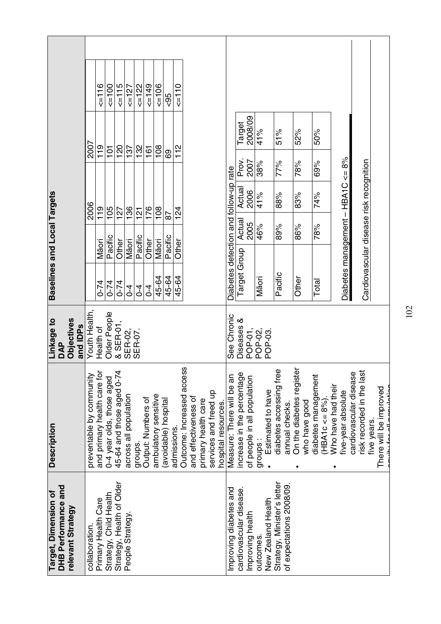|                                                                  |                          | 5116                        | 500                       | $5 = 115$                       | $\leq$ =127           | $\leq$ =122    | $\epsilon$ =149    | $500 = 5$            | $-95$                | 2110       |                                                   |                     |                                              |                                       |                            |                               |           |                    |                                                        |                          |               |                                           |                    |                                   |                        |                                         |             |                                                       |
|------------------------------------------------------------------|--------------------------|-----------------------------|---------------------------|---------------------------------|-----------------------|----------------|--------------------|----------------------|----------------------|------------|---------------------------------------------------|---------------------|----------------------------------------------|---------------------------------------|----------------------------|-------------------------------|-----------|--------------------|--------------------------------------------------------|--------------------------|---------------|-------------------------------------------|--------------------|-----------------------------------|------------------------|-----------------------------------------|-------------|-------------------------------------------------------|
|                                                                  | 2007                     | 119                         | 101                       | 120                             | 137                   | 132            | 161                | 108                  |                      | 112        |                                                   |                     |                                              |                                       | <b>Target</b>              | 2008/09                       | 41%       |                    | 51%                                                    | 52%                      |               | 50%                                       |                    |                                   |                        |                                         |             |                                                       |
|                                                                  |                          |                             |                           |                                 |                       |                |                    |                      | 69                   |            |                                                   |                     |                                              |                                       | Prov.                      | 2007                          | 38%       |                    | 77%                                                    | 78%                      |               | 69%                                       |                    |                                   |                        |                                         |             |                                                       |
|                                                                  |                          |                             |                           |                                 |                       |                |                    |                      |                      |            |                                                   |                     |                                              |                                       | Actua                      | 2006                          | 41%       |                    | 88%                                                    | 83%                      |               | 74%                                       |                    |                                   |                        |                                         |             |                                                       |
|                                                                  | 2006                     | 119                         | 105                       | 127                             | 136                   | $\frac{1}{2}$  | 176                | 108                  | 87                   | 124        |                                                   |                     |                                              |                                       | Actual                     | 2005                          | 46%       |                    | 89%                                                    | 86%                      |               | 78%                                       |                    |                                   |                        |                                         |             |                                                       |
|                                                                  |                          | Māori                       | Pacific                   | Other                           | Māori                 | Pacific        | Other              | Māori                | Pacific              | Other      |                                                   |                     |                                              |                                       |                            |                               |           |                    |                                                        |                          |               |                                           |                    |                                   |                        |                                         |             |                                                       |
| Baselines and Local Targets                                      |                          | $0 - 74$                    | $0 - 74$                  | $0 - 74$                        | $\overline{0}$        | $\overline{0}$ | $\overline{0}$     | 45-64                | 45-64                | 45-64      |                                                   |                     |                                              | Diabetes detection and follow-up rate | Target Group               |                               | Māori     |                    | Pacific                                                | Other                    |               | Total                                     |                    | Diabetes management - HBA1C <= 8% |                        | Cardiovascular disease risk recognition |             |                                                       |
| Linkage to<br><b>Objectives</b><br>and IDPs<br>DAP               | Youth Health,            | Health of                   | Older People              | & SER-01,<br>SER-02,<br>SER-07. |                       |                |                    |                      |                      |            |                                                   |                     |                                              | See Chronic                           | ళ<br>Diseases              | POP-01,<br>POP-02,<br>POP-03. |           |                    |                                                        |                          |               |                                           |                    |                                   |                        |                                         |             |                                                       |
| <b>Description</b>                                               | preventable by community | and primary health care for | 0-4 year olds, those aged | 45-64 and those aged 0-74       | across all population | groups.        | Output: Numbers of | ambulatory sensitive | (avoidable) hospital | admissions | Outcome: Increased access<br>and effectiveness of | primary health care | services and freed up<br>hospital resources. | Measure: There will be an             | increase in the percentage | of people in all population   | groups:   | Estimated to have  | diabetes accessing free<br>annual checks.              | On the diabetes register | who have good | diabetes management<br>$(HBA1c \leq 8\%)$ | Who have had their | five-year absolute                | cardiovascular disease | risk recorded in the last               | five years. | There will be improved<br>ممثلما يتممم المعملا ينابسه |
| DHB Performance and<br>Target, Dimension of<br>relevant Strategy | collaboration.           | Primary Health Care         | Strategy, Child Health    | Strategy, Health of Older       | People Strategy       |                |                    |                      |                      |            |                                                   |                     |                                              | Improving diabetes and                | cardiovascular disease.    | Improving health              | outcomes. | New Zealand Health | Strategy, Minister's letter<br>of expectations 2008/09 |                          |               |                                           |                    |                                   |                        |                                         |             |                                                       |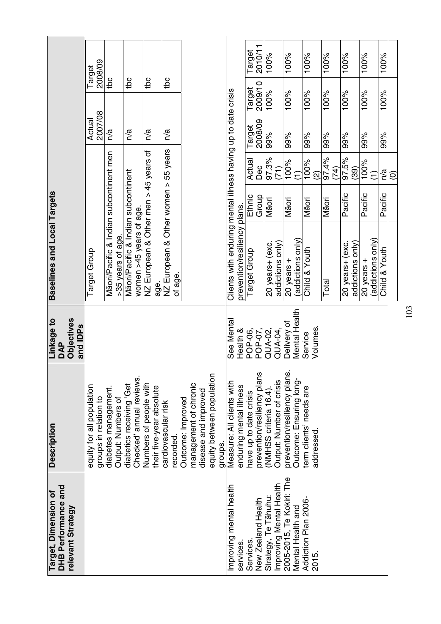|                                                                  | 2008/09<br>Target                                  |                                                              |                                                                |                                                    |                                                 |                                                                                                            |                                                                                               | 2010/11<br>Target                                     | 100%                                             | 100%                                                    | 100%                                 | 100%          | $100\%$                             | 100%                              | $\frac{900}{100\%}$ |                   |
|------------------------------------------------------------------|----------------------------------------------------|--------------------------------------------------------------|----------------------------------------------------------------|----------------------------------------------------|-------------------------------------------------|------------------------------------------------------------------------------------------------------------|-----------------------------------------------------------------------------------------------|-------------------------------------------------------|--------------------------------------------------|---------------------------------------------------------|--------------------------------------|---------------|-------------------------------------|-----------------------------------|---------------------|-------------------|
|                                                                  |                                                    | tbc                                                          | tbc                                                            | tbc                                                | tbc                                             |                                                                                                            |                                                                                               | 2009/10<br>Target                                     | 100%                                             | 100%                                                    | 100%                                 | 100%          | 100%                                | 100%                              | 100%                |                   |
|                                                                  | 2007/08<br>Actual                                  | n/a                                                          | n/a                                                            | n/a                                                | n/a                                             |                                                                                                            |                                                                                               | 2008/09<br>Target                                     | 99%                                              | 99%                                                     | 99%                                  | 99%           | 99%                                 | 99%                               | 99%                 |                   |
|                                                                  |                                                    |                                                              |                                                                | $> 45$ years of                                    |                                                 |                                                                                                            |                                                                                               | Actual<br>Dec                                         | 97.3%<br>(71)                                    | 100%<br>E                                               | 100%<br>$\widehat{\Omega}$           | 97.4%<br>(74) | 97.5%<br>(39)                       | 100%<br>$\widehat{\tau}$          | n/a                 | $\widehat{\circ}$ |
|                                                                  |                                                    |                                                              |                                                                |                                                    |                                                 |                                                                                                            |                                                                                               | Ethnic<br>Group                                       | Māori                                            | Māori                                                   | Māori                                | Māori         | Pacific                             | Pacific                           | Pacific             |                   |
| Baselines and Local Targets                                      | Target Group                                       | Māori/Pacific & Indian subcontinent men<br>>35 years of age. | Māori/Pacific & Indian subcontinent<br>women >45 years of age. | NZ European & Other men<br>age.                    | NZ European & Other women > 55 years<br>of age. |                                                                                                            | Clients with enduring mental illness having up to date crisis<br>prevention/resiliency plans. | Target Group                                          | addictions only)<br>20 years+ (exc.              | addictions only)<br>20 years +                          | Child & Youth                        | Total         | 20 years+ (exc.<br>addictions only) | (addictions only)<br>20 years $+$ | Child & Youth       |                   |
| <b>Objectives</b><br>Linkage to<br>and IDP <sub>s</sub><br>DAP   |                                                    |                                                              |                                                                |                                                    |                                                 |                                                                                                            | See Menta<br>Health &                                                                         | POP-06,<br>POP-07,                                    | QUA-02,<br>QUA-04,                               | Mental Health<br>Delivery of                            | Volumes.<br>Service                  |               |                                     |                                   |                     |                   |
| <b>Description</b>                                               | equity for all population<br>groups in relation to | diabetes management.<br>Output: Numbers of                   | Checked' annual reviews.<br>diabetics receiving 'Get           | Numbers of people with<br>their five-year absolute | cardiovascular risk<br>recorded.                | equity between population<br>management of chronic<br>disease and improved<br>Outcome: Improved<br>groups. | Measure: All clients with<br>enduring mental illness                                          | prevention/resiliency plans<br>have up to date crisis | Output: Number of crisis<br>NMHSS criteria 16.4) | prevention/resiliency plans.<br>Outcome: Ensuring long- | term clients' needs are<br>addressed |               |                                     |                                   |                     |                   |
| DHB Performance and<br>Target, Dimension of<br>relevant Strategy |                                                    |                                                              |                                                                |                                                    |                                                 |                                                                                                            | Improving mental health<br>services.                                                          | New Zealand Health<br><b>Services</b>                 | Improving Mental Health<br>Strategy, Te Tāhuhu:  | 2005-2015, Te Kokiri: The<br>Mental Health and          | Addiction Plan 2006-<br>2015.        |               |                                     |                                   |                     |                   |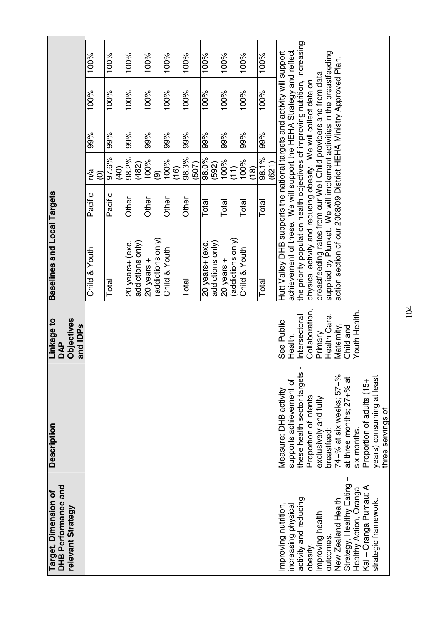| Target, Dimension of                               | <b>Description</b>                      | Linkage to                                              | Baselines and Local Targets                                                  |         |                          |     |      |      |
|----------------------------------------------------|-----------------------------------------|---------------------------------------------------------|------------------------------------------------------------------------------|---------|--------------------------|-----|------|------|
| <b>DHB Performance and</b><br>relevant Strategy    |                                         | <b>Objectives</b><br>and IDP <sub>s</sub><br><b>DAP</b> |                                                                              |         |                          |     |      |      |
|                                                    |                                         |                                                         | Child & Youth                                                                | Pacific | n/a<br>$\widehat{\odot}$ | 99% | 100% | 100% |
|                                                    |                                         |                                                         | Total                                                                        | Pacific | 97.6%<br>(40)            | 99% | 100% | 100% |
|                                                    |                                         |                                                         | 20 years+ (exc.                                                              | Other   | 98.2%                    | 99% | 100% | 100% |
|                                                    |                                         |                                                         | addictions only)                                                             |         | (482)                    |     |      |      |
|                                                    |                                         |                                                         | 20 years $+$                                                                 | Other   | 100%                     | 99% | 100% | 100% |
|                                                    |                                         |                                                         | (addictions only)                                                            |         | ම                        |     |      |      |
|                                                    |                                         |                                                         | Child & Youth                                                                | Other   | 100%<br>(16)             | 99% | 100% | 100% |
|                                                    |                                         |                                                         | Total                                                                        | Other   | 98.3%                    | 99% | 100% | 100% |
|                                                    |                                         |                                                         |                                                                              |         | (507)                    |     |      |      |
|                                                    |                                         |                                                         | 20 years+ (exc.                                                              | Total   | 98.0%                    | 99% | 100% | 100% |
|                                                    |                                         |                                                         | addictions only)                                                             |         | (592)                    |     |      |      |
|                                                    |                                         |                                                         | 20 years +                                                                   | Total   | 100%                     | 99% | 100% | 100% |
|                                                    |                                         |                                                         | (addictions only)                                                            |         | (11)                     |     |      |      |
|                                                    |                                         |                                                         | Child & Youth                                                                | Total   | $\frac{9600}{100\%}$     | 99% | 100% | 100% |
|                                                    |                                         |                                                         |                                                                              |         | (18)                     |     |      |      |
|                                                    |                                         |                                                         | Total                                                                        | Total   | 98.1%<br>(621)           | 99% | 100% | 100% |
| Improving nutrition,                               | Measure: DHB activity                   | See Public                                              | Hutt Valley DHB supports the national targets and activity will support      |         |                          |     |      |      |
| increasing physical                                | supports achievement of                 | Health,                                                 | achievement of these. We will support the HEHA Strategy and reflect          |         |                          |     |      |      |
| activity and reducing                              | these health sector targets             | Intersectoral                                           | the priority population health objectives of improving nutrition, increasing |         |                          |     |      |      |
| obesity                                            | Proportion of infants                   | Collaboration                                           | physical activity and reducing obesity. We will collect data on              |         |                          |     |      |      |
| Improving health                                   | exclusively and fully                   | Primary                                                 | breastfeeding rates from our Well Child providers and from data              |         |                          |     |      |      |
| outcomes                                           | breastfeed:                             | Health Care,                                            | supplied by Plunket. We will implement activities in the breastfeeding       |         |                          |     |      |      |
| New Zealand Health                                 | 74+% at six weeks; 57+%                 | Maternity,<br>Child and                                 | action section of our 2008/09 District HEHA Ministry Approved Plan.          |         |                          |     |      |      |
| Strategy, Healthy Eating<br>Healthy Action, Oranga | at three months; 27+% at<br>six months. | Youth Health.                                           |                                                                              |         |                          |     |      |      |
| Kai – Oranga Pumau: A                              | Proportion of adults (15+               |                                                         |                                                                              |         |                          |     |      |      |
| strategic framework                                | years) consuming at least               |                                                         |                                                                              |         |                          |     |      |      |
|                                                    | three servings of                       |                                                         |                                                                              |         |                          |     |      |      |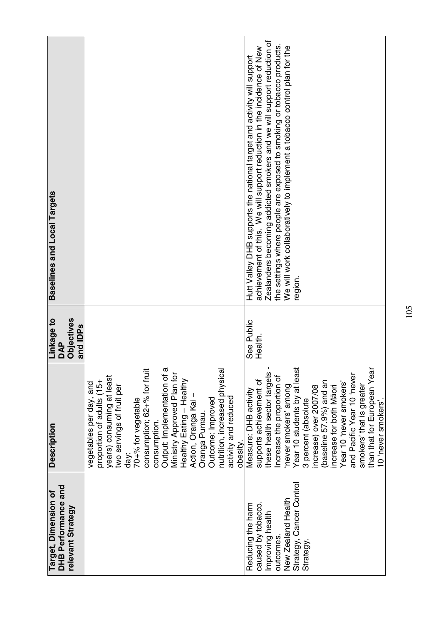| Baselines and Local Targets                                           |                                                                                                                                                                                                                                                                                                                                                                                                                       | Zealanders becoming addicted smokers and we will support reduction of<br>the settings where people are exposed to smoking or tobacco products.<br>We will work collaboratively to implement a tobacco control plan for the<br>achievement of this. We will support reduction in the incidence of New<br>Hutt Valley DHB supports the national target activity will support<br>region.                                   |
|-----------------------------------------------------------------------|-----------------------------------------------------------------------------------------------------------------------------------------------------------------------------------------------------------------------------------------------------------------------------------------------------------------------------------------------------------------------------------------------------------------------|-------------------------------------------------------------------------------------------------------------------------------------------------------------------------------------------------------------------------------------------------------------------------------------------------------------------------------------------------------------------------------------------------------------------------|
| <b>Objectives</b><br>Linkage to<br>and IDP <sub>s</sub><br><b>DAP</b> |                                                                                                                                                                                                                                                                                                                                                                                                                       | See Public<br>Health.                                                                                                                                                                                                                                                                                                                                                                                                   |
| Description                                                           | Output: Implementation of a<br>consumption; 62+% for fruit<br>nutrition, increased physica<br>Ministry Approved Plan for<br>years) consuming at least<br>Healthy Eating - Healthy<br>proportion of adults (15+<br>vegetables per day, and<br>two servings of fruit per<br>Action, Oranga Kai -<br>activity and reduced<br>Outcome: Improved<br>70+% for vegetable<br>Oranga Pumau.<br>consumption.<br>obesity<br>day: | Year 10 students by at least<br>than that for European Year<br>these health sector targets<br>and Pacific Year 10 'never<br>Increase the proportion of<br>supports achievement of<br>(baseline 57.9%) and an<br>Year 10 'never smokers'<br>smokers' that is greater<br>never smokers' among<br>increase) over 2007/08<br>increase for both Māori<br>Measure: DHB activity<br>10 'never smokers'.<br>3 percent (absolute |
| DHB Performance and<br>Target, Dimension of<br>relevant Strategy      |                                                                                                                                                                                                                                                                                                                                                                                                                       | Strategy, Cancer Control<br>New Zealand Health<br>caused by tobacco.<br>Reducing the harm<br>Improving health<br>outcomes.<br>Strategy                                                                                                                                                                                                                                                                                  |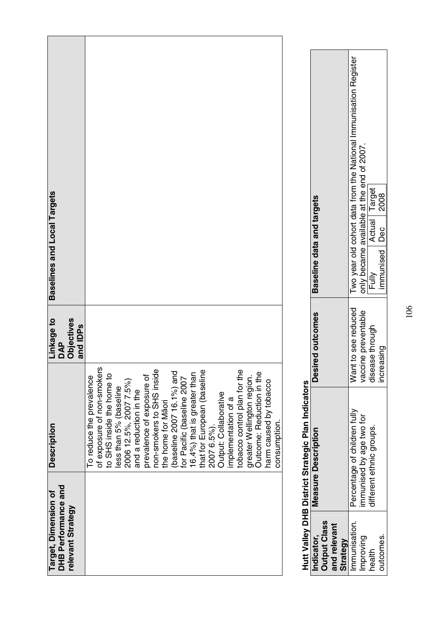| Baselines and Local Targets                                      |                                                                                                                                                                                                                                                                                                                                                                                                                                                                                                                                                                                |
|------------------------------------------------------------------|--------------------------------------------------------------------------------------------------------------------------------------------------------------------------------------------------------------------------------------------------------------------------------------------------------------------------------------------------------------------------------------------------------------------------------------------------------------------------------------------------------------------------------------------------------------------------------|
| Linkage to<br>DAP<br>Objectives<br>and IDPs                      |                                                                                                                                                                                                                                                                                                                                                                                                                                                                                                                                                                                |
| <b>Description</b>                                               | of exposure of non-smokers<br>non-smokers to SHS inside<br>that for European (baseline<br>tobacco control plan for the<br>(baseline 2007 16.1%) and<br>16.4%) that is greater than<br>Outcome: Reduction in the<br>to SHS inside the home to<br>prevalence of exposure of<br>greater Wellington region.<br>To reduce the prevalence<br>for Pacific (baseline 2007<br>2006 12.5%, 2007 7.5%)<br>harm caused by tobacco<br>less than 5% (baseline<br>and a reduction in the<br>Output: Collaborative<br>implementation of a<br>the home for Maori<br>consumption.<br>2007 6.5%). |
| DHB Performance and<br>Target, Dimension of<br>relevant Strategy |                                                                                                                                                                                                                                                                                                                                                                                                                                                                                                                                                                                |

# **Hutt Valley DHB District Strategic Plan Indicators**  ŕ م المصرا nela oi **DHR Dictrict Str Hittle Vittley**

|                                                    |                                                               | Two year old cohort data from the National Immunisation Register                    |                        |
|----------------------------------------------------|---------------------------------------------------------------|-------------------------------------------------------------------------------------|------------------------|
| Hutt valley DHB District Strategic Plan Indicators |                                                               | Actual   Target                                                                     |                        |
|                                                    | <b>Baseline data and targets</b>                              | only became available at the end of 2007.<br>Fully                                  | immunised   Dec   2008 |
|                                                    | <b>Desired outcomes</b>                                       | Want to see reduced<br>vaccine preventable<br>disease through                       | <b>Increasing</b>      |
|                                                    | <b>Measure Description</b>                                    | Percentage of children fully<br>mmunised by age two for<br>different ethnic groups. |                        |
|                                                    | <b>Output Class</b><br>and relevant<br>Indicator,<br>Strategy | mmunisation.<br>lmproving<br>health                                                 | outcomes.              |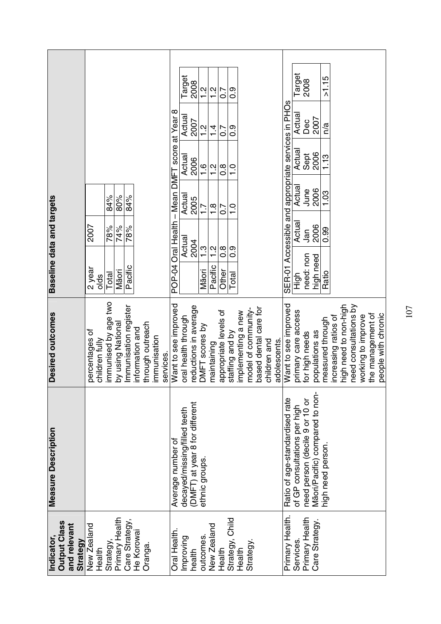|                                                              |                                  |                      |                                            |                 |                  |                           |                                                | Target                       | 2008                           | $\frac{2}{1}$          | $\frac{2}{1}$            | $\frac{1}{0}$          | 0.9             |                    |                     |                                       |              |                                             | Target                       | 2008                           |                                 | >1.15             |                      |                       |                       |                    |                   |                     |
|--------------------------------------------------------------|----------------------------------|----------------------|--------------------------------------------|-----------------|------------------|---------------------------|------------------------------------------------|------------------------------|--------------------------------|------------------------|--------------------------|------------------------|-----------------|--------------------|---------------------|---------------------------------------|--------------|---------------------------------------------|------------------------------|--------------------------------|---------------------------------|-------------------|----------------------|-----------------------|-----------------------|--------------------|-------------------|---------------------|
|                                                              |                                  |                      |                                            |                 |                  |                           |                                                | Actual                       | 2007                           | $\frac{2}{1}$          | $\frac{1}{4}$            | $\overline{0}$         | 0.9             |                    |                     |                                       |              | Accessible and appropriate services in PHOs | Actua                        | Dec                            | 2007                            | n/a               |                      |                       |                       |                    |                   |                     |
|                                                              |                                  |                      |                                            |                 |                  |                           |                                                | Actual<br>2006               |                                | $\frac{6}{1}$          | $\frac{2}{1}$            | $\overline{0.8}$       | $\frac{0}{1}$   |                    |                     |                                       |              |                                             | Actual                       | Sept                           | 2006                            | 1.13              |                      |                       |                       |                    |                   |                     |
|                                                              |                                  | 84%                  | 80%<br>84%                                 |                 |                  |                           |                                                | Actual<br>2005               |                                | $\overline{1}$ .       | $\frac{8}{1}$            | $\overline{0}$         | $\frac{0}{1}$   |                    |                     |                                       |              |                                             | Actua                        | June                           | 2006                            | 1.03              |                      |                       |                       |                    |                   |                     |
|                                                              | 2007                             | 78%                  | 74%<br>78%                                 |                 |                  |                           |                                                | Actual                       | 2004                           |                        |                          |                        |                 |                    |                     |                                       |              |                                             | Actua                        | Jan                            | 2006                            | 0.99              |                      |                       |                       |                    |                   |                     |
| Baseline data and targets                                    | 2 year<br>olds                   | Total                | Pacific<br>Māori                           |                 |                  |                           | POP-04 Oral Health - Mean DMFT score at Year 8 |                              |                                | $\ddot{1}$ .3<br>Māori | $\frac{2}{1}$<br>Pacific | $\frac{8}{2}$<br>Other | 0.9<br>Total    |                    |                     |                                       |              | SER-01                                      | )<br>도한                      | need: non                      | high need                       | Ratio             |                      |                       |                       |                    |                   |                     |
| Desired outcomes                                             | percentages of<br>children fully | immunised by age two | Immunisation register<br>by using National | information and | through outreach | immunisation<br>services. | Want to see improved                           | oral health through          | reductions in average          | DMFT scores by         | maintaining              | appropriate levels of  | staffing and by | implementing a new | model of community- | based dental care for<br>children and | adolescents. | Want to see improved                        | primary care access          | for high needs                 | populations as                  | measured through  | increasing ratios of | high need to non-high | need consultations by | working to improve | the management of | people with chronic |
| <b>Measure Description</b>                                   |                                  |                      |                                            |                 |                  |                           | Average number of                              | decayed/missing/filled teeth | (DMFT) at year 8 for different | ethnic groups.         |                          |                        |                 |                    |                     |                                       |              | Ratio of age-standardised rate              | of GP consultations per high | need person (decile 9 or 10 or | Māori/Pacific) compared to non- | high need person. |                      |                       |                       |                    |                   |                     |
| <b>Output Class</b><br>and relevant<br>Indicator<br>Strategy | New Zealand<br>Health            | Strategy             | Primary Health<br>Care Strategy,           | He Korowai      | Oranga.          |                           | Oral Health.                                   | Improving                    | health                         | outcomes.              | New Zealand              | Health                 | Strategy, Child | Health             | Strategy.           |                                       |              | Primary Health.                             | Services.                    | Primary Health                 | Care Strategy.                  |                   |                      |                       |                       |                    |                   |                     |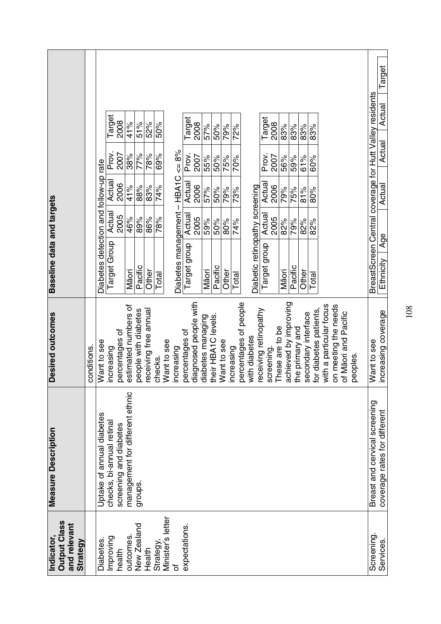|                                                               |             |                                       |                           |                        |                                 |                      |                       |           |                             |                     |                |                       |                   |                     |             |            |                       |                                            |                       |                              |                       |                 |                     |                        |                         |                      |                      |          |                                                         | Target                       |
|---------------------------------------------------------------|-------------|---------------------------------------|---------------------------|------------------------|---------------------------------|----------------------|-----------------------|-----------|-----------------------------|---------------------|----------------|-----------------------|-------------------|---------------------|-------------|------------|-----------------------|--------------------------------------------|-----------------------|------------------------------|-----------------------|-----------------|---------------------|------------------------|-------------------------|----------------------|----------------------|----------|---------------------------------------------------------|------------------------------|
|                                                               |             |                                       | Target                    | 2008                   | 41%                             | 51%                  | 52%                   | 50%       |                             |                     | Target         | 2008                  | 57%               | 50%                 | 79%         | 72%        |                       |                                            | Target                | 2008                         | 83%                   | 83%             | 83%                 | 83%                    |                         |                      |                      |          |                                                         | Actual                       |
|                                                               |             |                                       | Prov.                     | 2007                   | 38%                             | 77%<br>88%           | 78%                   | 69%       |                             | $\leq 8\%$          | Prov.          | 2007                  | 55%               | 50%                 | 75%         | 70%        |                       |                                            | Prov.                 | 2007                         | 56%                   | 59%<br>75%      | 61%                 | 60%                    |                         |                      |                      |          |                                                         | Actual                       |
|                                                               |             |                                       | Actua                     | 2006                   | 41%                             |                      | 83%                   | 74%       | <b>HBA1C</b><br>$\mathsf I$ |                     | Actual         | 2006                  | 57%               | 50%                 | 79%         | 73%        |                       |                                            | Actua                 | 2006                         | 79%                   |                 | 81%                 | 80%                    |                         |                      |                      |          |                                                         | Actual                       |
|                                                               |             |                                       | Actual                    | 2005                   | 46%                             | 89%                  | 86%                   | 78%       |                             |                     | Actual         | 2005                  | 59%               | 50%                 | 80%         | 74%        |                       | Actual<br>2005<br>82%<br>79%<br>82%<br>82% |                       |                              |                       |                 |                     |                        |                         |                      |                      |          |                                                         |                              |
| Baseline data and targets                                     |             | Diabetes detection and follow-up rate | Target Group              |                        | Māori                           | Pacific              | Other                 | Total     |                             | Diabetes management | Target group   |                       | Māori             | Pacific             | Other       | Total      |                       | Diabetic retinopathy screening             | Target group          |                              | Māori                 | Pacific         | Other               | Total                  |                         |                      |                      |          | BreastScreen Central coverage for Hutt Valley residents | Age<br>Ethnicity             |
| Desired outcomes                                              | conditions. | Want to see                           | increasing                | percentages of         | estimated numbers of            | people with diabetes | receiving free annual | checks.   | Want to see<br>ncreasing    |                     | percentages of | diagnosed people with | diabetes managing | their HBA1C levels. | Want to see | increasing | percentages of people | with diabetes                              | receiving retinopathy | These are to be<br>screening | achieved by improving | the primary and | secondary interface | for diabetes patients, | with a particular focus | on meeting the needs | of Māori and Pacific | peoples. | Want to see                                             | increasing coverage          |
| <b>Measure Description</b>                                    |             | Uptake of annual diabetes             | checks, bi-annual retinal | screening and diabetes | management for different ethnic | groups.              |                       |           |                             |                     |                |                       |                   |                     |             |            |                       |                                            |                       |                              |                       |                 |                     |                        |                         |                      |                      |          | Breast and cervical screening                           | coverage rates for different |
| <b>Output Class</b><br>and relevant<br>Indicator,<br>Strategy |             | <b>Diabetes</b>                       | Improving                 | health                 | outcomes.                       | New Zealand          | Health                | Strategy, | Minister's letter<br>৳      | expectations.       |                |                       |                   |                     |             |            |                       |                                            |                       |                              |                       |                 |                     |                        |                         |                      |                      |          | Screening                                               | Services.                    |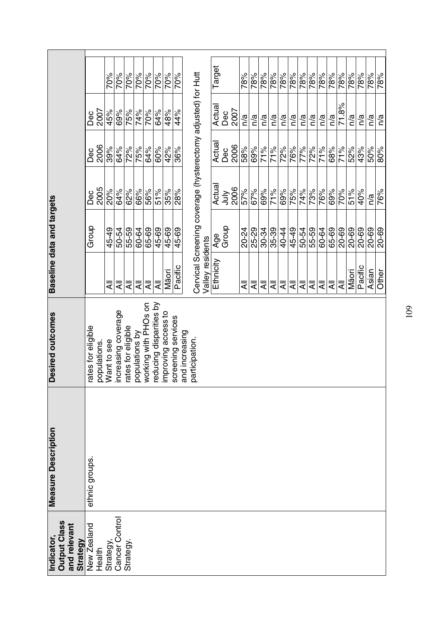|                                                              | 2007<br>Dec                      | 70%<br>45%  | 70%<br>69%         | 70%<br>75%        | 70%<br>74%    | 70%<br>70%           | 70%<br>64%             | 70%<br>48%         | 70%<br>44%         | Cervical Screening coverage (hysterectomy adjusted) for Hutt |                  | Target<br>Actual | Dec          | 2007 | 78%<br>n/a | 78%<br>n/a | 78%<br>n/a | 78%<br>n/a | 78%<br>n/a | 78%<br>n/a | 78%<br>n/a      | 78%<br>n/a | 78%<br>n/a | 78%<br>n/a | 78%<br>71.8% | 78%<br>n/a | 78%<br>n/a | 78%<br>n/a                | 78%<br>n/a |
|--------------------------------------------------------------|----------------------------------|-------------|--------------------|-------------------|---------------|----------------------|------------------------|--------------------|--------------------|--------------------------------------------------------------|------------------|------------------|--------------|------|------------|------------|------------|------------|------------|------------|-----------------|------------|------------|------------|--------------|------------|------------|---------------------------|------------|
|                                                              | 2006<br>Dec                      | 39%         | 64%                | 72%               | 75%           | 64%                  | 60%                    | 42%                | 36%                |                                                              |                  | Actual           | Dec          | 2006 | 58%        | 69%        | 71%        | 71%        | <b>72%</b> | 76%        | $\frac{6}{77%}$ | 72%        | 71%        | 68%        | 71%          | 52%        | 43%        | 50%                       | 80%        |
|                                                              | 2005<br>Dec                      | <b>20%</b>  | 64%                | $\frac{8}{26}$    | 66%           | 56%                  | 51%                    | 35%                | 28%                |                                                              |                  | Actual           | <b>Aut</b>   | 2006 | 57%        | 67%        | 69%        | 71%        | 69%        | 75%        | 74%             | 73%        | 76%        | 69%        | 70%          | 51%        | 40%        | $\overline{\mathsf{n}}$ a | 76%        |
|                                                              | Group                            | 45-49       | 50-54              | 55-59             | 60-64         | 65-69                | 45-69                  | 45-69              | 45-69              |                                                              |                  |                  | Age<br>Group |      | 20-24      | 25-29      | 30-34      | 35-39      | 40-44      | 45-49      | 50-54           | 55-59      | 60-64      | 65-69      | 20-69        | 20-69      | 20-69      | 20-69                     | 20-69      |
| Baseline data and targets                                    |                                  | ₹           | ₹                  | ₹                 | ₹             | ₹                    | ₹                      | Māori              | Pacific            |                                                              | Valley residents | Ethnicity        |              |      | ₹          | ₹          | ₹          | ₹          | ₹          | ₹          | ₹               | ₹          | ₹          | ₹          | ₹            | Māori      | Pacific    | Asian                     | Other      |
| Desired outcomes                                             | ates for eligible<br>populations | Nant to see | ncreasing coverage | ates for eligible | opulations by | working with PHOs on | educing disparities by | mproving access to | screening services | and increasing<br>participation.                             |                  |                  |              |      |            |            |            |            |            |            |                 |            |            |            |              |            |            |                           |            |
| <b>Measure Description</b>                                   | ethnic groups.                   |             |                    |                   |               |                      |                        |                    |                    |                                                              |                  |                  |              |      |            |            |            |            |            |            |                 |            |            |            |              |            |            |                           |            |
| <b>Output Class</b><br>and relevant<br>ndicator,<br>Strategy | New Zealand<br>Health            | Strategy,   | Cancer Control     | Strategy.         |               |                      |                        |                    |                    |                                                              |                  |                  |              |      |            |            |            |            |            |            |                 |            |            |            |              |            |            |                           |            |